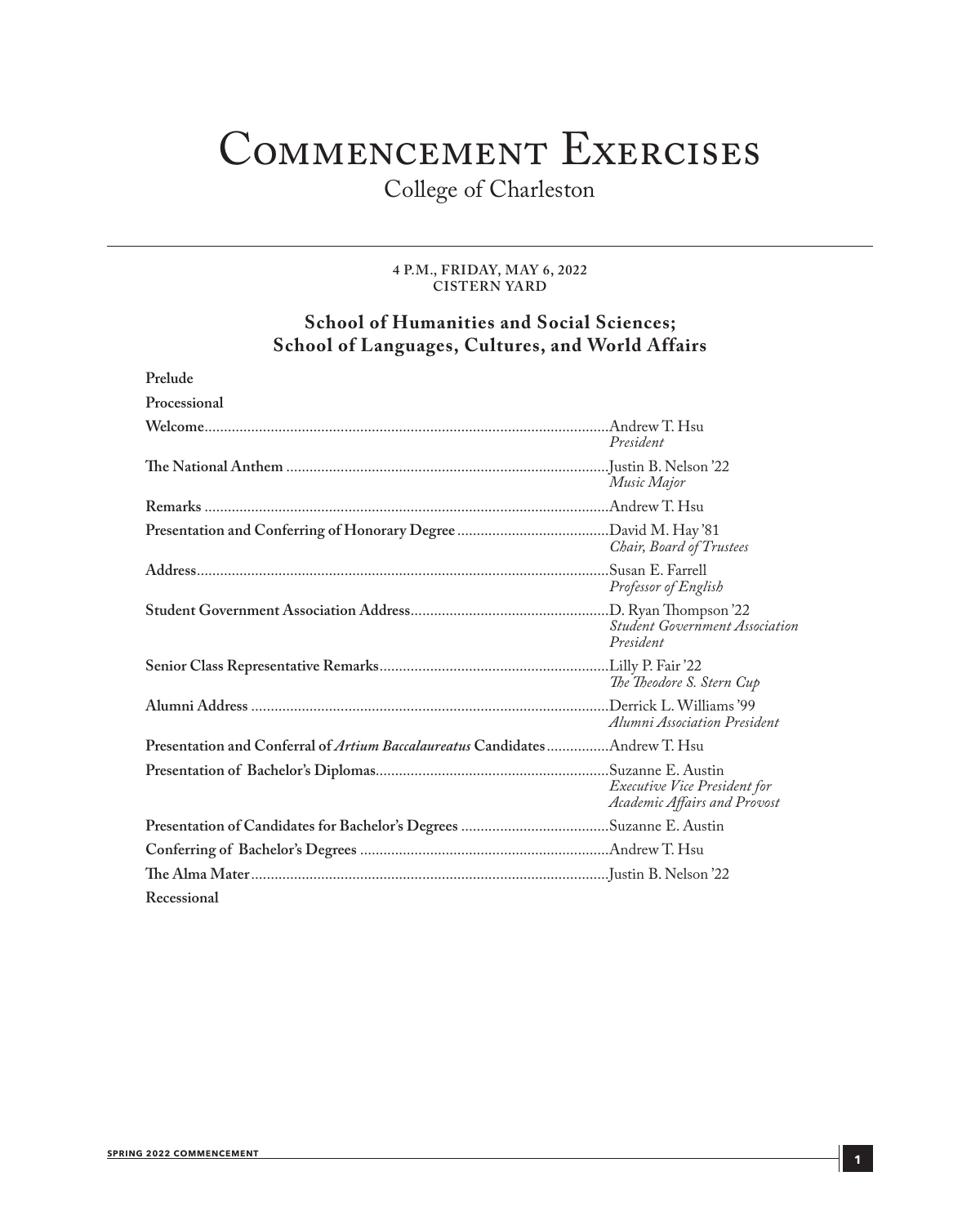## Commencement Exercises

College of Charleston

#### **4 P.M., FRIDAY, MAY 6, 2022 CISTERN YARD**

### **School of Humanities and Social Sciences; School of Languages, Cultures, and World Affairs**

| Prelude                                                                     |                                                              |
|-----------------------------------------------------------------------------|--------------------------------------------------------------|
| Processional                                                                |                                                              |
|                                                                             | President                                                    |
|                                                                             | Music Major                                                  |
|                                                                             |                                                              |
|                                                                             | Chair, Board of Trustees                                     |
|                                                                             | Professor of English                                         |
|                                                                             | Student Government Association<br>President                  |
|                                                                             | The Theodore S. Stern Cup                                    |
|                                                                             | Alumni Association President                                 |
| Presentation and Conferral of Artium Baccalaureatus CandidatesAndrew T. Hsu |                                                              |
|                                                                             | Executive Vice President for<br>Academic Affairs and Provost |
|                                                                             |                                                              |
|                                                                             |                                                              |
|                                                                             |                                                              |
| Recessional                                                                 |                                                              |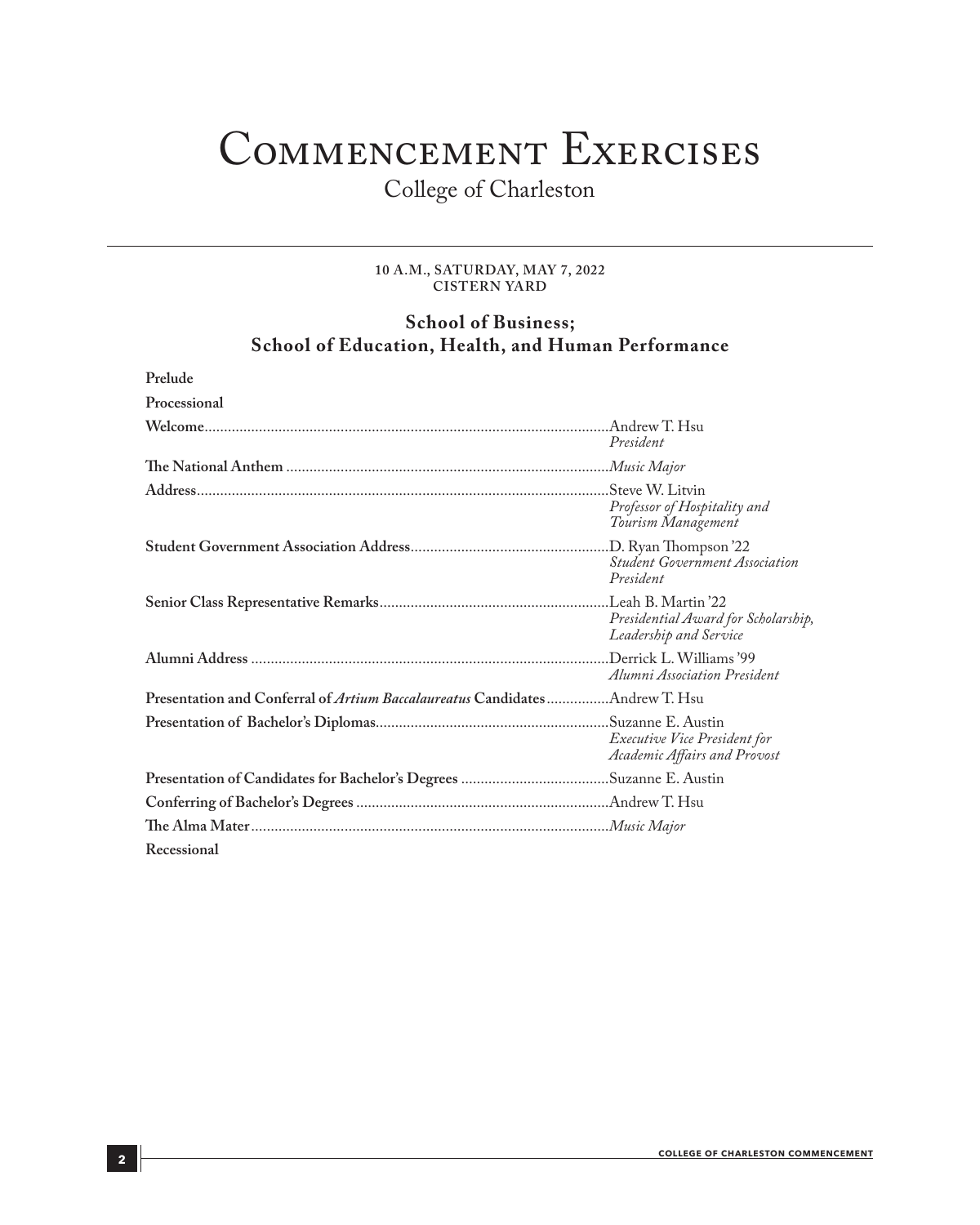## Commencement Exercises

College of Charleston

#### **10 A.M., SATURDAY, MAY 7, 2022 CISTERN YARD**

### **School of Business; School of Education, Health, and Human Performance**

| Prelude                                                                            |                                                                     |
|------------------------------------------------------------------------------------|---------------------------------------------------------------------|
| Processional                                                                       |                                                                     |
|                                                                                    | President                                                           |
|                                                                                    |                                                                     |
|                                                                                    | Professor of Hospitality and<br>Tourism Management                  |
|                                                                                    | <b>Student Government Association</b><br>President                  |
|                                                                                    | Presidential Award for Scholarship,<br>Leadership and Service       |
|                                                                                    | Alumni Association President                                        |
| Presentation and Conferral of <i>Artium Baccalaureatus</i> CandidatesAndrew T. Hsu |                                                                     |
|                                                                                    | <i>Executive Vice President for</i><br>Academic Affairs and Provost |
|                                                                                    |                                                                     |
|                                                                                    |                                                                     |
|                                                                                    |                                                                     |
| Recessional                                                                        |                                                                     |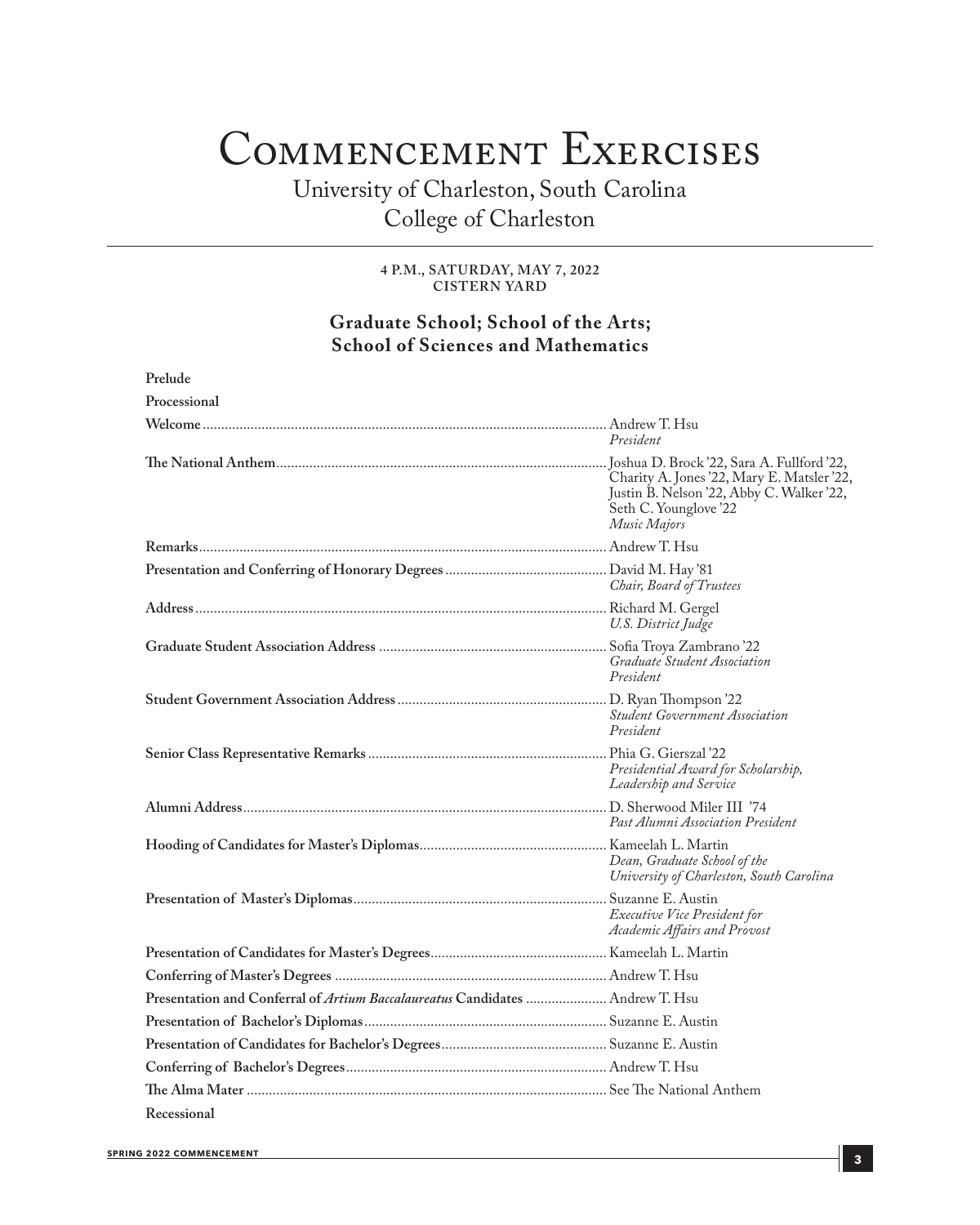## Commencement Exercises

University of Charleston, South Carolina College of Charleston

> **4 P.M., SATURDAY, MAY 7, 2022 CISTERN YARD**

### **Graduate School; School of the Arts; School of Sciences and Mathematics**

| Prelude                                                                              |                                                                                                                                  |
|--------------------------------------------------------------------------------------|----------------------------------------------------------------------------------------------------------------------------------|
| Processional                                                                         |                                                                                                                                  |
|                                                                                      | President                                                                                                                        |
|                                                                                      | Charity A. Jones '22, Mary E. Matsler '22,<br>Justin B. Nelson '22, Abby C. Walker '22,<br>Seth C. Younglove '22<br>Music Majors |
|                                                                                      |                                                                                                                                  |
|                                                                                      | Chair, Board of Trustees                                                                                                         |
|                                                                                      | U.S. District Judge                                                                                                              |
|                                                                                      | Graduate Student Association<br>President                                                                                        |
|                                                                                      | <b>Student Government Association</b><br>President                                                                               |
|                                                                                      | Presidential Award for Scholarship,<br>Leadership and Service                                                                    |
|                                                                                      | Past Alumni Association President                                                                                                |
|                                                                                      | Dean, Graduate School of the<br>University of Charleston, South Carolina                                                         |
|                                                                                      | Executive Vice President for<br>Academic Affairs and Provost                                                                     |
|                                                                                      |                                                                                                                                  |
|                                                                                      |                                                                                                                                  |
| Presentation and Conferral of <i>Artium Baccalaureatus</i> Candidates  Andrew T. Hsu |                                                                                                                                  |
|                                                                                      |                                                                                                                                  |
|                                                                                      |                                                                                                                                  |
|                                                                                      |                                                                                                                                  |
|                                                                                      |                                                                                                                                  |
| Recessional                                                                          |                                                                                                                                  |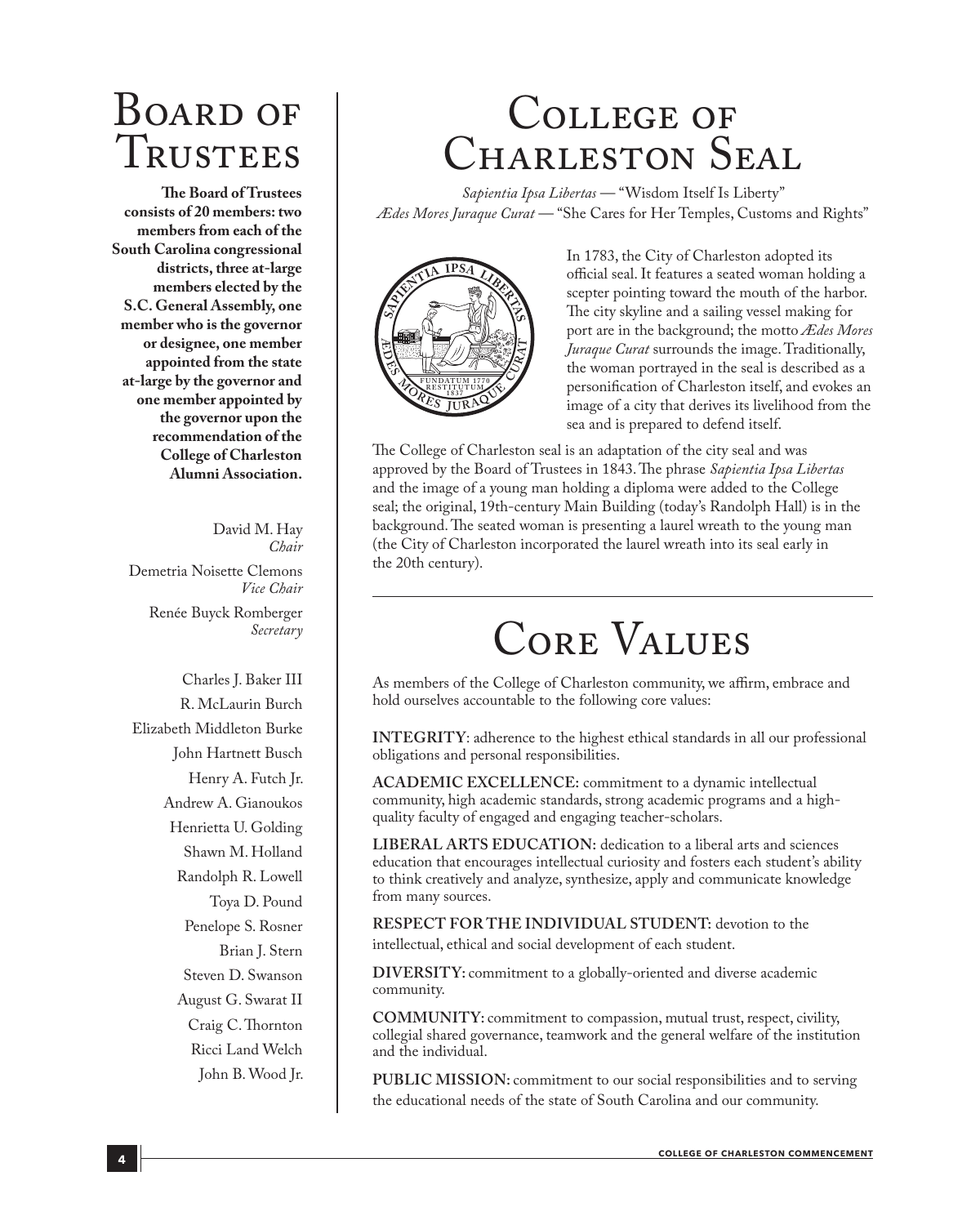## BOARD OF Trustees

**The Board of Trustees consists of 20 members: two members from each of the South Carolina congressional districts, three at-large members elected by the S.C. General Assembly, one member who is the governor or designee, one member appointed from the state at-large by the governor and one member appointed by the governor upon the recommendation of the College of Charleston Alumni Association.**

> David M. Hay *Chair*

Demetria Noisette Clemons *Vice Chair* Renée Buyck Romberger *Secretary*

Charles J. Baker III R. McLaurin Burch Elizabeth Middleton Burke John Hartnett Busch Henry A. Futch Jr. Andrew A. Gianoukos Henrietta U. Golding Shawn M. Holland Randolph R. Lowell Toya D. Pound Penelope S. Rosner Brian J. Stern Steven D. Swanson August G. Swarat II Craig C. Thornton Ricci Land Welch John B. Wood Jr.

## College of CHARLESTON SEAL

*Sapientia Ipsa Libertas* — "Wisdom Itself Is Liberty" *Ædes Mores Juraque Curat* — "She Cares for Her Temples, Customs and Rights"



In 1783, the City of Charleston adopted its official seal. It features a seated woman holding a scepter pointing toward the mouth of the harbor. The city skyline and a sailing vessel making for port are in the background; the motto *Ædes Mores Juraque Curat* surrounds the image. Traditionally, the woman portrayed in the seal is described as a personification of Charleston itself, and evokes an image of a city that derives its livelihood from the sea and is prepared to defend itself.

The College of Charleston seal is an adaptation of the city seal and was approved by the Board of Trustees in 1843. The phrase *Sapientia Ipsa Libertas* and the image of a young man holding a diploma were added to the College seal; the original, 19th-century Main Building (today's Randolph Hall) is in the background. The seated woman is presenting a laurel wreath to the young man (the City of Charleston incorporated the laurel wreath into its seal early in the 20th century).

## Core Values

As members of the College of Charleston community, we affirm, embrace and hold ourselves accountable to the following core values:

**INTEGRITY**: adherence to the highest ethical standards in all our professional obligations and personal responsibilities.

**ACADEMIC EXCELLENCE:** commitment to a dynamic intellectual community, high academic standards, strong academic programs and a highquality faculty of engaged and engaging teacher-scholars.

**LIBERAL ARTS EDUCATION:** dedication to a liberal arts and sciences education that encourages intellectual curiosity and fosters each student's ability to think creatively and analyze, synthesize, apply and communicate knowledge from many sources.

**RESPECT FOR THE INDIVIDUAL STUDENT:** devotion to the intellectual, ethical and social development of each student.

**DIVERSITY:** commitment to a globally-oriented and diverse academic community.

**COMMUNITY:** commitment to compassion, mutual trust, respect, civility, collegial shared governance, teamwork and the general welfare of the institution and the individual.

**PUBLIC MISSION:** commitment to our social responsibilities and to serving the educational needs of the state of South Carolina and our community.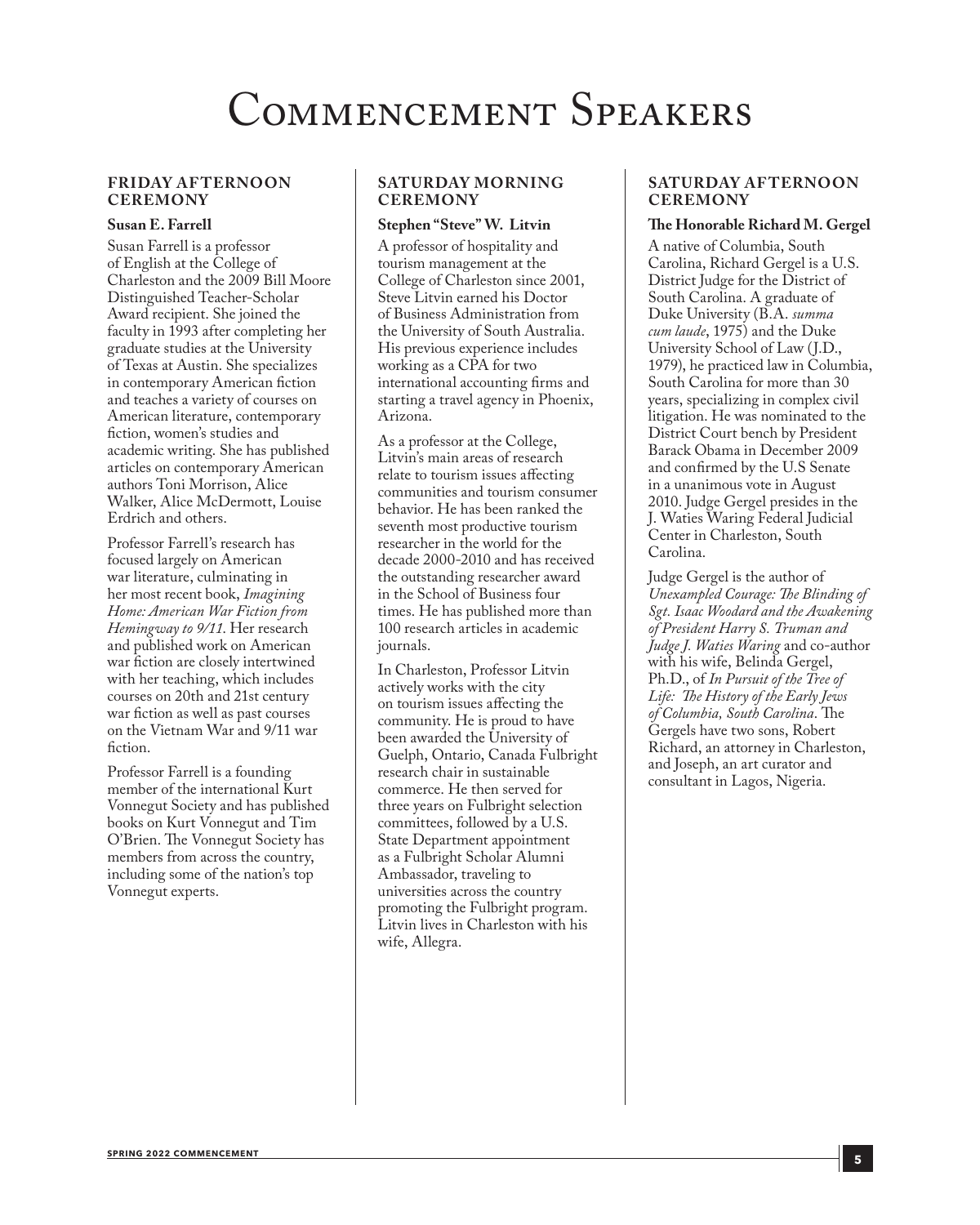## Commencement Speakers

#### **FRIDAY AF TERNOON CEREMONY**

#### **Susan E. Farrell**

Susan Farrell is a professor of English at the College of Charleston and the 2009 Bill Moore Distinguished Teacher-Scholar Award recipient. She joined the faculty in 1993 after completing her graduate studies at the University of Texas at Austin. She specializes in contemporary American fiction and teaches a variety of courses on American literature, contemporary fiction, women's studies and academic writing. She has published articles on contemporary American authors Toni Morrison, Alice Walker, Alice McDermott, Louise Erdrich and others.

Professor Farrell's research has focused largely on American war literature, culminating in her most recent book, *Imagining Home: American War Fiction from Hemingway to 9/11*. Her research and published work on American war fiction are closely intertwined with her teaching, which includes courses on 20th and 21st century war fiction as well as past courses on the Vietnam War and 9/11 war fiction.

Professor Farrell is a founding member of the international Kurt Vonnegut Society and has published books on Kurt Vonnegut and Tim O'Brien. The Vonnegut Society has members from across the country, including some of the nation's top Vonnegut experts.

#### **SATURDAY MORNING CEREMONY**

#### **Stephen "Steve" W. Litvin**

A professor of hospitality and tourism management at the College of Charleston since 2001, Steve Litvin earned his Doctor of Business Administration from the University of South Australia. His previous experience includes working as a CPA for two international accounting firms and starting a travel agency in Phoenix, Arizona.

As a professor at the College, Litvin's main areas of research relate to tourism issues affecting communities and tourism consumer behavior. He has been ranked the seventh most productive tourism researcher in the world for the decade 2000-2010 and has received the outstanding researcher award in the School of Business four times. He has published more than 100 research articles in academic journals.

In Charleston, Professor Litvin actively works with the city on tourism issues affecting the community. He is proud to have been awarded the University of Guelph, Ontario, Canada Fulbright research chair in sustainable commerce. He then served for three years on Fulbright selection committees, followed by a U.S. State Department appointment as a Fulbright Scholar Alumni Ambassador, traveling to universities across the country promoting the Fulbright program. Litvin lives in Charleston with his wife, Allegra.

#### **SATURDAY AF TERNOON CEREMONY**

#### **The Honorable Richard M. Gergel**

A native of Columbia, South Carolina, Richard Gergel is a U.S. District Judge for the District of South Carolina. A graduate of Duke University (B.A. *summa cum laude*, 1975) and the Duke University School of Law (J.D., 1979), he practiced law in Columbia, South Carolina for more than 30 years, specializing in complex civil litigation. He was nominated to the District Court bench by President Barack Obama in December 2009 and confirmed by the U.S Senate in a unanimous vote in August 2010. Judge Gergel presides in the J. Waties Waring Federal Judicial Center in Charleston, South Carolina.

Judge Gergel is the author of *Unexampled Courage: The Blinding of Sgt. Isaac Woodard and the Awakening of President Harry S. Truman and Judge J. Waties Waring* and co-author with his wife, Belinda Gergel, Ph.D., of *In Pursuit of the Tree of Life: The History of the Early Jews of Columbia, South Carolina*. The Gergels have two sons, Robert Richard, an attorney in Charleston, and Joseph, an art curator and consultant in Lagos, Nigeria.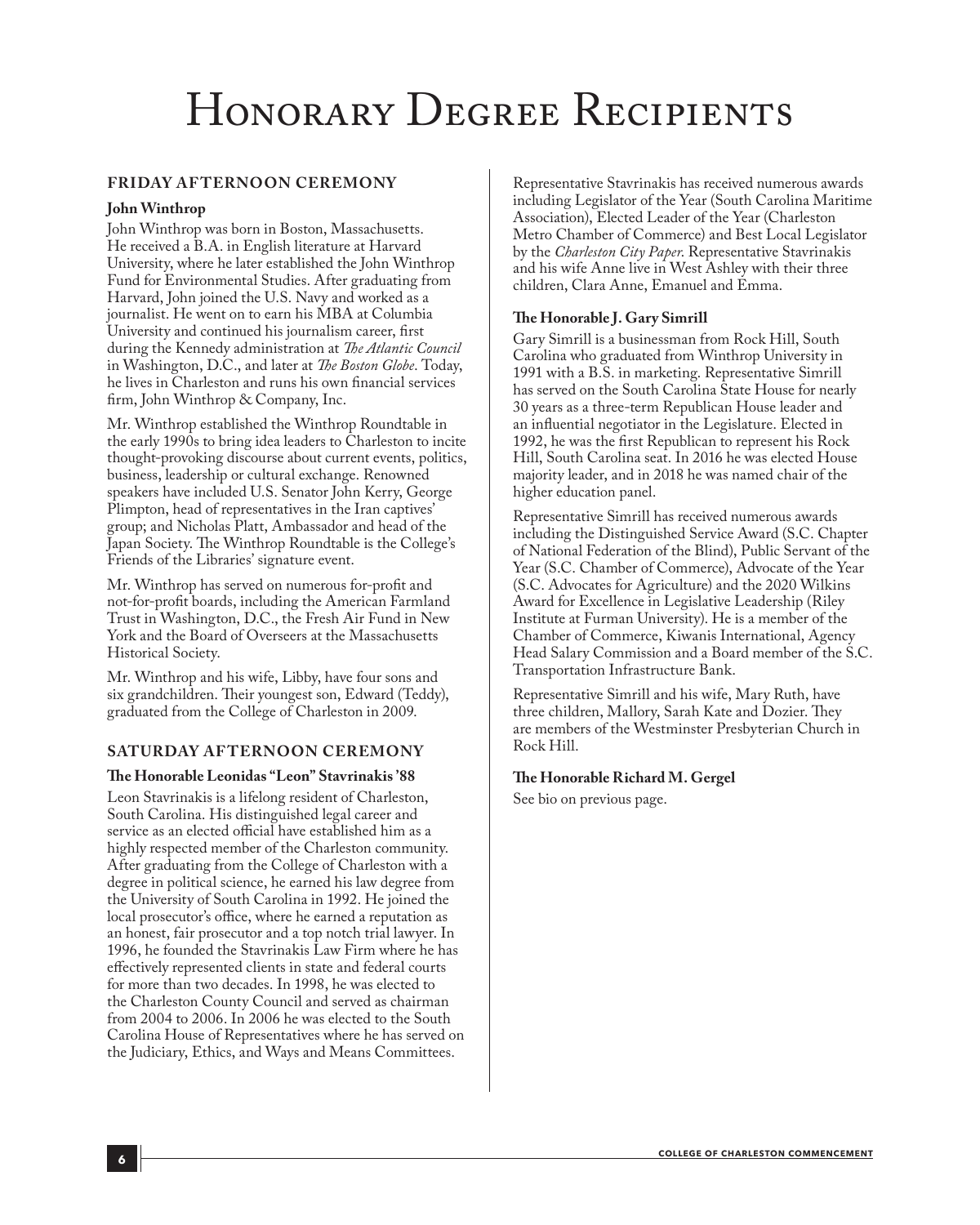## Honorary Degree Recipients

#### **FRIDAY AF TERNOON CEREMONY**

#### **John Winthrop**

John Winthrop was born in Boston, Massachusetts. He received a B.A. in English literature at Harvard University, where he later established the John Winthrop Fund for Environmental Studies. After graduating from Harvard, John joined the U.S. Navy and worked as a journalist. He went on to earn his MBA at Columbia University and continued his journalism career, first during the Kennedy administration at *The Atlantic Council*  in Washington, D.C., and later at *The Boston Globe*. Today, he lives in Charleston and runs his own financial services firm, John Winthrop & Company, Inc.

Mr. Winthrop established the Winthrop Roundtable in the early 1990s to bring idea leaders to Charleston to incite thought-provoking discourse about current events, politics, business, leadership or cultural exchange. Renowned speakers have included U.S. Senator John Kerry, George Plimpton, head of representatives in the Iran captives' group; and Nicholas Platt, Ambassador and head of the Japan Society. The Winthrop Roundtable is the College's Friends of the Libraries' signature event.

Mr. Winthrop has served on numerous for-profit and not-for-profit boards, including the American Farmland Trust in Washington, D.C., the Fresh Air Fund in New York and the Board of Overseers at the Massachusetts Historical Society.

Mr. Winthrop and his wife, Libby, have four sons and six grandchildren. Their youngest son, Edward (Teddy), graduated from the College of Charleston in 2009.

#### **SATURDAY AF TERNOON CEREMONY**

#### **The Honorable Leonidas "Leon" Stavrinakis '88**

Leon Stavrinakis is a lifelong resident of Charleston, South Carolina. His distinguished legal career and service as an elected official have established him as a highly respected member of the Charleston community. After graduating from the College of Charleston with a degree in political science, he earned his law degree from the University of South Carolina in 1992. He joined the local prosecutor's office, where he earned a reputation as an honest, fair prosecutor and a top notch trial lawyer. In 1996, he founded the Stavrinakis Law Firm where he has effectively represented clients in state and federal courts for more than two decades. In 1998, he was elected to the Charleston County Council and served as chairman from 2004 to 2006. In 2006 he was elected to the South Carolina House of Representatives where he has served on the Judiciary, Ethics, and Ways and Means Committees.

Representative Stavrinakis has received numerous awards including Legislator of the Year (South Carolina Maritime Association), Elected Leader of the Year (Charleston Metro Chamber of Commerce) and Best Local Legislator by the *Charleston City Paper*. Representative Stavrinakis and his wife Anne live in West Ashley with their three children, Clara Anne, Emanuel and Emma.

#### **The Honorable J. Gary Simrill**

Gary Simrill is a businessman from Rock Hill, South Carolina who graduated from Winthrop University in 1991 with a B.S. in marketing. Representative Simrill has served on the South Carolina State House for nearly 30 years as a three-term Republican House leader and an influential negotiator in the Legislature. Elected in 1992, he was the first Republican to represent his Rock Hill, South Carolina seat. In 2016 he was elected House majority leader, and in 2018 he was named chair of the higher education panel.

Representative Simrill has received numerous awards including the Distinguished Service Award (S.C. Chapter of National Federation of the Blind), Public Servant of the Year (S.C. Chamber of Commerce), Advocate of the Year (S.C. Advocates for Agriculture) and the 2020 Wilkins Award for Excellence in Legislative Leadership (Riley Institute at Furman University). He is a member of the Chamber of Commerce, Kiwanis International, Agency Head Salary Commission and a Board member of the S.C. Transportation Infrastructure Bank.

Representative Simrill and his wife, Mary Ruth, have three children, Mallory, Sarah Kate and Dozier. They are members of the Westminster Presbyterian Church in Rock Hill.

#### **The Honorable Richard M. Gergel**

See bio on previous page.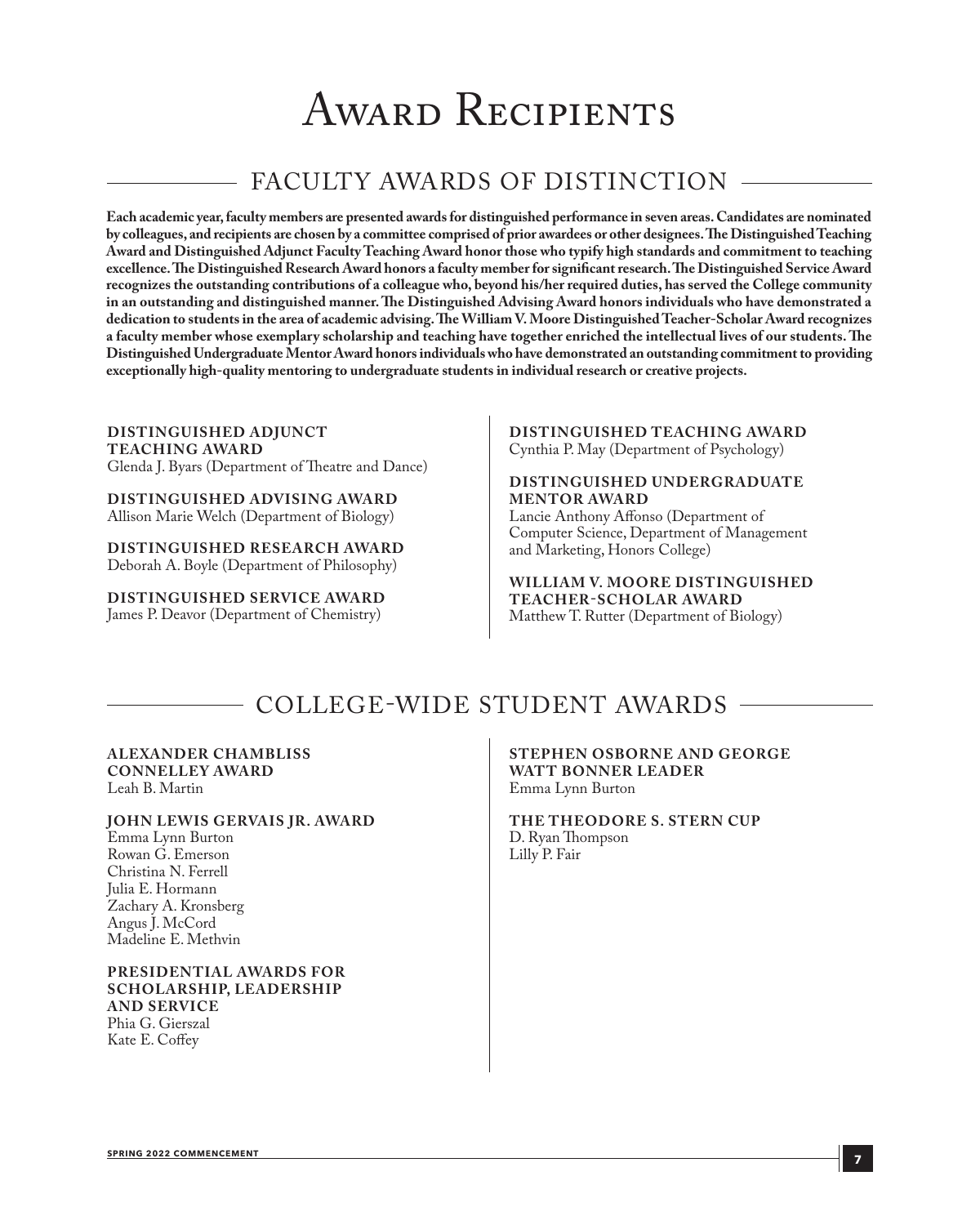## AWARD RECIPIENTS

### FACULTY AWARDS OF DISTINCTION

**Each academic year, faculty members are presented awards for distinguished performance in seven areas. Candidates are nominated by colleagues, and recipients are chosen by a committee comprised of prior awardees or other designees. The Distinguished Teaching Award and Distinguished Adjunct Faculty Teaching Award honor those who typify high standards and commitment to teaching excellence. The Distinguished Research Award honors a faculty member for significant research. The Distinguished Service Award recognizes the outstanding contributions of a colleague who, beyond his/her required duties, has served the College community in an outstanding and distinguished manner. The Distinguished Advising Award honors individuals who have demonstrated a dedication to students in the area of academic advising. The William V. Moore Distinguished Teacher-Scholar Award recognizes a faculty member whose exemplary scholarship and teaching have together enriched the intellectual lives of our students. The Distinguished Undergraduate Mentor Award honors individuals who have demonstrated an outstanding commitment to providing exceptionally high-quality mentoring to undergraduate students in individual research or creative projects.**

**DISTINGUISHED ADJUNCT TEACHING AWARD** Glenda J. Byars (Department of Theatre and Dance)

**DISTINGUISHED ADVISING AWARD** Allison Marie Welch (Department of Biology)

**DISTINGUISHED RESEARCH AWARD** Deborah A. Boyle (Department of Philosophy)

**DISTINGUISHED SERVICE AWARD** James P. Deavor (Department of Chemistry)

**DISTINGUISHED TEACHING AWARD** Cynthia P. May (Department of Psychology)

**DISTINGUISHED UNDERGRADUATE MENTOR AWARD**

Lancie Anthony Affonso (Department of Computer Science, Department of Management and Marketing, Honors College)

**WILLIAM V. MOORE DISTINGUISHED TEACHER-SCHOLAR AWARD**  Matthew T. Rutter (Department of Biology)

### COLLEGE-WIDE STUDENT AWARDS

#### **ALEXANDER CHAMBLISS CONNELLE Y AWARD** Leah B. Martin

**JOHN LEWIS GERVAIS JR. AWARD** Emma Lynn Burton Rowan G. Emerson Christina N. Ferrell Julia E. Hormann Zachary A. Kronsberg Angus J. McCord Madeline E. Methvin

#### **PRESIDENTIAL AWARDS FOR SCHOLARSHIP, LEADERSHIP AND SERVICE** Phia G. Gierszal

Kate E. Coffey

#### **STEPHEN OSBORNE AND GEORGE WATT BONNER LEADER** Emma Lynn Burton

**THE THEODORE S. STERN CUP** D. Ryan Thompson Lilly P. Fair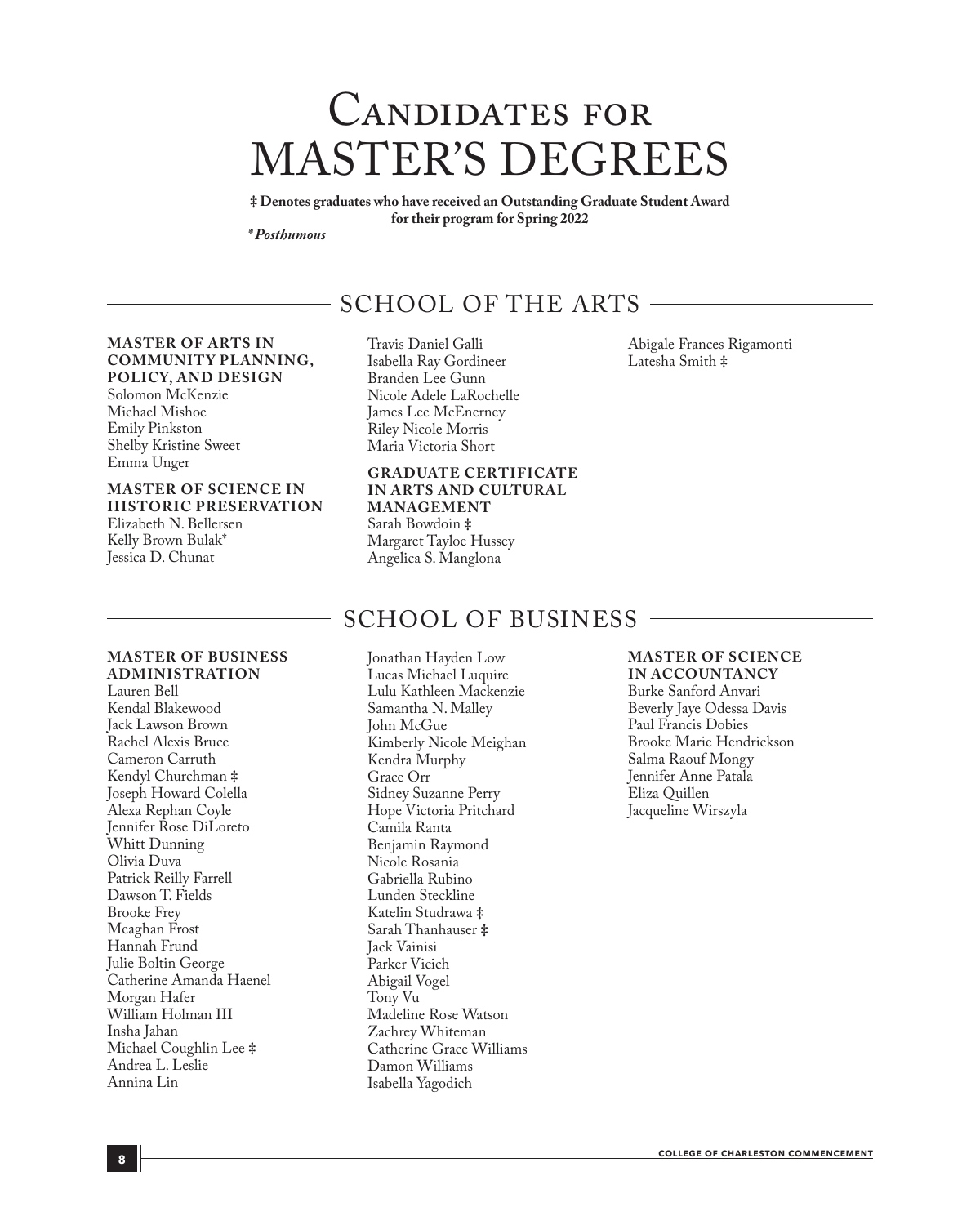## CANDIDATES FOR MASTER'S DEGREES

**‡ Denotes graduates who have received an Outstanding Graduate Student Award for their program for Spring 2022**

*\* Posthumous*

### SCHOOL OF THE ARTS

#### **MASTER OF ARTS IN COMMUNITY PLANNING, POLICY, AND DESIGN** Solomon McKenzie

Michael Mishoe Emily Pinkston Shelby Kristine Sweet Emma Unger

#### **MASTER OF SCIENCE IN HISTORIC PRESERVATION**

Elizabeth N. Bellersen Kelly Brown Bulak\* Jessica D. Chunat

**ADMINISTRATION**

Lauren Bell Kendal Blakewood Jack Lawson Brown Rachel Alexis Bruce Cameron Carruth Kendyl Churchman **‡** Joseph Howard Colella Alexa Rephan Coyle Jennifer Rose DiLoreto Whitt Dunning Olivia Duva Patrick Reilly Farrell Dawson T. Fields Brooke Frey Meaghan Frost Hannah Frund Julie Boltin George

#### Travis Daniel Galli Isabella Ray Gordineer Branden Lee Gunn Nicole Adele LaRochelle James Lee McEnerney Riley Nicole Morris Maria Victoria Short

#### **GRADUATE CERTIFICATE IN ARTS AND CULTURAL MANAGEMENT** Sarah Bowdoin **‡**

Margaret Tayloe Hussey Angelica S. Manglona

### SCHOOL OF BUSINESS

# **MASTER OF BUSINESS**  Catherine Amanda Haenel Grace Orr Jack Vainisi Tony Vu

Jonathan Hayden Low Lucas Michael Luquire Lulu Kathleen Mackenzie Samantha N. Malley John McGue Kimberly Nicole Meighan Kendra Murphy Sidney Suzanne Perry Hope Victoria Pritchard Camila Ranta Benjamin Raymond Nicole Rosania Gabriella Rubino Lunden Steckline Katelin Studrawa **‡** Sarah Thanhauser **‡** Parker Vicich Abigail Vogel Madeline Rose Watson Zachrey Whiteman Catherine Grace Williams Damon Williams Isabella Yagodich

## Latesha Smith **‡**

Abigale Frances Rigamonti

#### **MASTER OF SCIENCE**

**IN ACCOUNTANCY** Burke Sanford Anvari Beverly Jaye Odessa Davis Paul Francis Dobies Brooke Marie Hendrickson Salma Raouf Mongy Jennifer Anne Patala Eliza Quillen Jacqueline Wirszyla

Morgan Hafer William Holman III Insha Jahan

Michael Coughlin Lee **‡** Andrea L. Leslie Annina Lin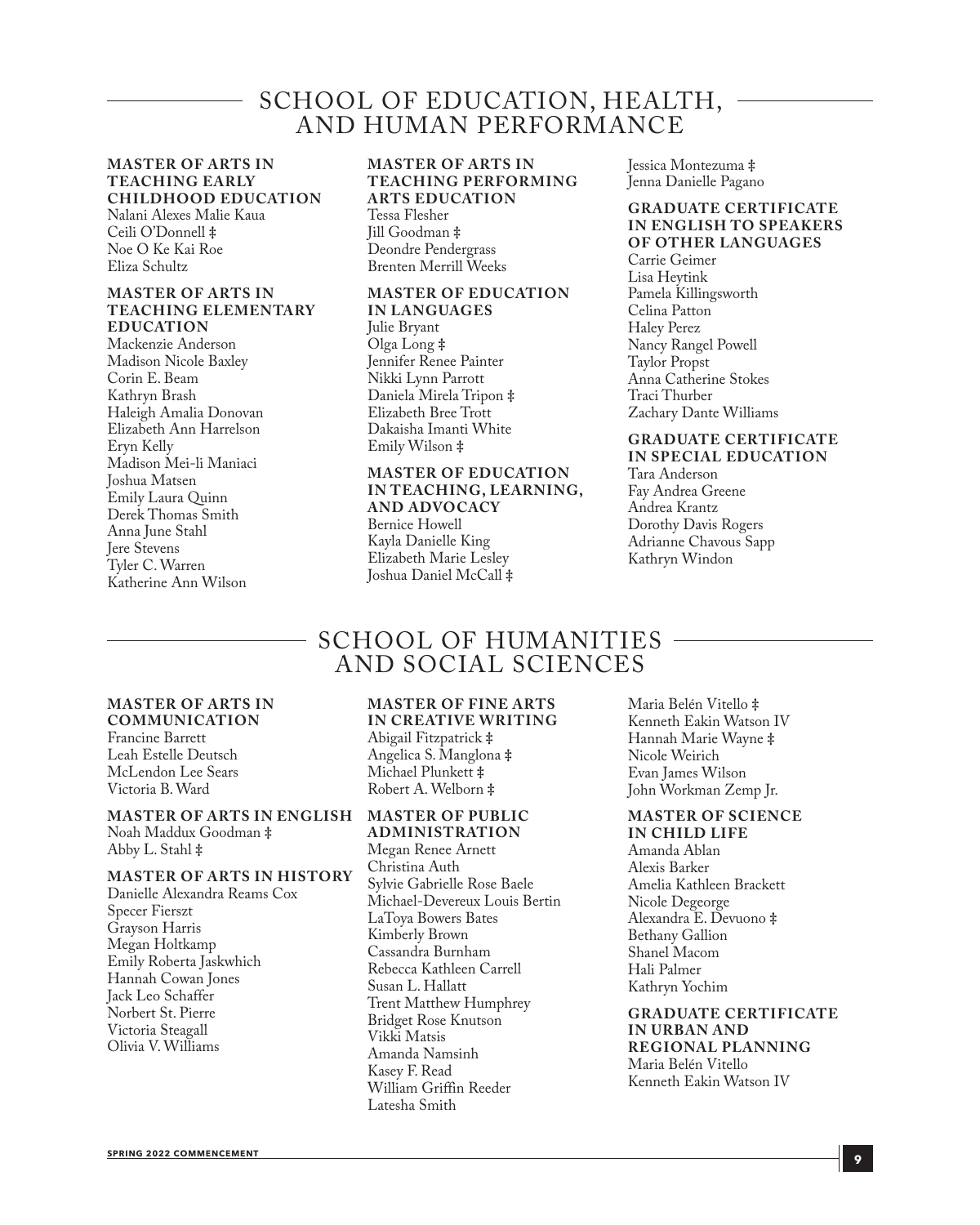### SCHOOL OF EDUCATION, HEALTH, AND HUMAN PERFORMANCE

#### **MASTER OF ARTS IN TEACHING EARLY CHILDHOOD EDUCATION**

Nalani Alexes Malie Kaua Ceili O'Donnell **‡** Noe O Ke Kai Roe Eliza Schultz

#### **MASTER OF ARTS IN TEACHING ELEMENTARY EDUCATION**

Mackenzie Anderson Madison Nicole Baxley Corin E. Beam Kathryn Brash Haleigh Amalia Donovan Elizabeth Ann Harrelson Eryn Kelly Madison Mei-li Maniaci Joshua Matsen Emily Laura Quinn Derek Thomas Smith Anna June Stahl Jere Stevens Tyler C. Warren Katherine Ann Wilson

#### **MASTER OF ARTS IN TEACHING PERFORMING ARTS EDUCATION**

Tessa Flesher Jill Goodman **‡** Deondre Pendergrass Brenten Merrill Weeks

#### **MASTER OF EDUCATION IN LANGUAGES**

Julie Bryant Olga Long **‡** Jennifer Renee Painter Nikki Lynn Parrott Daniela Mirela Tripon **‡** Elizabeth Bree Trott Dakaisha Imanti White Emily Wilson **‡**

Joshua Daniel McCall **‡**

#### **MASTER OF EDUCATION IN TEACHING, LEARNING, AND ADVOCACY** Bernice Howell Kayla Danielle King Elizabeth Marie Lesley

**GRADUATE CERTIFICATE IN ENGLISH TO SPEAKERS** 

Jessica Montezuma **‡** Jenna Danielle Pagano

### **OF OTHER LANGUAGES**

Carrie Geimer Lisa Heytink Pamela Killingsworth Celina Patton Haley Perez Nancy Rangel Powell Taylor Propst Anna Catherine Stokes Traci Thurber Zachary Dante Williams

#### **GRADUATE CERTIFICATE IN SPECIAL EDUCATION**

Tara Anderson Fay Andrea Greene Andrea Krantz Dorothy Davis Rogers Adrianne Chavous Sapp Kathryn Windon

### SCHOOL OF HUMANITIES AND SOCIAL SCIENCES

#### **MASTER OF ARTS IN COMMUNICATION**

Francine Barrett Leah Estelle Deutsch McLendon Lee Sears Victoria B. Ward

#### **MASTER OF ARTS IN ENGLISH MASTER OF PUBLIC**  Noah Maddux Goodman **‡**

Abby L. Stahl **‡**

#### **MASTER OF ARTS IN HISTORY**

Danielle Alexandra Reams Cox Specer Fierszt Grayson Harris Megan Holtkamp Emily Roberta Jaskwhich Hannah Cowan Jones Jack Leo Schaffer Norbert St. Pierre Victoria Steagall Olivia V. Williams

#### **MASTER OF FINE ARTS IN CREATIVE WRITING**

Abigail Fitzpatrick **‡** Angelica S. Manglona **‡** Michael Plunkett **‡** Robert A. Welborn **‡**

**ADMINISTRATION** Megan Renee Arnett Christina Auth Sylvie Gabrielle Rose Baele Michael-Devereux Louis Bertin LaToya Bowers Bates Kimberly Brown Cassandra Burnham Rebecca Kathleen Carrell Susan L. Hallatt Trent Matthew Humphrey Bridget Rose Knutson Vikki Matsis Amanda Namsinh Kasey F. Read William Griffin Reeder Latesha Smith

Maria Belén Vitello **‡** Kenneth Eakin Watson IV Hannah Marie Wayne **‡** Nicole Weirich Evan James Wilson John Workman Zemp Jr.

### **MASTER OF SCIENCE**

**IN CHILD LIFE** Amanda Ablan Alexis Barker Amelia Kathleen Brackett Nicole Degeorge Alexandra E. Devuono **‡** Bethany Gallion Shanel Macom Hali Palmer Kathryn Yochim

**GRADUATE CERTIFICATE IN URBAN AND REGIONAL PLANNING** Maria Belén Vitello Kenneth Eakin Watson IV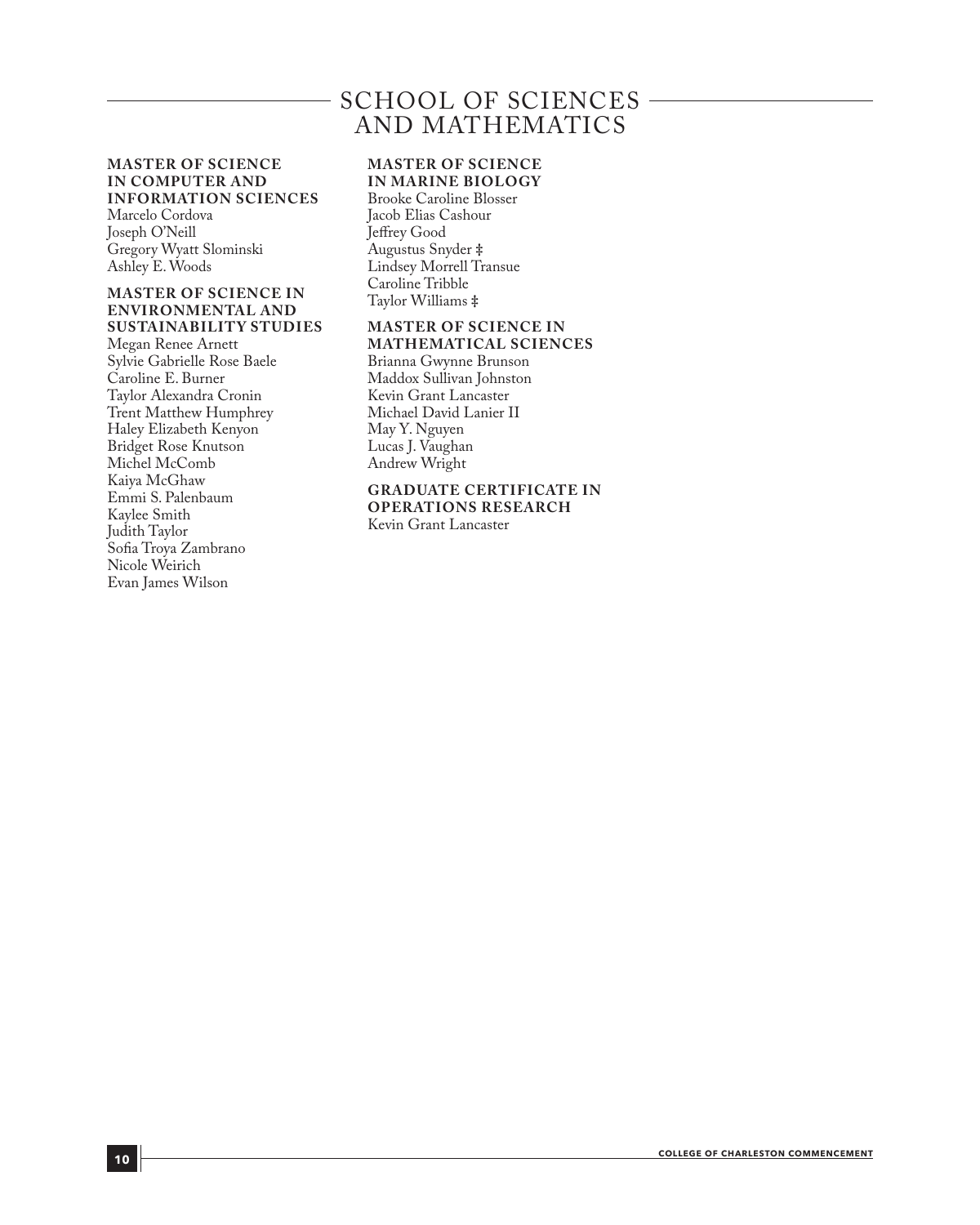### SCHOOL OF SCIENCES AND MATHEMATICS

#### **MASTER OF SCIENCE IN COMPUTER AND INFORMATION SCIENCES**

Marcelo Cordova Joseph O'Neill Gregory Wyatt Slominski Ashley E. Woods

#### **MASTER OF SCIENCE IN ENVIRONMENTAL AND SUSTAINABILITY STUDIES**

Megan Renee Arnett Sylvie Gabrielle Rose Baele Caroline E. Burner Taylor Alexandra Cronin Trent Matthew Humphrey Haley Elizabeth Kenyon Bridget Rose Knutson Michel McComb Kaiya McGhaw Emmi S. Palenbaum Kaylee Smith Judith Taylor Sofia Troya Zambrano Nicole Weirich Evan James Wilson

#### **MASTER OF SCIENCE IN MARINE BIOLOGY**

Brooke Caroline Blosser Jacob Elias Cashour Jeffrey Good Augustus Snyder **‡** Lindsey Morrell Transue Caroline Tribble Taylor Williams **‡**

#### **MASTER OF SCIENCE IN MATHEMATICAL SCIENCES**

Brianna Gwynne Brunson Maddox Sullivan Johnston Kevin Grant Lancaster Michael David Lanier II May Y. Nguyen Lucas J. Vaughan Andrew Wright

#### **GRADUATE CERTIFICATE IN OPERATIONS RESEARCH**

Kevin Grant Lancaster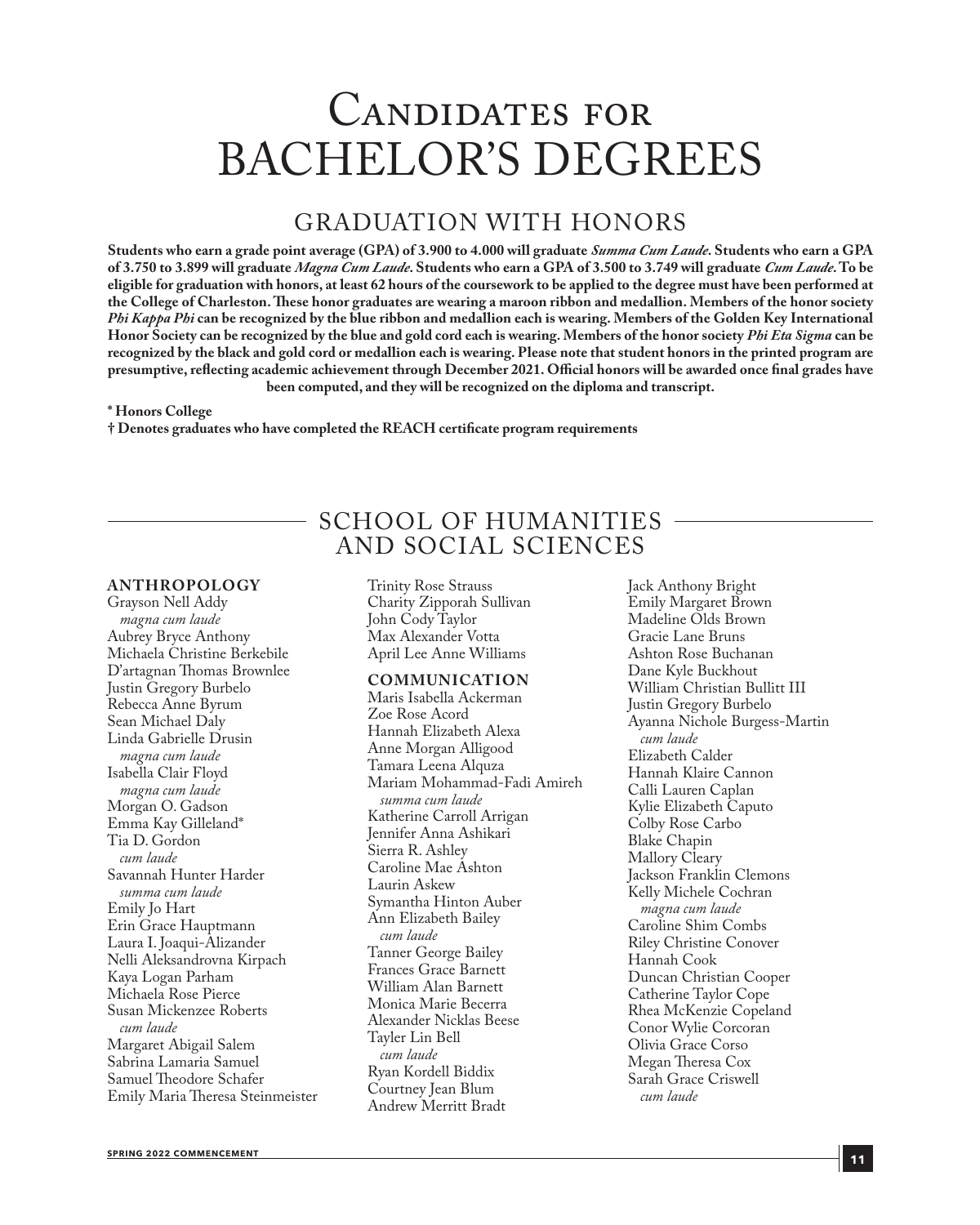## Candidates for BACHELOR'S DEGREES

### GRADUATION WITH HONORS

**Students who earn a grade point average (GPA) of 3.900 to 4.000 will graduate** *Summa Cum Laude***. Students who earn a GPA of 3.750 to 3.899 will graduate** *Magna Cum Laude***. Students who earn a GPA of 3.500 to 3.749 will graduate** *Cum Laude***. To be eligible for graduation with honors, at least 62 hours of the coursework to be applied to the degree must have been performed at the College of Charleston. These honor graduates are wearing a maroon ribbon and medallion. Members of the honor society**  *Phi Kappa Phi* **can be recognized by the blue ribbon and medallion each is wearing. Members of the Golden Key International Honor Society can be recognized by the blue and gold cord each is wearing. Members of the honor society** *Phi Eta Sigma* **can be recognized by the black and gold cord or medallion each is wearing. Please note that student honors in the printed program are presumptive, reflecting academic achievement through December 2021. Official honors will be awarded once final grades have been computed, and they will be recognized on the diploma and transcript.** 

> SCHOOL OF HUMANITIES AND SOCIAL SCIENCES

#### **\* Honors College**

**† Denotes graduates who have completed the REACH certificate program requirements**

#### **ANTHROPOLOGY**

Grayson Nell Addy *magna cum laude* Aubrey Bryce Anthony Michaela Christine Berkebile D'artagnan Thomas Brownlee Justin Gregory Burbelo Rebecca Anne Byrum Sean Michael Daly Linda Gabrielle Drusin *magna cum laude* Isabella Clair Floyd *magna cum laude* Morgan O. Gadson Emma Kay Gilleland\* Tia D. Gordon *cum laude* Savannah Hunter Harder *summa cum laude* Emily Jo Hart Erin Grace Hauptmann Laura I. Joaqui-Alizander Nelli Aleksandrovna Kirpach Kaya Logan Parham Michaela Rose Pierce Susan Mickenzee Roberts *cum laude* Margaret Abigail Salem Sabrina Lamaria Samuel Samuel Theodore Schafer Emily Maria Theresa Steinmeister

Trinity Rose Strauss Charity Zipporah Sullivan John Cody Taylor Max Alexander Votta April Lee Anne Williams

#### **COMMUNICATION**

Maris Isabella Ackerman Zoe Rose Acord Hannah Elizabeth Alexa Anne Morgan Alligood Tamara Leena Alquza Mariam Mohammad-Fadi Amireh *summa cum laude* Katherine Carroll Arrigan Jennifer Anna Ashikari Sierra R. Ashley Caroline Mae Ashton Laurin Askew Symantha Hinton Auber Ann Elizabeth Bailey *cum laude* Tanner George Bailey Frances Grace Barnett William Alan Barnett Monica Marie Becerra Alexander Nicklas Beese Tayler Lin Bell *cum laude* Ryan Kordell Biddix Courtney Jean Blum Andrew Merritt Bradt

Jack Anthony Bright Emily Margaret Brown Madeline Olds Brown Gracie Lane Bruns Ashton Rose Buchanan Dane Kyle Buckhout William Christian Bullitt III Justin Gregory Burbelo Ayanna Nichole Burgess-Martin *cum laude* Elizabeth Calder Hannah Klaire Cannon Calli Lauren Caplan Kylie Elizabeth Caputo Colby Rose Carbo Blake Chapin Mallory Cleary Jackson Franklin Clemons Kelly Michele Cochran *magna cum laude* Caroline Shim Combs Riley Christine Conover Hannah Cook Duncan Christian Cooper Catherine Taylor Cope Rhea McKenzie Copeland Conor Wylie Corcoran Olivia Grace Corso Megan Theresa Cox Sarah Grace Criswell *cum laude*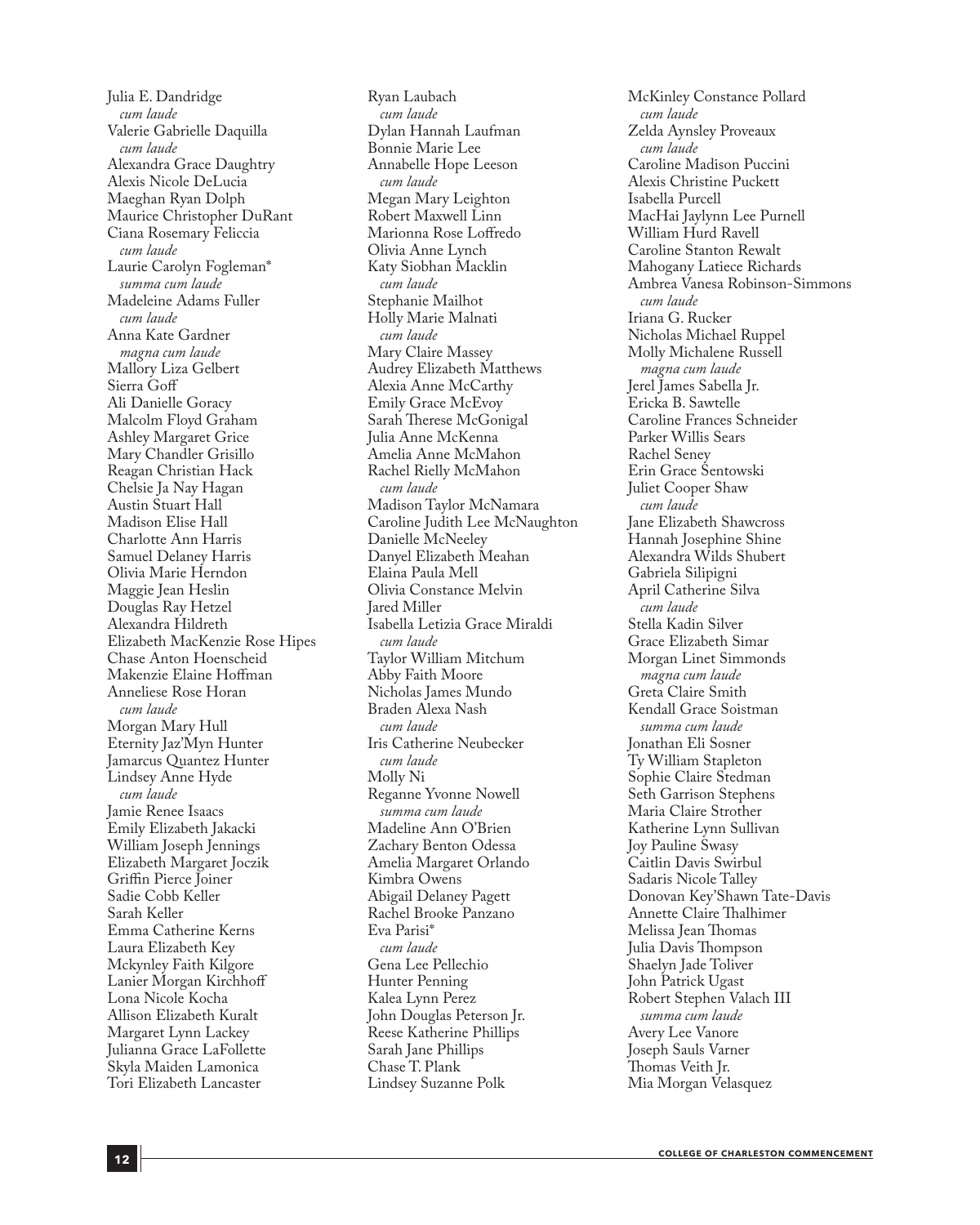Julia E. Dandridge *cum laude* Valerie Gabrielle Daquilla *cum laude* Alexandra Grace Daughtry Alexis Nicole DeLucia Maeghan Ryan Dolph Maurice Christopher DuRant Ciana Rosemary Feliccia *cum laude* Laurie Carolyn Fogleman\* *summa cum laude* Madeleine Adams Fuller *cum laude* Anna Kate Gardner *magna cum laude* Mallory Liza Gelbert Sierra Goff Ali Danielle Goracy Malcolm Floyd Graham Ashley Margaret Grice Mary Chandler Grisillo Reagan Christian Hack Chelsie Ja Nay Hagan Austin Stuart Hall Madison Elise Hall Charlotte Ann Harris Samuel Delaney Harris Olivia Marie Herndon Maggie Jean Heslin Douglas Ray Hetzel Alexandra Hildreth Elizabeth MacKenzie Rose Hipes Chase Anton Hoenscheid Makenzie Elaine Hoffman Anneliese Rose Horan *cum laude* Morgan Mary Hull Eternity Jaz'Myn Hunter Jamarcus Quantez Hunter Lindsey Anne Hyde *cum laude* Jamie Renee Isaacs Emily Elizabeth Jakacki William Joseph Jennings Elizabeth Margaret Joczik Griffin Pierce Joiner Sadie Cobb Keller Sarah Keller Emma Catherine Kerns Laura Elizabeth Key Mckynley Faith Kilgore Lanier Morgan Kirchhoff Lona Nicole Kocha Allison Elizabeth Kuralt Margaret Lynn Lackey Julianna Grace LaFollette Skyla Maiden Lamonica Tori Elizabeth Lancaster

Ryan Laubach *cum laude* Dylan Hannah Laufman Bonnie Marie Lee Annabelle Hope Leeson *cum laude* Megan Mary Leighton Robert Maxwell Linn Marionna Rose Loffredo Olivia Anne Lynch Katy Siobhan Macklin *cum laude* Stephanie Mailhot Holly Marie Malnati *cum laude* Mary Claire Massey Audrey Elizabeth Matthews Alexia Anne McCarthy Emily Grace McEvoy Sarah Therese McGonigal Julia Anne McKenna Amelia Anne McMahon Rachel Rielly McMahon *cum laude* Madison Taylor McNamara Caroline Judith Lee McNaughton Danielle McNeeley Danyel Elizabeth Meahan Elaina Paula Mell Olivia Constance Melvin Jared Miller Isabella Letizia Grace Miraldi *cum laude* Taylor William Mitchum Abby Faith Moore Nicholas James Mundo Braden Alexa Nash *cum laude* Iris Catherine Neubecker *cum laude* Molly Ni Reganne Yvonne Nowell *summa cum laude* Madeline Ann O'Brien Zachary Benton Odessa Amelia Margaret Orlando Kimbra Owens Abigail Delaney Pagett Rachel Brooke Panzano Eva Parisi\* *cum laude* Gena Lee Pellechio Hunter Penning Kalea Lynn Perez John Douglas Peterson Jr. Reese Katherine Phillips Sarah Jane Phillips Chase T. Plank Lindsey Suzanne Polk

McKinley Constance Pollard *cum laude* Zelda Aynsley Proveaux *cum laude* Caroline Madison Puccini Alexis Christine Puckett Isabella Purcell MacHai Jaylynn Lee Purnell William Hurd Ravell Caroline Stanton Rewalt Mahogany Latiece Richards Ambrea Vanesa Robinson-Simmons *cum laude* Iriana G. Rucker Nicholas Michael Ruppel Molly Michalene Russell *magna cum laude* Jerel James Sabella Jr. Ericka B. Sawtelle Caroline Frances Schneider Parker Willis Sears Rachel Seney Erin Grace Sentowski Juliet Cooper Shaw *cum laude* Jane Elizabeth Shawcross Hannah Josephine Shine Alexandra Wilds Shubert Gabriela Silipigni April Catherine Silva *cum laude* Stella Kadin Silver Grace Elizabeth Simar Morgan Linet Simmonds *magna cum laude* Greta Claire Smith Kendall Grace Soistman *summa cum laude* Jonathan Eli Sosner Ty William Stapleton Sophie Claire Stedman Seth Garrison Stephens Maria Claire Strother Katherine Lynn Sullivan Joy Pauline Swasy Caitlin Davis Swirbul Sadaris Nicole Talley Donovan Key'Shawn Tate-Davis Annette Claire Thalhimer Melissa Jean Thomas Julia Davis Thompson Shaelyn Jade Toliver John Patrick Ugast Robert Stephen Valach III *summa cum laude* Avery Lee Vanore Joseph Sauls Varner Thomas Veith Jr. Mia Morgan Velasquez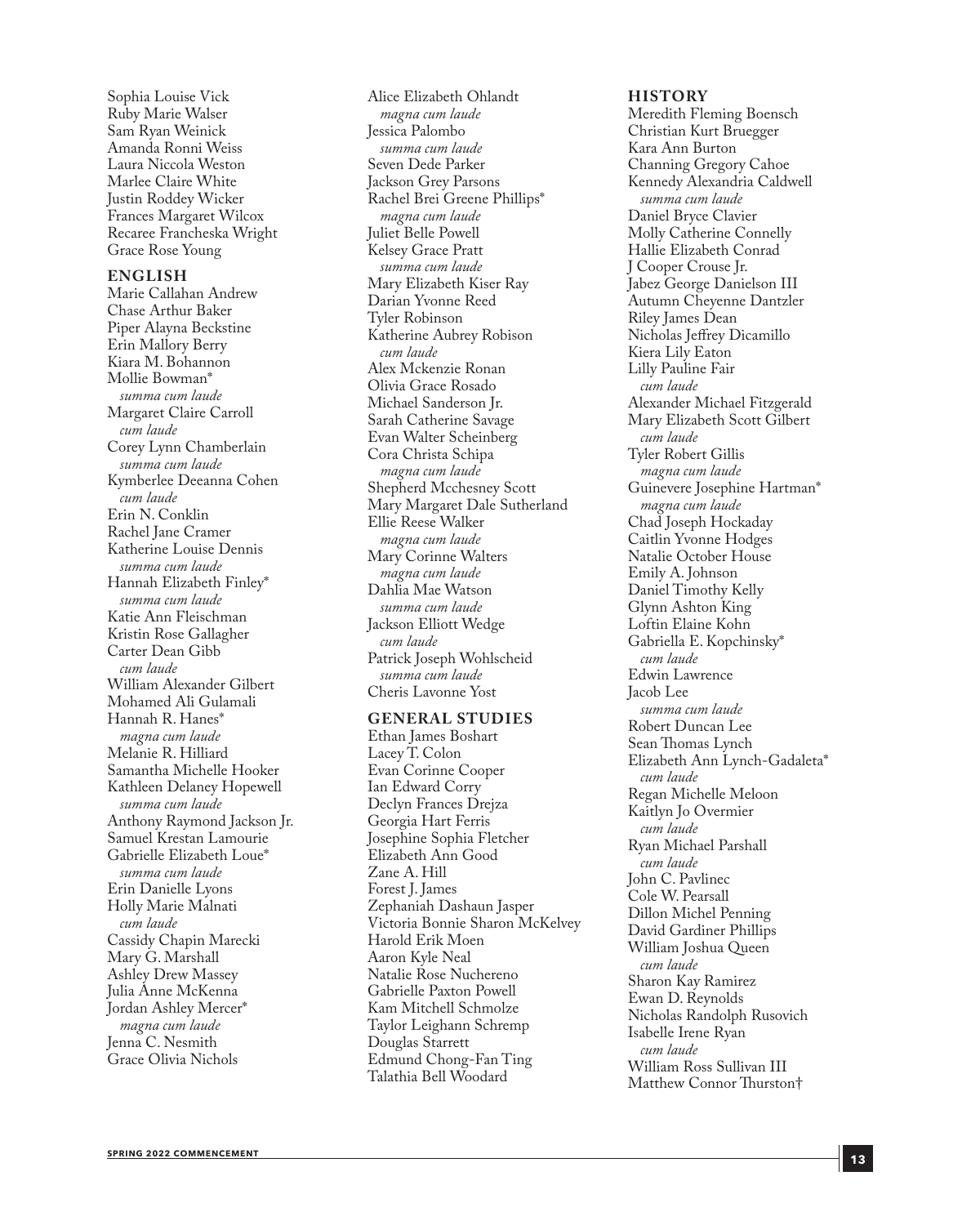Sophia Louise Vick Ruby Marie Walser Sam Ryan Weinick Amanda Ronni Weiss Laura Niccola Weston Marlee Claire White Justin Roddey Wicker Frances Margaret Wilcox Recaree Francheska Wright Grace Rose Young

#### **ENGLISH**

Marie Callahan Andrew Chase Arthur Baker Piper Alayna Beckstine Erin Mallory Berry Kiara M. Bohannon Mollie Bowman\* *summa cum laude* Margaret Claire Carroll *cum laude* Corey Lynn Chamberlain *summa cum laude* Kymberlee Deeanna Cohen *cum laude* Erin N. Conklin Rachel Jane Cramer Katherine Louise Dennis *summa cum laude* Hannah Elizabeth Finley\* *summa cum laude* Katie Ann Fleischman Kristin Rose Gallagher Carter Dean Gibb *cum laude* William Alexander Gilbert Mohamed Ali Gulamali Hannah R. Hanes\* *magna cum laude* Melanie R. Hilliard Samantha Michelle Hooker Kathleen Delaney Hopewell *summa cum laude* Anthony Raymond Jackson Jr. Samuel Krestan Lamourie Gabrielle Elizabeth Loue\* *summa cum laude* Erin Danielle Lyons Holly Marie Malnati *cum laude* Cassidy Chapin Marecki Mary G. Marshall Ashley Drew Massey Julia Anne McKenna Jordan Ashley Mercer\* *magna cum laude* Jenna C. Nesmith Grace Olivia Nichols

Alice Elizabeth Ohlandt *magna cum laude* Jessica Palombo *summa cum laude* Seven Dede Parker Jackson Grey Parsons Rachel Brei Greene Phillips\* *magna cum laude* Juliet Belle Powell Kelsey Grace Pratt *summa cum laude* Mary Elizabeth Kiser Ray Darian Yvonne Reed Tyler Robinson Katherine Aubrey Robison *cum laude* Alex Mckenzie Ronan Olivia Grace Rosado Michael Sanderson Jr. Sarah Catherine Savage Evan Walter Scheinberg Cora Christa Schipa *magna cum laude* Shepherd Mcchesney Scott Mary Margaret Dale Sutherland Ellie Reese Walker *magna cum laude* Mary Corinne Walters *magna cum laude* Dahlia Mae Watson *summa cum laude* Jackson Elliott Wedge *cum laude* Patrick Joseph Wohlscheid *summa cum laude* Cheris Lavonne Yost

#### **GENERAL STUDIES**

Ethan James Boshart Lacey T. Colon Evan Corinne Cooper Ian Edward Corry Declyn Frances Drejza Georgia Hart Ferris Josephine Sophia Fletcher Elizabeth Ann Good Zane A. Hill Forest J. James Zephaniah Dashaun Jasper Victoria Bonnie Sharon McKelvey Harold Erik Moen Aaron Kyle Neal Natalie Rose Nuchereno Gabrielle Paxton Powell Kam Mitchell Schmolze Taylor Leighann Schremp Douglas Starrett Edmund Chong-Fan Ting Talathia Bell Woodard

#### **HISTORY**

Meredith Fleming Boensch Christian Kurt Bruegger Kara Ann Burton Channing Gregory Cahoe Kennedy Alexandria Caldwell *summa cum laude* Daniel Bryce Clavier Molly Catherine Connelly Hallie Elizabeth Conrad J Cooper Crouse Jr. Jabez George Danielson III Autumn Cheyenne Dantzler Riley James Dean Nicholas Jeffrey Dicamillo Kiera Lily Eaton Lilly Pauline Fair *cum laude* Alexander Michael Fitzgerald Mary Elizabeth Scott Gilbert *cum laude* Tyler Robert Gillis *magna cum laude* Guinevere Josephine Hartman\* *magna cum laude* Chad Joseph Hockaday Caitlin Yvonne Hodges Natalie October House Emily A. Johnson Daniel Timothy Kelly Glynn Ashton King Loftin Elaine Kohn Gabriella E. Kopchinsky\* *cum laude* Edwin Lawrence Jacob Lee *summa cum laude* Robert Duncan Lee Sean Thomas Lynch Elizabeth Ann Lynch-Gadaleta\* *cum laude* Regan Michelle Meloon Kaitlyn Jo Overmier *cum laude* Ryan Michael Parshall *cum laude* John C. Pavlinec Cole W. Pearsall Dillon Michel Penning David Gardiner Phillips William Joshua Queen *cum laude* Sharon Kay Ramirez Ewan D. Reynolds Nicholas Randolph Rusovich Isabelle Irene Ryan *cum laude* William Ross Sullivan III Matthew Connor Thurston†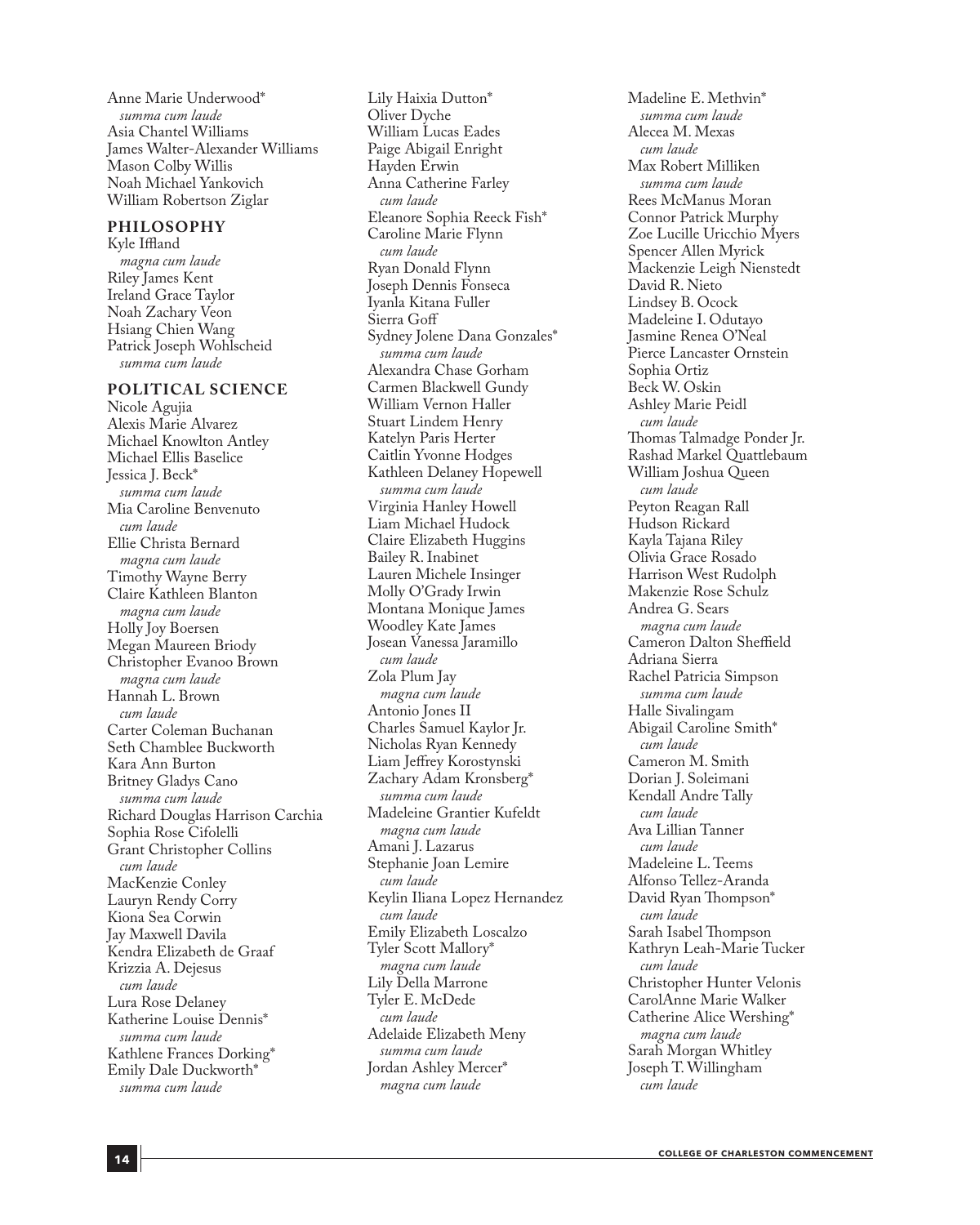Anne Marie Underwood\* *summa cum laude* Asia Chantel Williams James Walter-Alexander Williams Mason Colby Willis Noah Michael Yankovich William Robertson Ziglar

#### **PHILOSOPHY**

Kyle Iffland *magna cum laude* Riley James Kent Ireland Grace Taylor Noah Zachary Veon Hsiang Chien Wang Patrick Joseph Wohlscheid *summa cum laude*

#### **POLITICAL SCIENCE**

Nicole Agujia Alexis Marie Alvarez Michael Knowlton Antley Michael Ellis Baselice Jessica J. Beck\* *summa cum laude* Mia Caroline Benvenuto *cum laude* Ellie Christa Bernard *magna cum laude* Timothy Wayne Berry Claire Kathleen Blanton *magna cum laude* Holly Joy Boersen Megan Maureen Briody Christopher Evanoo Brown *magna cum laude* Hannah L. Brown *cum laude* Carter Coleman Buchanan Seth Chamblee Buckworth Kara Ann Burton Britney Gladys Cano *summa cum laude* Richard Douglas Harrison Carchia Sophia Rose Cifolelli Grant Christopher Collins *cum laude* MacKenzie Conley Lauryn Rendy Corry Kiona Sea Corwin Jay Maxwell Davila Kendra Elizabeth de Graaf Krizzia A. Dejesus *cum laude* Lura Rose Delaney Katherine Louise Dennis\* *summa cum laude* Kathlene Frances Dorking\* Emily Dale Duckworth\* *summa cum laude*

Lily Haixia Dutton\* Oliver Dyche William Lucas Eades Paige Abigail Enright Hayden Erwin Anna Catherine Farley *cum laude* Eleanore Sophia Reeck Fish\* Caroline Marie Flynn *cum laude* Ryan Donald Flynn Joseph Dennis Fonseca Iyanla Kitana Fuller Sierra Goff Sydney Jolene Dana Gonzales\* *summa cum laude* Alexandra Chase Gorham Carmen Blackwell Gundy William Vernon Haller Stuart Lindem Henry Katelyn Paris Herter Caitlin Yvonne Hodges Kathleen Delaney Hopewell *summa cum laude* Virginia Hanley Howell Liam Michael Hudock Claire Elizabeth Huggins Bailey R. Inabinet Lauren Michele Insinger Molly O'Grady Irwin Montana Monique James Woodley Kate James Josean Vanessa Jaramillo *cum laude* Zola Plum Jay *magna cum laude* Antonio Jones II Charles Samuel Kaylor Jr. Nicholas Ryan Kennedy Liam Jeffrey Korostynski Zachary Adam Kronsberg\* *summa cum laude* Madeleine Grantier Kufeldt *magna cum laude* Amani J. Lazarus Stephanie Joan Lemire *cum laude* Keylin Iliana Lopez Hernandez *cum laude* Emily Elizabeth Loscalzo Tyler Scott Mallory\* *magna cum laude* Lily Della Marrone Tyler E. McDede *cum laude* Adelaide Elizabeth Meny *summa cum laude* Jordan Ashley Mercer\* *magna cum laude*

Madeline E. Methvin\* *summa cum laude* Alecea M. Mexas *cum laude* Max Robert Milliken *summa cum laude* Rees McManus Moran Connor Patrick Murphy Zoe Lucille Uricchio Myers Spencer Allen Myrick Mackenzie Leigh Nienstedt David R. Nieto Lindsey B. Ocock Madeleine I. Odutayo Jasmine Renea O'Neal Pierce Lancaster Ornstein Sophia Ortiz Beck W. Oskin Ashley Marie Peidl *cum laude* Thomas Talmadge Ponder Jr. Rashad Markel Quattlebaum William Joshua Queen *cum laude* Peyton Reagan Rall Hudson Rickard Kayla Tajana Riley Olivia Grace Rosado Harrison West Rudolph Makenzie Rose Schulz Andrea G. Sears *magna cum laude* Cameron Dalton Sheffield Adriana Sierra Rachel Patricia Simpson *summa cum laude* Halle Sivalingam Abigail Caroline Smith\* *cum laude* Cameron M. Smith Dorian J. Soleimani Kendall Andre Tally *cum laude* Ava Lillian Tanner *cum laude* Madeleine L. Teems Alfonso Tellez-Aranda David Ryan Thompson\* *cum laude* Sarah Isabel Thompson Kathryn Leah-Marie Tucker *cum laude* Christopher Hunter Velonis CarolAnne Marie Walker Catherine Alice Wershing\* *magna cum laude* Sarah Morgan Whitley Joseph T. Willingham *cum laude*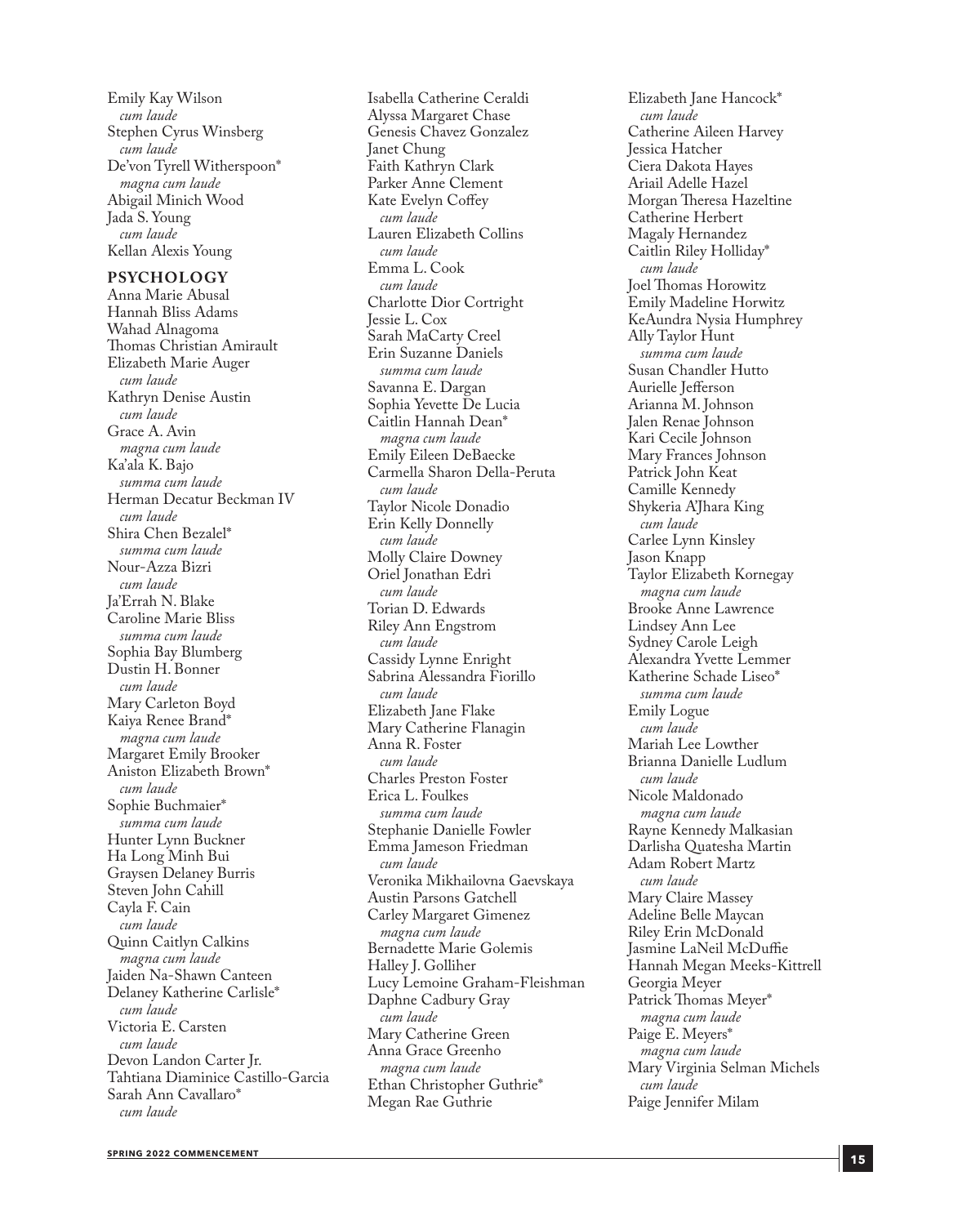Emily Kay Wilson *cum laude* Stephen Cyrus Winsberg *cum laude* De'von Tyrell Witherspoon\* *magna cum laude* Abigail Minich Wood Jada S. Young *cum laude* Kellan Alexis Young

#### **PSYCHOLOGY**

Anna Marie Abusal Hannah Bliss Adams Wahad Alnagoma Thomas Christian Amirault Elizabeth Marie Auger *cum laude* Kathryn Denise Austin *cum laude* Grace A. Avin *magna cum laude* Ka'ala K. Bajo *summa cum laude* Herman Decatur Beckman IV *cum laude* Shira Chen Bezalel\* *summa cum laude* Nour-Azza Bizri *cum laude* Ja'Errah N. Blake Caroline Marie Bliss *summa cum laude* Sophia Bay Blumberg Dustin H. Bonner *cum laude* Mary Carleton Boyd Kaiya Renee Brand\* *magna cum laude* Margaret Emily Brooker Aniston Elizabeth Brown\* *cum laude* Sophie Buchmaier\* *summa cum laude* Hunter Lynn Buckner Ha Long Minh Bui Graysen Delaney Burris Steven John Cahill Cayla F. Cain *cum laude* Quinn Caitlyn Calkins *magna cum laude* Jaiden Na-Shawn Canteen Delaney Katherine Carlisle\* *cum laude* Victoria E. Carsten *cum laude* Devon Landon Carter Jr. Tahtiana Diaminice Castillo-Garcia Sarah Ann Cavallaro\* *cum laude*

Isabella Catherine Ceraldi Alyssa Margaret Chase Genesis Chavez Gonzalez Janet Chung Faith Kathryn Clark Parker Anne Clement Kate Evelyn Coffey *cum laude* Lauren Elizabeth Collins *cum laude* Emma L. Cook *cum laude* Charlotte Dior Cortright Jessie L. Cox Sarah MaCarty Creel Erin Suzanne Daniels *summa cum laude* Savanna E. Dargan Sophia Yevette De Lucia Caitlin Hannah Dean\* *magna cum laude* Emily Eileen DeBaecke Carmella Sharon Della-Peruta *cum laude* Taylor Nicole Donadio Erin Kelly Donnelly *cum laude* Molly Claire Downey Oriel Jonathan Edri *cum laude* Torian D. Edwards Riley Ann Engstrom *cum laude* Cassidy Lynne Enright Sabrina Alessandra Fiorillo *cum laude* Elizabeth Jane Flake Mary Catherine Flanagin Anna R. Foster *cum laude* Charles Preston Foster Erica L. Foulkes *summa cum laude* Stephanie Danielle Fowler Emma Jameson Friedman *cum laude* Veronika Mikhailovna Gaevskaya Austin Parsons Gatchell Carley Margaret Gimenez *magna cum laude* Bernadette Marie Golemis Halley J. Golliher Lucy Lemoine Graham-Fleishman Daphne Cadbury Gray *cum laude* Mary Catherine Green Anna Grace Greenho *magna cum laude* Ethan Christopher Guthrie\* Megan Rae Guthrie

Elizabeth Jane Hancock\* *cum laude* Catherine Aileen Harvey Jessica Hatcher Ciera Dakota Hayes Ariail Adelle Hazel Morgan Theresa Hazeltine Catherine Herbert Magaly Hernandez Caitlin Riley Holliday\* *cum laude* Joel Thomas Horowitz Emily Madeline Horwitz KeAundra Nysia Humphrey Ally Taylor Hunt *summa cum laude* Susan Chandler Hutto Aurielle Jefferson Arianna M. Johnson Jalen Renae Johnson Kari Cecile Johnson Mary Frances Johnson Patrick John Keat Camille Kennedy Shykeria A'Jhara King *cum laude* Carlee Lynn Kinsley Jason Knapp Taylor Elizabeth Kornegay *magna cum laude* Brooke Anne Lawrence Lindsey Ann Lee Sydney Carole Leigh Alexandra Yvette Lemmer Katherine Schade Liseo\* *summa cum laude* Emily Logue *cum laude* Mariah Lee Lowther Brianna Danielle Ludlum *cum laude* Nicole Maldonado *magna cum laude* Rayne Kennedy Malkasian Darlisha Quatesha Martin Adam Robert Martz *cum laude* Mary Claire Massey Adeline Belle Maycan Riley Erin McDonald Jasmine LaNeil McDuffie Hannah Megan Meeks-Kittrell Georgia Meyer Patrick Thomas Meyer\* *magna cum laude* Paige E. Meyers\* *magna cum laude* Mary Virginia Selman Michels *cum laude* Paige Jennifer Milam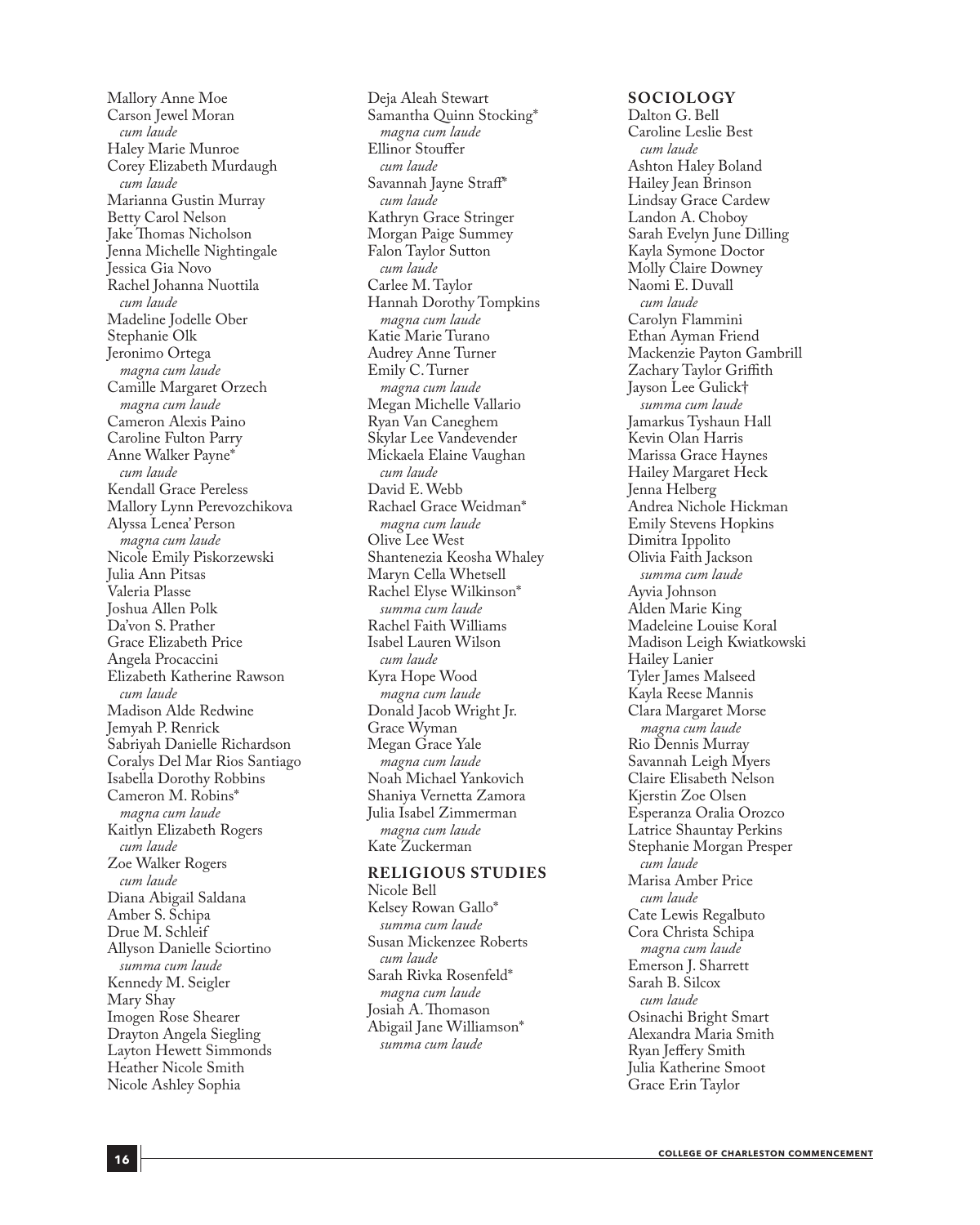Mallory Anne Moe Carson Jewel Moran *cum laude* Haley Marie Munroe Corey Elizabeth Murdaugh *cum laude* Marianna Gustin Murray Betty Carol Nelson Jake Thomas Nicholson Jenna Michelle Nightingale Jessica Gia Novo Rachel Johanna Nuottila *cum laude* Madeline Jodelle Ober Stephanie Olk Jeronimo Ortega *magna cum laude* Camille Margaret Orzech *magna cum laude* Cameron Alexis Paino Caroline Fulton Parry Anne Walker Payne\* *cum laude* Kendall Grace Pereless Mallory Lynn Perevozchikova Alyssa Lenea' Person *magna cum laude* Nicole Emily Piskorzewski Julia Ann Pitsas Valeria Plasse Joshua Allen Polk Da'von S. Prather Grace Elizabeth Price Angela Procaccini Elizabeth Katherine Rawson *cum laude* Madison Alde Redwine Jemyah P. Renrick Sabriyah Danielle Richardson Coralys Del Mar Rios Santiago Isabella Dorothy Robbins Cameron M. Robins\* *magna cum laude* Kaitlyn Elizabeth Rogers *cum laude* Zoe Walker Rogers *cum laude* Diana Abigail Saldana Amber S. Schipa Drue M. Schleif Allyson Danielle Sciortino *summa cum laude* Kennedy M. Seigler Mary Shay Imogen Rose Shearer Drayton Angela Siegling Layton Hewett Simmonds Heather Nicole Smith Nicole Ashley Sophia

Deja Aleah Stewart Samantha Quinn Stocking\* *magna cum laude* Ellinor Stouffer *cum laude* Savannah Jayne Straff\* *cum laude* Kathryn Grace Stringer Morgan Paige Summey Falon Taylor Sutton *cum laude* Carlee M. Taylor Hannah Dorothy Tompkins *magna cum laude* Katie Marie Turano Audrey Anne Turner Emily C. Turner *magna cum laude* Megan Michelle Vallario Ryan Van Caneghem Skylar Lee Vandevender Mickaela Elaine Vaughan *cum laude* David E. Webb Rachael Grace Weidman\* *magna cum laude* Olive Lee West Shantenezia Keosha Whaley Maryn Cella Whetsell Rachel Elyse Wilkinson\* *summa cum laude* Rachel Faith Williams Isabel Lauren Wilson *cum laude* Kyra Hope Wood *magna cum laude* Donald Jacob Wright Jr. Grace Wyman Megan Grace Yale *magna cum laude* Noah Michael Yankovich Shaniya Vernetta Zamora Julia Isabel Zimmerman *magna cum laude* Kate Zuckerman

#### **RELIGIOUS STUDIES**

Nicole Bell Kelsey Rowan Gallo\* *summa cum laude* Susan Mickenzee Roberts *cum laude* Sarah Rivka Rosenfeld\* *magna cum laude* Josiah A. Thomason Abigail Jane Williamson\* *summa cum laude*

#### **SOCIOLOGY**

Dalton G. Bell Caroline Leslie Best *cum laude* Ashton Haley Boland Hailey Jean Brinson Lindsay Grace Cardew Landon A. Choboy Sarah Evelyn June Dilling Kayla Symone Doctor Molly Claire Downey Naomi E. Duvall *cum laude* Carolyn Flammini Ethan Ayman Friend Mackenzie Payton Gambrill Zachary Taylor Griffith Jayson Lee Gulick† *summa cum laude* Jamarkus Tyshaun Hall Kevin Olan Harris Marissa Grace Haynes Hailey Margaret Heck Jenna Helberg Andrea Nichole Hickman Emily Stevens Hopkins Dimitra Ippolito Olivia Faith Jackson *summa cum laude* Ayvia Johnson Alden Marie King Madeleine Louise Koral Madison Leigh Kwiatkowski Hailey Lanier Tyler James Malseed Kayla Reese Mannis Clara Margaret Morse *magna cum laude* Rio Dennis Murray Savannah Leigh Myers Claire Elisabeth Nelson Kjerstin Zoe Olsen Esperanza Oralia Orozco Latrice Shauntay Perkins Stephanie Morgan Presper *cum laude* Marisa Amber Price *cum laude* Cate Lewis Regalbuto Cora Christa Schipa *magna cum laude* Emerson J. Sharrett Sarah B. Silcox *cum laude* Osinachi Bright Smart Alexandra Maria Smith Ryan Jeffery Smith Julia Katherine Smoot Grace Erin Taylor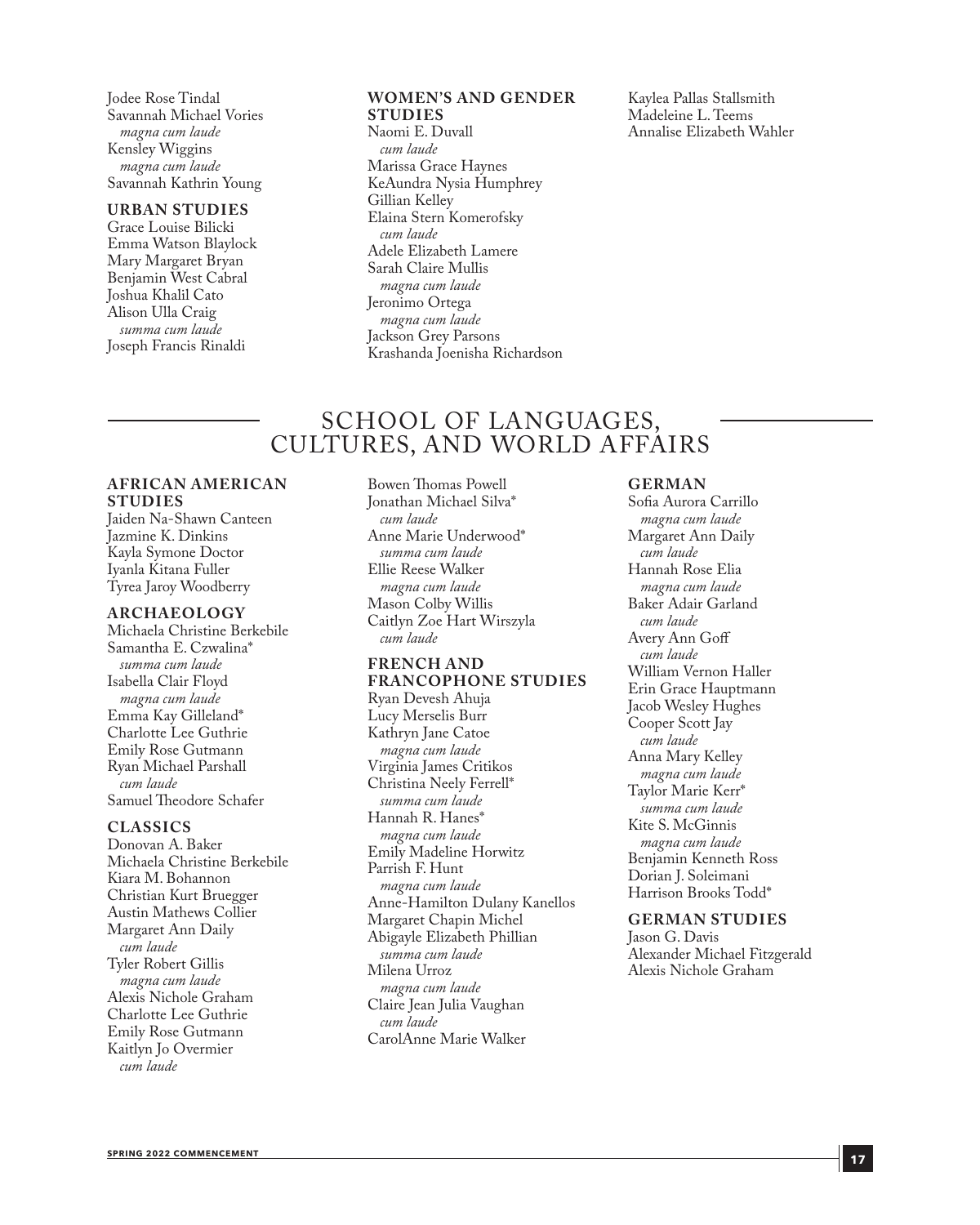Jodee Rose Tindal Savannah Michael Vories *magna cum laude* Kensley Wiggins *magna cum laude* Savannah Kathrin Young

#### **URBAN STUDIES**

Grace Louise Bilicki Emma Watson Blaylock Mary Margaret Bryan Benjamin West Cabral Joshua Khalil Cato Alison Ulla Craig *summa cum laude* Joseph Francis Rinaldi

#### **WOMEN'S AND GENDER STUDIES**

Naomi E. Duvall *cum laude* Marissa Grace Haynes KeAundra Nysia Humphrey Gillian Kelley Elaina Stern Komerofsky *cum laude* Adele Elizabeth Lamere Sarah Claire Mullis *magna cum laude* Jeronimo Ortega *magna cum laude* Jackson Grey Parsons Krashanda Joenisha Richardson

Kaylea Pallas Stallsmith Madeleine L. Teems Annalise Elizabeth Wahler

### SCHOOL OF LANGUAGES, CULTURES, AND WORLD AFFAIRS

#### **AFRICAN AMERICAN STUDIES**

Jaiden Na-Shawn Canteen Jazmine K. Dinkins Kayla Symone Doctor Iyanla Kitana Fuller Tyrea Jaroy Woodberry

#### **ARCHAEOLOGY**

Michaela Christine Berkebile Samantha E. Czwalina\* *summa cum laude* Isabella Clair Floyd *magna cum laude* Emma Kay Gilleland\* Charlotte Lee Guthrie Emily Rose Gutmann Ryan Michael Parshall *cum laude* Samuel Theodore Schafer

#### **CLASSICS**

Donovan A. Baker Michaela Christine Berkebile Kiara M. Bohannon Christian Kurt Bruegger Austin Mathews Collier Margaret Ann Daily *cum laude* Tyler Robert Gillis *magna cum laude* Alexis Nichole Graham Charlotte Lee Guthrie Emily Rose Gutmann Kaitlyn Jo Overmier *cum laude*

Bowen Thomas Powell Jonathan Michael Silva\* *cum laude* Anne Marie Underwood\* *summa cum laude* Ellie Reese Walker *magna cum laude* Mason Colby Willis Caitlyn Zoe Hart Wirszyla *cum laude*

#### **FRENCH AND FRANCOPHONE STUDIES** Ryan Devesh Ahuja Lucy Merselis Burr Kathryn Jane Catoe *magna cum laude*

Virginia James Critikos Christina Neely Ferrell\* *summa cum laude* Hannah R. Hanes\* *magna cum laude* Emily Madeline Horwitz Parrish F. Hunt *magna cum laude* Anne-Hamilton Dulany Kanellos Margaret Chapin Michel Abigayle Elizabeth Phillian *summa cum laude* Milena Urroz *magna cum laude* Claire Jean Julia Vaughan *cum laude* CarolAnne Marie Walker

#### **GERMAN**

Sofia Aurora Carrillo *magna cum laude* Margaret Ann Daily *cum laude* Hannah Rose Elia *magna cum laude* Baker Adair Garland *cum laude* Avery Ann Goff *cum laude* William Vernon Haller Erin Grace Hauptmann Jacob Wesley Hughes Cooper Scott Jay *cum laude* Anna Mary Kelley *magna cum laude* Taylor Marie Kerr\* *summa cum laude* Kite S. McGinnis *magna cum laude* Benjamin Kenneth Ross Dorian J. Soleimani Harrison Brooks Todd\*

**GERMAN STUDIES** Jason G. Davis Alexander Michael Fitzgerald Alexis Nichole Graham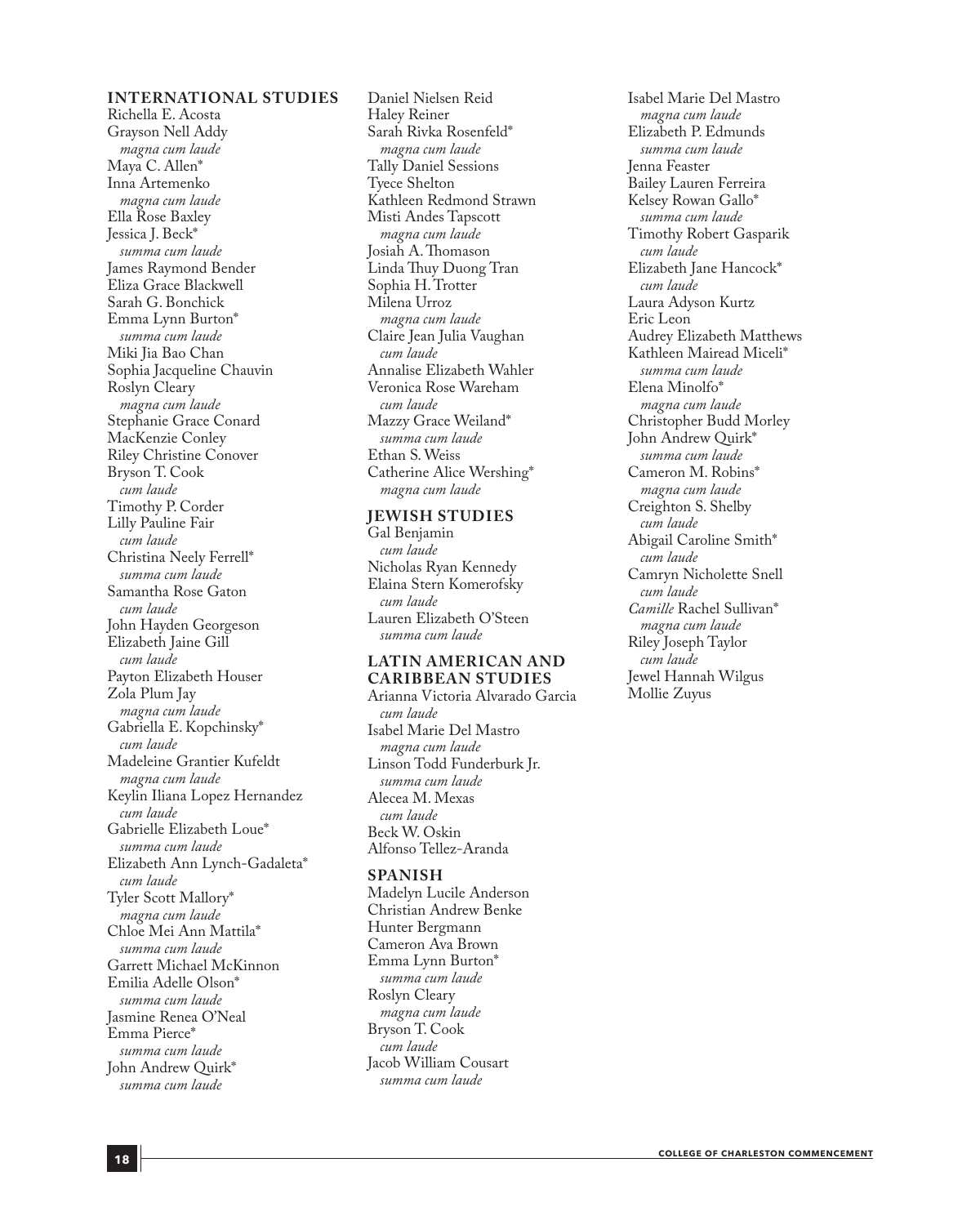#### **INTERNATIONAL STUDIES**

Richella E. Acosta Grayson Nell Addy *magna cum laude* Maya C. Allen\* Inna Artemenko *magna cum laude* Ella Rose Baxley Jessica J. Beck\* *summa cum laude* James Raymond Bender Eliza Grace Blackwell Sarah G. Bonchick Emma Lynn Burton\* *summa cum laude* Miki Jia Bao Chan Sophia Jacqueline Chauvin Roslyn Cleary *magna cum laude* Stephanie Grace Conard MacKenzie Conley Riley Christine Conover Bryson T. Cook *cum laude* Timothy P. Corder Lilly Pauline Fair *cum laude* Christina Neely Ferrell\* *summa cum laude* Samantha Rose Gaton *cum laude* John Hayden Georgeson Elizabeth Jaine Gill *cum laude* Payton Elizabeth Houser Zola Plum Jay *magna cum laude* Gabriella E. Kopchinsky\* *cum laude* Madeleine Grantier Kufeldt *magna cum laude* Keylin Iliana Lopez Hernandez *cum laude* Gabrielle Elizabeth Loue\* *summa cum laude* Elizabeth Ann Lynch-Gadaleta\* *cum laude* Tyler Scott Mallory\* *magna cum laude* Chloe Mei Ann Mattila\* *summa cum laude* Garrett Michael McKinnon Emilia Adelle Olson\* *summa cum laude* Jasmine Renea O'Neal Emma Pierce\* *summa cum laude* John Andrew Quirk\* *summa cum laude*

Daniel Nielsen Reid Haley Reiner Sarah Rivka Rosenfeld\* *magna cum laude* Tally Daniel Sessions Tyece Shelton Kathleen Redmond Strawn Misti Andes Tapscott *magna cum laude* Josiah A. Thomason Linda Thuy Duong Tran Sophia H. Trotter Milena Urroz *magna cum laude* Claire Jean Julia Vaughan *cum laude* Annalise Elizabeth Wahler Veronica Rose Wareham *cum laude* Mazzy Grace Weiland\* *summa cum laude* Ethan S. Weiss Catherine Alice Wershing\* *magna cum laude*

#### **JEWISH STUDIES**

Gal Benjamin *cum laude* Nicholas Ryan Kennedy Elaina Stern Komerofsky *cum laude* Lauren Elizabeth O'Steen *summa cum laude*

#### **LATIN AMERICAN AND CARIBBEAN STUDIES**

Arianna Victoria Alvarado Garcia *cum laude* Isabel Marie Del Mastro *magna cum laude* Linson Todd Funderburk Jr. *summa cum laude* Alecea M. Mexas *cum laude* Beck W. Oskin Alfonso Tellez-Aranda

#### **SPANISH**

Madelyn Lucile Anderson Christian Andrew Benke Hunter Bergmann Cameron Ava Brown Emma Lynn Burton\* *summa cum laude* Roslyn Cleary *magna cum laude* Bryson T. Cook *cum laude* Jacob William Cousart *summa cum laude*

Isabel Marie Del Mastro *magna cum laude* Elizabeth P. Edmunds *summa cum laude* Jenna Feaster Bailey Lauren Ferreira Kelsey Rowan Gallo\* *summa cum laude* Timothy Robert Gasparik *cum laude* Elizabeth Jane Hancock\* *cum laude* Laura Adyson Kurtz Eric Leon Audrey Elizabeth Matthews Kathleen Mairead Miceli\* *summa cum laude* Elena Minolfo\* *magna cum laude* Christopher Budd Morley John Andrew Quirk\* *summa cum laude* Cameron M. Robins\* *magna cum laude* Creighton S. Shelby *cum laude* Abigail Caroline Smith\* *cum laude* Camryn Nicholette Snell *cum laude Camille* Rachel Sullivan\* *magna cum laude* Riley Joseph Taylor *cum laude* Jewel Hannah Wilgus Mollie Zuyus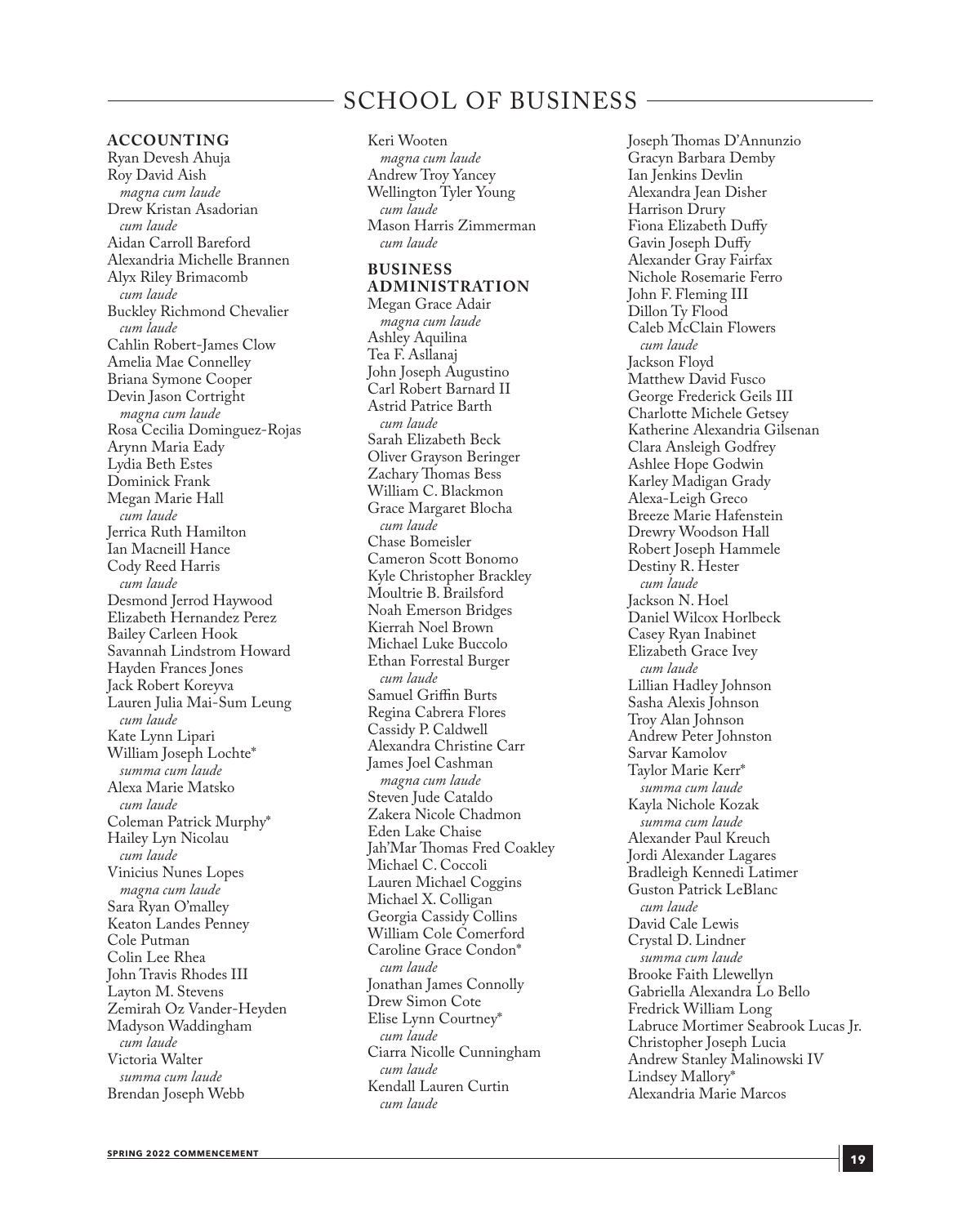### SCHOOL OF BUSINESS

#### **ACCOUNTING**

Ryan Devesh Ahuja Roy David Aish *magna cum laude* Drew Kristan Asadorian *cum laude* Aidan Carroll Bareford Alexandria Michelle Brannen Alyx Riley Brimacomb *cum laude* Buckley Richmond Chevalier *cum laude* Cahlin Robert-James Clow Amelia Mae Connelley Briana Symone Cooper Devin Jason Cortright *magna cum laude* Rosa Cecilia Dominguez-Rojas Arynn Maria Eady Lydia Beth Estes Dominick Frank Megan Marie Hall *cum laude* Jerrica Ruth Hamilton Ian Macneill Hance Cody Reed Harris *cum laude* Desmond Jerrod Haywood Elizabeth Hernandez Perez Bailey Carleen Hook Savannah Lindstrom Howard Hayden Frances Jones Jack Robert Koreyva Lauren Julia Mai-Sum Leung *cum laude* Kate Lynn Lipari William Joseph Lochte\* *summa cum laude* Alexa Marie Matsko *cum laude* Coleman Patrick Murphy\* Hailey Lyn Nicolau *cum laude* Vinicius Nunes Lopes *magna cum laude* Sara Ryan O'malley Keaton Landes Penney Cole Putman Colin Lee Rhea John Travis Rhodes III Layton M. Stevens Zemirah Oz Vander-Heyden Madyson Waddingham *cum laude* Victoria Walter *summa cum laude* Brendan Joseph Webb

Keri Wooten

*magna cum laude* Andrew Troy Yancey Wellington Tyler Young *cum laude* Mason Harris Zimmerman *cum laude*

#### **BUSINESS ADMINISTRATION**

Megan Grace Adair *magna cum laude* Ashley Aquilina Tea F. Asllanaj John Joseph Augustino Carl Robert Barnard II Astrid Patrice Barth *cum laude* Sarah Elizabeth Beck Oliver Grayson Beringer Zachary Thomas Bess William C. Blackmon Grace Margaret Blocha *cum laude* Chase Bomeisler Cameron Scott Bonomo Kyle Christopher Brackley Moultrie B. Brailsford Noah Emerson Bridges Kierrah Noel Brown Michael Luke Buccolo Ethan Forrestal Burger *cum laude* Samuel Griffin Burts Regina Cabrera Flores Cassidy P. Caldwell Alexandra Christine Carr James Joel Cashman *magna cum laude* Steven Jude Cataldo Zakera Nicole Chadmon Eden Lake Chaise Jah'Mar Thomas Fred Coakley Michael C. Coccoli Lauren Michael Coggins Michael X. Colligan Georgia Cassidy Collins William Cole Comerford Caroline Grace Condon\* *cum laude* Jonathan James Connolly Drew Simon Cote Elise Lynn Courtney\* *cum laude* Ciarra Nicolle Cunningham *cum laude* Kendall Lauren Curtin *cum laude*

Joseph Thomas D'Annunzio Gracyn Barbara Demby Ian Jenkins Devlin Alexandra Jean Disher Harrison Drury Fiona Elizabeth Duffy Gavin Joseph Duffy Alexander Gray Fairfax Nichole Rosemarie Ferro John F. Fleming III Dillon Ty Flood Caleb McClain Flowers *cum laude* Jackson Floyd Matthew David Fusco George Frederick Geils III Charlotte Michele Getsey Katherine Alexandria Gilsenan Clara Ansleigh Godfrey Ashlee Hope Godwin Karley Madigan Grady Alexa-Leigh Greco Breeze Marie Hafenstein Drewry Woodson Hall Robert Joseph Hammele Destiny R. Hester *cum laude* Jackson N. Hoel Daniel Wilcox Horlbeck Casey Ryan Inabinet Elizabeth Grace Ivey *cum laude* Lillian Hadley Johnson Sasha Alexis Johnson Troy Alan Johnson Andrew Peter Johnston Sarvar Kamolov Taylor Marie Kerr\* *summa cum laude* Kayla Nichole Kozak *summa cum laude* Alexander Paul Kreuch Jordi Alexander Lagares Bradleigh Kennedi Latimer Guston Patrick LeBlanc *cum laude* David Cale Lewis Crystal D. Lindner *summa cum laude* Brooke Faith Llewellyn Gabriella Alexandra Lo Bello Fredrick William Long Labruce Mortimer Seabrook Lucas Jr. Christopher Joseph Lucia Andrew Stanley Malinowski IV Lindsey Mallory\* Alexandria Marie Marcos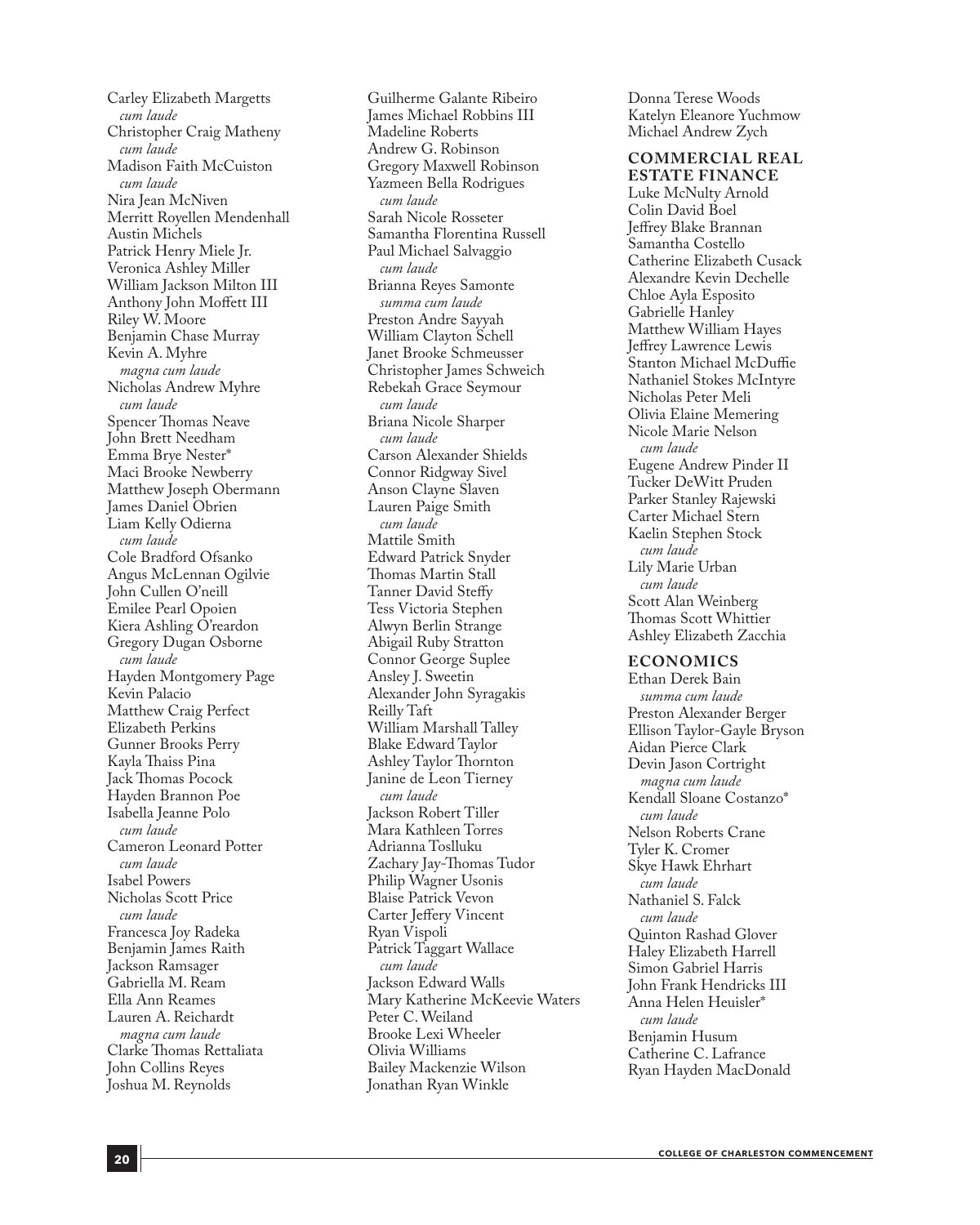Carley Elizabeth Margetts *cum laude* Christopher Craig Matheny *cum laude* Madison Faith McCuiston *cum laude* Nira Jean McNiven Merritt Royellen Mendenhall Austin Michels Patrick Henry Miele Jr. Veronica Ashley Miller William Jackson Milton III Anthony John Moffett III Riley W. Moore Benjamin Chase Murray Kevin A. Myhre *magna cum laude* Nicholas Andrew Myhre *cum laude* Spencer Thomas Neave John Brett Needham Emma Brye Nester\* Maci Brooke Newberry Matthew Joseph Obermann James Daniel Obrien Liam Kelly Odierna *cum laude* Cole Bradford Ofsanko Angus McLennan Ogilvie John Cullen O'neill Emilee Pearl Opoien Kiera Ashling O'reardon Gregory Dugan Osborne *cum laude* Hayden Montgomery Page Kevin Palacio Matthew Craig Perfect Elizabeth Perkins Gunner Brooks Perry Kayla Thaiss Pina Jack Thomas Pocock Hayden Brannon Poe Isabella Jeanne Polo *cum laude* Cameron Leonard Potter *cum laude* Isabel Powers Nicholas Scott Price *cum laude* Francesca Joy Radeka Benjamin James Raith Jackson Ramsager Gabriella M. Ream Ella Ann Reames Lauren A. Reichardt *magna cum laude* Clarke Thomas Rettaliata John Collins Reyes Joshua M. Reynolds

Guilherme Galante Ribeiro James Michael Robbins III Madeline Roberts Andrew G. Robinson Gregory Maxwell Robinson Yazmeen Bella Rodrigues *cum laude* Sarah Nicole Rosseter Samantha Florentina Russell Paul Michael Salvaggio *cum laude* Brianna Reyes Samonte *summa cum laude* Preston Andre Sayyah William Clayton Schell Janet Brooke Schmeusser Christopher James Schweich Rebekah Grace Seymour *cum laude* Briana Nicole Sharper *cum laude* Carson Alexander Shields Connor Ridgway Sivel Anson Clayne Slaven Lauren Paige Smith *cum laude* Mattile Smith Edward Patrick Snyder Thomas Martin Stall Tanner David Steffy Tess Victoria Stephen Alwyn Berlin Strange Abigail Ruby Stratton Connor George Suplee Ansley J. Sweetin Alexander John Syragakis Reilly Taft William Marshall Talley Blake Edward Taylor Ashley Taylor Thornton Janine de Leon Tierney *cum laude* Jackson Robert Tiller Mara Kathleen Torres Adrianna Toslluku Zachary Jay-Thomas Tudor Philip Wagner Usonis Blaise Patrick Vevon Carter Jeffery Vincent Ryan Vispoli Patrick Taggart Wallace *cum laude* Jackson Edward Walls Mary Katherine McKeevie Waters Peter C. Weiland Brooke Lexi Wheeler Olivia Williams Bailey Mackenzie Wilson Jonathan Ryan Winkle

Donna Terese Woods Katelyn Eleanore Yuchmow Michael Andrew Zych

**COMMERCIAL REAL ESTATE FINANCE** Luke McNulty Arnold Colin David Boel Jeffrey Blake Brannan Samantha Costello Catherine Elizabeth Cusack Alexandre Kevin Dechelle Chloe Ayla Esposito Gabrielle Hanley Matthew William Hayes Jeffrey Lawrence Lewis Stanton Michael McDuffie Nathaniel Stokes McIntyre Nicholas Peter Meli Olivia Elaine Memering Nicole Marie Nelson *cum laude* Eugene Andrew Pinder II Tucker DeWitt Pruden Parker Stanley Rajewski Carter Michael Stern Kaelin Stephen Stock *cum laude* Lily Marie Urban *cum laude* Scott Alan Weinberg Thomas Scott Whittier Ashley Elizabeth Zacchia

#### **ECONOMICS**

Ethan Derek Bain *summa cum laude* Preston Alexander Berger Ellison Taylor-Gayle Bryson Aidan Pierce Clark Devin Jason Cortright *magna cum laude* Kendall Sloane Costanzo\* *cum laude* Nelson Roberts Crane Tyler K. Cromer Skye Hawk Ehrhart *cum laude* Nathaniel S. Falck *cum laude* Quinton Rashad Glover Haley Elizabeth Harrell Simon Gabriel Harris John Frank Hendricks III Anna Helen Heuisler\* *cum laude* Benjamin Husum Catherine C. Lafrance Ryan Hayden MacDonald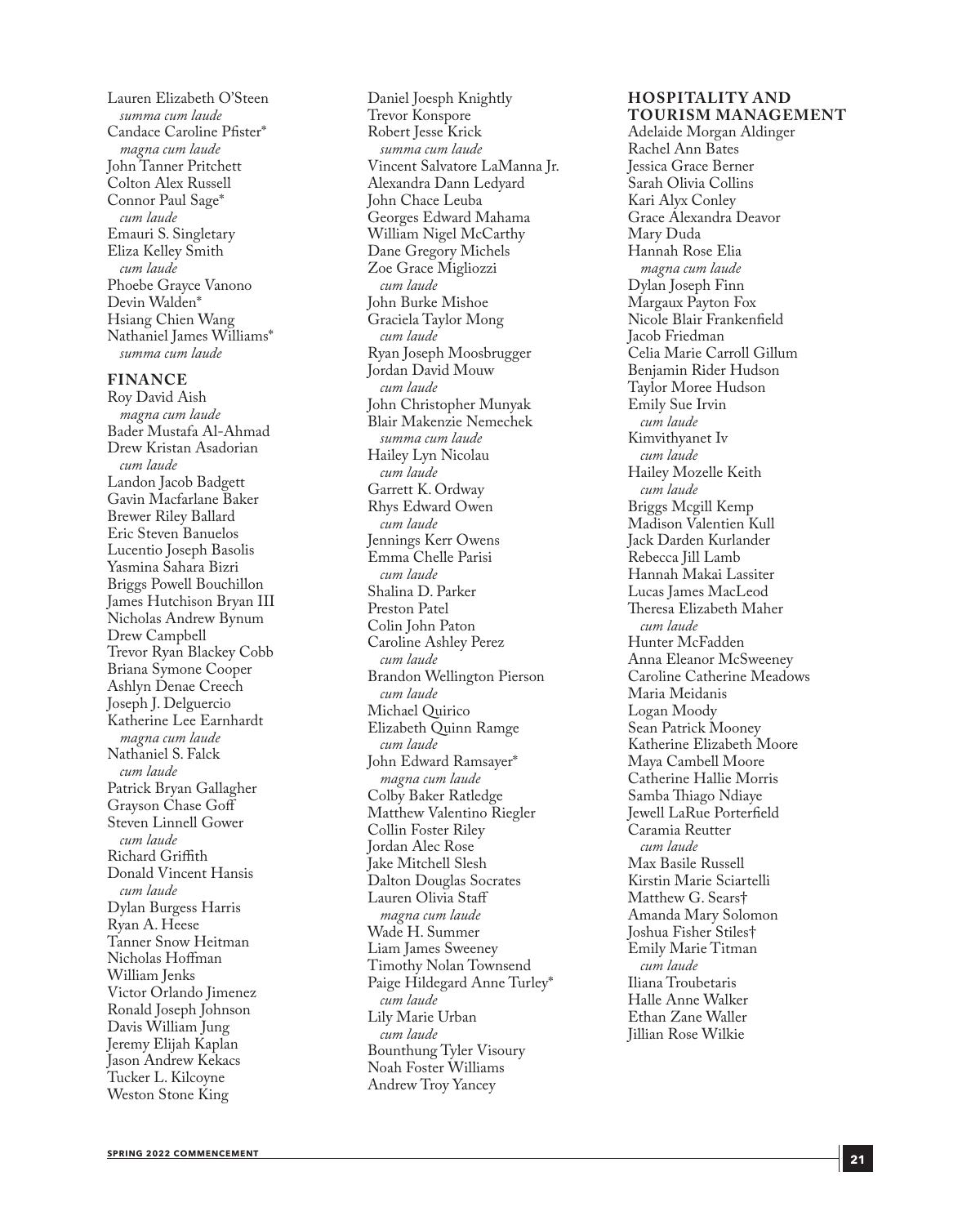Lauren Elizabeth O'Steen *summa cum laude* Candace Caroline Pfister\* *magna cum laude* John Tanner Pritchett Colton Alex Russell Connor Paul Sage\* *cum laude* Emauri S. Singletary Eliza Kelley Smith *cum laude* Phoebe Grayce Vanono Devin Walden\* Hsiang Chien Wang Nathaniel James Williams\* *summa cum laude*

**FINANCE**

Roy David Aish *magna cum laude* Bader Mustafa Al-Ahmad Drew Kristan Asadorian *cum laude* Landon Jacob Badgett Gavin Macfarlane Baker Brewer Riley Ballard Eric Steven Banuelos Lucentio Joseph Basolis Yasmina Sahara Bizri Briggs Powell Bouchillon James Hutchison Bryan III Nicholas Andrew Bynum Drew Campbell Trevor Ryan Blackey Cobb Briana Symone Cooper Ashlyn Denae Creech Joseph J. Delguercio Katherine Lee Earnhardt *magna cum laude* Nathaniel S. Falck *cum laude* Patrick Bryan Gallagher Grayson Chase Goff Steven Linnell Gower *cum laude* Richard Griffith Donald Vincent Hansis *cum laude* Dylan Burgess Harris Ryan A. Heese Tanner Snow Heitman Nicholas Hoffman William Jenks Victor Orlando Jimenez Ronald Joseph Johnson Davis William Jung Jeremy Elijah Kaplan Jason Andrew Kekacs Tucker L. Kilcoyne Weston Stone King

Daniel Joesph Knightly Trevor Konspore Robert Jesse Krick *summa cum laude* Vincent Salvatore LaManna Jr. Alexandra Dann Ledyard John Chace Leuba Georges Edward Mahama William Nigel McCarthy Dane Gregory Michels Zoe Grace Migliozzi *cum laude* John Burke Mishoe Graciela Taylor Mong *cum laude* Ryan Joseph Moosbrugger Jordan David Mouw *cum laude* John Christopher Munyak Blair Makenzie Nemechek *summa cum laude* Hailey Lyn Nicolau *cum laude* Garrett K. Ordway Rhys Edward Owen *cum laude* Jennings Kerr Owens Emma Chelle Parisi *cum laude* Shalina D. Parker Preston Patel Colin John Paton Caroline Ashley Perez *cum laude* Brandon Wellington Pierson *cum laude* Michael Quirico Elizabeth Quinn Ramge *cum laude* John Edward Ramsayer\* *magna cum laude* Colby Baker Ratledge Matthew Valentino Riegler Collin Foster Riley Jordan Alec Rose Jake Mitchell Slesh Dalton Douglas Socrates Lauren Olivia Staff *magna cum laude* Wade H. Summer Liam James Sweeney Timothy Nolan Townsend Paige Hildegard Anne Turley\* *cum laude* Lily Marie Urban *cum laude* Bounthung Tyler Visoury Noah Foster Williams Andrew Troy Yancey

#### **HOSPITALIT Y AND TOURISM MANAGEMENT**

Adelaide Morgan Aldinger Rachel Ann Bates Jessica Grace Berner Sarah Olivia Collins Kari Alyx Conley Grace Alexandra Deavor Mary Duda Hannah Rose Elia *magna cum laude* Dylan Joseph Finn Margaux Payton Fox Nicole Blair Frankenfield Jacob Friedman Celia Marie Carroll Gillum Benjamin Rider Hudson Taylor Moree Hudson Emily Sue Irvin *cum laude* Kimvithyanet Iv *cum laude* Hailey Mozelle Keith *cum laude* Briggs Mcgill Kemp Madison Valentien Kull Jack Darden Kurlander Rebecca Jill Lamb Hannah Makai Lassiter Lucas James MacLeod Theresa Elizabeth Maher *cum laude* Hunter McFadden Anna Eleanor McSweeney Caroline Catherine Meadows Maria Meidanis Logan Moody Sean Patrick Mooney Katherine Elizabeth Moore Maya Cambell Moore Catherine Hallie Morris Samba Thiago Ndiaye Jewell LaRue Porterfield Caramia Reutter *cum laude* Max Basile Russell Kirstin Marie Sciartelli Matthew G. Sears† Amanda Mary Solomon Joshua Fisher Stiles† Emily Marie Titman *cum laude* Iliana Troubetaris Halle Anne Walker Ethan Zane Waller Jillian Rose Wilkie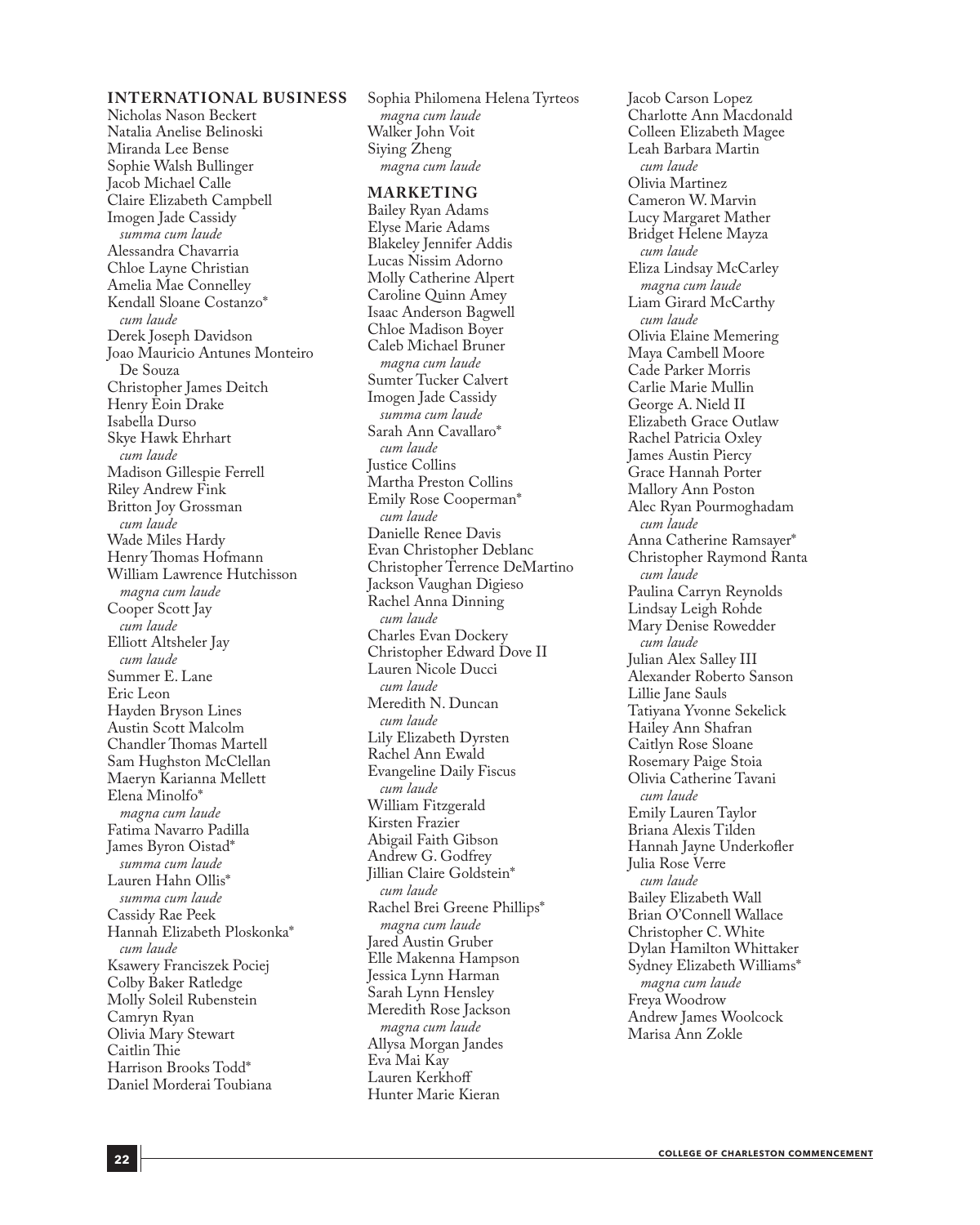#### **INTERNATIONAL BUSINESS**

Nicholas Nason Beckert Natalia Anelise Belinoski Miranda Lee Bense Sophie Walsh Bullinger Jacob Michael Calle Claire Elizabeth Campbell Imogen Jade Cassidy *summa cum laude* Alessandra Chavarria Chloe Layne Christian Amelia Mae Connelley Kendall Sloane Costanzo\* *cum laude* Derek Joseph Davidson Joao Mauricio Antunes Monteiro De Souza Christopher James Deitch Henry Eoin Drake Isabella Durso Skye Hawk Ehrhart *cum laude* Madison Gillespie Ferrell Riley Andrew Fink Britton Joy Grossman *cum laude* Wade Miles Hardy Henry Thomas Hofmann William Lawrence Hutchisson *magna cum laude* Cooper Scott Jay *cum laude* Elliott Altsheler Jay *cum laude* Summer E. Lane Eric Leon Hayden Bryson Lines Austin Scott Malcolm Chandler Thomas Martell Sam Hughston McClellan Maeryn Karianna Mellett Elena Minolfo\* *magna cum laude* Fatima Navarro Padilla James Byron Oistad\* *summa cum laude* Lauren Hahn Ollis\* *summa cum laude* Cassidy Rae Peek Hannah Elizabeth Ploskonka\* *cum laude* Ksawery Franciszek Pociej Colby Baker Ratledge Molly Soleil Rubenstein Camryn Ryan Olivia Mary Stewart Caitlin Thie Harrison Brooks Todd\* Daniel Morderai Toubiana

Sophia Philomena Helena Tyrteos *magna cum laude* Walker John Voit Siying Zheng *magna cum laude*

#### **MARKETING**

Bailey Ryan Adams Elyse Marie Adams Blakeley Jennifer Addis Lucas Nissim Adorno Molly Catherine Alpert Caroline Quinn Amey Isaac Anderson Bagwell Chloe Madison Boyer Caleb Michael Bruner *magna cum laude* Sumter Tucker Calvert Imogen Jade Cassidy *summa cum laude* Sarah Ann Cavallaro\* *cum laude* Justice Collins Martha Preston Collins Emily Rose Cooperman\* *cum laude* Danielle Renee Davis Evan Christopher Deblanc Christopher Terrence DeMartino Jackson Vaughan Digieso Rachel Anna Dinning *cum laude* Charles Evan Dockery Christopher Edward Dove II Lauren Nicole Ducci *cum laude* Meredith N. Duncan *cum laude* Lily Elizabeth Dyrsten Rachel Ann Ewald Evangeline Daily Fiscus *cum laude* William Fitzgerald Kirsten Frazier Abigail Faith Gibson Andrew G. Godfrey Jillian Claire Goldstein\* *cum laude* Rachel Brei Greene Phillips\* *magna cum laude* Jared Austin Gruber Elle Makenna Hampson Jessica Lynn Harman Sarah Lynn Hensley Meredith Rose Jackson *magna cum laude* Allysa Morgan Jandes Eva Mai Kay Lauren Kerkhoff Hunter Marie Kieran

Jacob Carson Lopez Charlotte Ann Macdonald Colleen Elizabeth Magee Leah Barbara Martin *cum laude* Olivia Martinez Cameron W. Marvin Lucy Margaret Mather Bridget Helene Mayza *cum laude* Eliza Lindsay McCarley *magna cum laude* Liam Girard McCarthy *cum laude* Olivia Elaine Memering Maya Cambell Moore Cade Parker Morris Carlie Marie Mullin George A. Nield II Elizabeth Grace Outlaw Rachel Patricia Oxley James Austin Piercy Grace Hannah Porter Mallory Ann Poston Alec Ryan Pourmoghadam *cum laude* Anna Catherine Ramsayer\* Christopher Raymond Ranta *cum laude* Paulina Carryn Reynolds Lindsay Leigh Rohde Mary Denise Rowedder *cum laude* Julian Alex Salley III Alexander Roberto Sanson Lillie Jane Sauls Tatiyana Yvonne Sekelick Hailey Ann Shafran Caitlyn Rose Sloane Rosemary Paige Stoia Olivia Catherine Tavani *cum laude* Emily Lauren Taylor Briana Alexis Tilden Hannah Jayne Underkofler Julia Rose Verre *cum laude* Bailey Elizabeth Wall Brian O'Connell Wallace Christopher C. White Dylan Hamilton Whittaker Sydney Elizabeth Williams\* *magna cum laude* Freya Woodrow Andrew James Woolcock Marisa Ann Zokle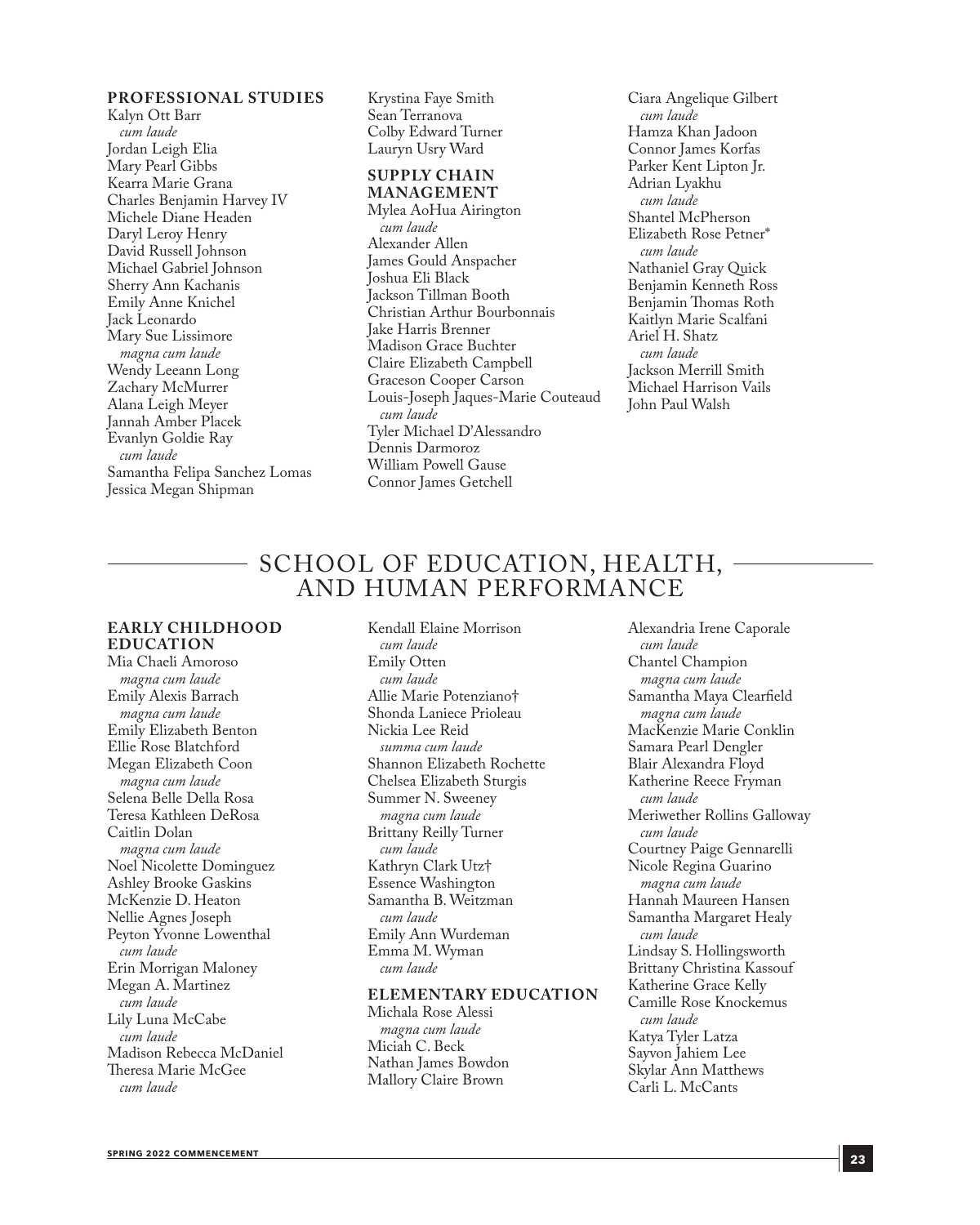#### **PROFESSIONAL STUDIES**

Kalyn Ott Barr *cum laude* Jordan Leigh Elia Mary Pearl Gibbs Kearra Marie Grana Charles Benjamin Harvey IV Michele Diane Headen Daryl Leroy Henry David Russell Johnson Michael Gabriel Johnson Sherry Ann Kachanis Emily Anne Knichel Jack Leonardo Mary Sue Lissimore *magna cum laude* Wendy Leeann Long Zachary McMurrer Alana Leigh Meyer Jannah Amber Placek Evanlyn Goldie Ray *cum laude* Samantha Felipa Sanchez Lomas Jessica Megan Shipman

Krystina Faye Smith Sean Terranova Colby Edward Turner Lauryn Usry Ward

#### **SUPPLY CHAIN MANAGEMENT**

Mylea AoHua Airington *cum laude* Alexander Allen James Gould Anspacher Joshua Eli Black Jackson Tillman Booth Christian Arthur Bourbonnais Jake Harris Brenner Madison Grace Buchter Claire Elizabeth Campbell Graceson Cooper Carson Louis-Joseph Jaques-Marie Couteaud *cum laude* Tyler Michael D'Alessandro Dennis Darmoroz William Powell Gause Connor James Getchell

Ciara Angelique Gilbert *cum laude* Hamza Khan Jadoon Connor James Korfas Parker Kent Lipton Jr. Adrian Lyakhu *cum laude* Shantel McPherson Elizabeth Rose Petner\* *cum laude* Nathaniel Gray Quick Benjamin Kenneth Ross Benjamin Thomas Roth Kaitlyn Marie Scalfani Ariel H. Shatz *cum laude*  Jackson Merrill Smith Michael Harrison Vails John Paul Walsh

### SCHOOL OF EDUCATION, HEALTH, AND HUMAN PERFORMANCE

#### **EARLY CHILDHOOD EDUCATION**

Mia Chaeli Amoroso *magna cum laude* Emily Alexis Barrach *magna cum laude* Emily Elizabeth Benton Ellie Rose Blatchford Megan Elizabeth Coon *magna cum laude* Selena Belle Della Rosa Teresa Kathleen DeRosa Caitlin Dolan *magna cum laude* Noel Nicolette Dominguez Ashley Brooke Gaskins McKenzie D. Heaton Nellie Agnes Joseph Peyton Yvonne Lowenthal *cum laude* Erin Morrigan Maloney Megan A. Martinez *cum laude* Lily Luna McCabe *cum laude* Madison Rebecca McDaniel Theresa Marie McGee *cum laude*

Kendall Elaine Morrison *cum laude* Emily Otten *cum laude* Allie Marie Potenziano† Shonda Laniece Prioleau Nickia Lee Reid *summa cum laude* Shannon Elizabeth Rochette Chelsea Elizabeth Sturgis Summer N. Sweeney *magna cum laude* Brittany Reilly Turner *cum laude* Kathryn Clark Utz† Essence Washington Samantha B. Weitzman *cum laude* Emily Ann Wurdeman Emma M. Wyman *cum laude*

#### **ELEMENTARY EDUCATION**

Michala Rose Alessi *magna cum laude* Miciah C. Beck Nathan James Bowdon Mallory Claire Brown

Alexandria Irene Caporale *cum laude* Chantel Champion *magna cum laude* Samantha Maya Clearfield *magna cum laude* MacKenzie Marie Conklin Samara Pearl Dengler Blair Alexandra Floyd Katherine Reece Fryman *cum laude* Meriwether Rollins Galloway *cum laude* Courtney Paige Gennarelli Nicole Regina Guarino *magna cum laude* Hannah Maureen Hansen Samantha Margaret Healy *cum laude* Lindsay S. Hollingsworth Brittany Christina Kassouf Katherine Grace Kelly Camille Rose Knockemus *cum laude* Katya Tyler Latza Sayvon Jahiem Lee Skylar Ann Matthews Carli L. McCants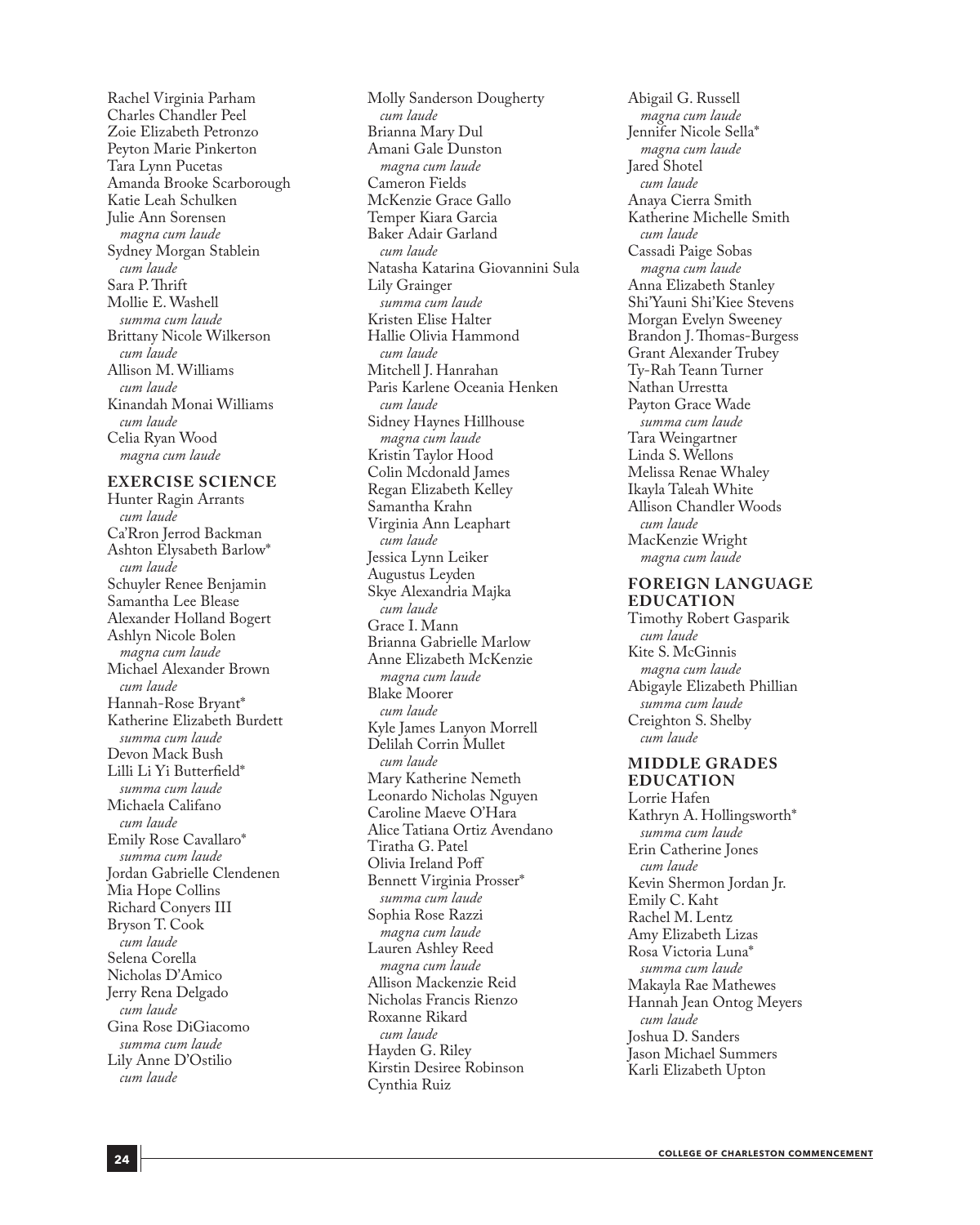Rachel Virginia Parham Charles Chandler Peel Zoie Elizabeth Petronzo Peyton Marie Pinkerton Tara Lynn Pucetas Amanda Brooke Scarborough Katie Leah Schulken Julie Ann Sorensen *magna cum laude* Sydney Morgan Stablein *cum laude* Sara P. Thrift Mollie E. Washell *summa cum laude* Brittany Nicole Wilkerson *cum laude* Allison M. Williams *cum laude* Kinandah Monai Williams *cum laude* Celia Ryan Wood *magna cum laude*

#### **EXERCISE SCIENCE**

Hunter Ragin Arrants *cum laude* Ca'Rron Jerrod Backman Ashton Elysabeth Barlow\* *cum laude* Schuyler Renee Benjamin Samantha Lee Blease Alexander Holland Bogert Ashlyn Nicole Bolen *magna cum laude* Michael Alexander Brown *cum laude* Hannah-Rose Bryant\* Katherine Elizabeth Burdett *summa cum laude* Devon Mack Bush Lilli Li Yi Butterfield\* *summa cum laude* Michaela Califano *cum laude* Emily Rose Cavallaro\* *summa cum laude* Jordan Gabrielle Clendenen Mia Hope Collins Richard Conyers III Bryson T. Cook *cum laude* Selena Corella Nicholas D'Amico Jerry Rena Delgado *cum laude* Gina Rose DiGiacomo *summa cum laude* Lily Anne D'Ostilio *cum laude*

Molly Sanderson Dougherty *cum laude* Brianna Mary Dul Amani Gale Dunston *magna cum laude* Cameron Fields McKenzie Grace Gallo Temper Kiara Garcia Baker Adair Garland *cum laude* Natasha Katarina Giovannini Sula Lily Grainger *summa cum laude* Kristen Elise Halter Hallie Olivia Hammond *cum laude* Mitchell J. Hanrahan Paris Karlene Oceania Henken *cum laude* Sidney Haynes Hillhouse *magna cum laude* Kristin Taylor Hood Colin Mcdonald James Regan Elizabeth Kelley Samantha Krahn Virginia Ann Leaphart *cum laude* Jessica Lynn Leiker Augustus Leyden Skye Alexandria Majka *cum laude* Grace I. Mann Brianna Gabrielle Marlow Anne Elizabeth McKenzie *magna cum laude* Blake Moorer *cum laude* Kyle James Lanyon Morrell Delilah Corrin Mullet *cum laude* Mary Katherine Nemeth Leonardo Nicholas Nguyen Caroline Maeve O'Hara Alice Tatiana Ortiz Avendano Tiratha G. Patel Olivia Ireland Poff Bennett Virginia Prosser\* *summa cum laude* Sophia Rose Razzi *magna cum laude* Lauren Ashley Reed *magna cum laude* Allison Mackenzie Reid Nicholas Francis Rienzo Roxanne Rikard *cum laude* Hayden G. Riley Kirstin Desiree Robinson Cynthia Ruiz

Abigail G. Russell *magna cum laude* Jennifer Nicole Sella\* *magna cum laude* Jared Shotel *cum laude* Anaya Cierra Smith Katherine Michelle Smith *cum laude* Cassadi Paige Sobas *magna cum laude* Anna Elizabeth Stanley Shi'Yauni Shi'Kiee Stevens Morgan Evelyn Sweeney Brandon J. Thomas-Burgess Grant Alexander Trubey Ty-Rah Teann Turner Nathan Urrestta Payton Grace Wade *summa cum laude* Tara Weingartner Linda S. Wellons Melissa Renae Whaley Ikayla Taleah White Allison Chandler Woods *cum laude* MacKenzie Wright *magna cum laude*

#### **FOREIGN LANGUAGE EDUCATION**

Timothy Robert Gasparik *cum laude* Kite S. McGinnis *magna cum laude* Abigayle Elizabeth Phillian *summa cum laude* Creighton S. Shelby *cum laude*

#### **MIDDLE GRADES EDUCATION**

Lorrie Hafen Kathryn A. Hollingsworth\* *summa cum laude* Erin Catherine Jones *cum laude* Kevin Shermon Jordan Jr. Emily C. Kaht Rachel M. Lentz Amy Elizabeth Lizas Rosa Victoria Luna\* *summa cum laude* Makayla Rae Mathewes Hannah Jean Ontog Meyers *cum laude* Joshua D. Sanders Jason Michael Summers Karli Elizabeth Upton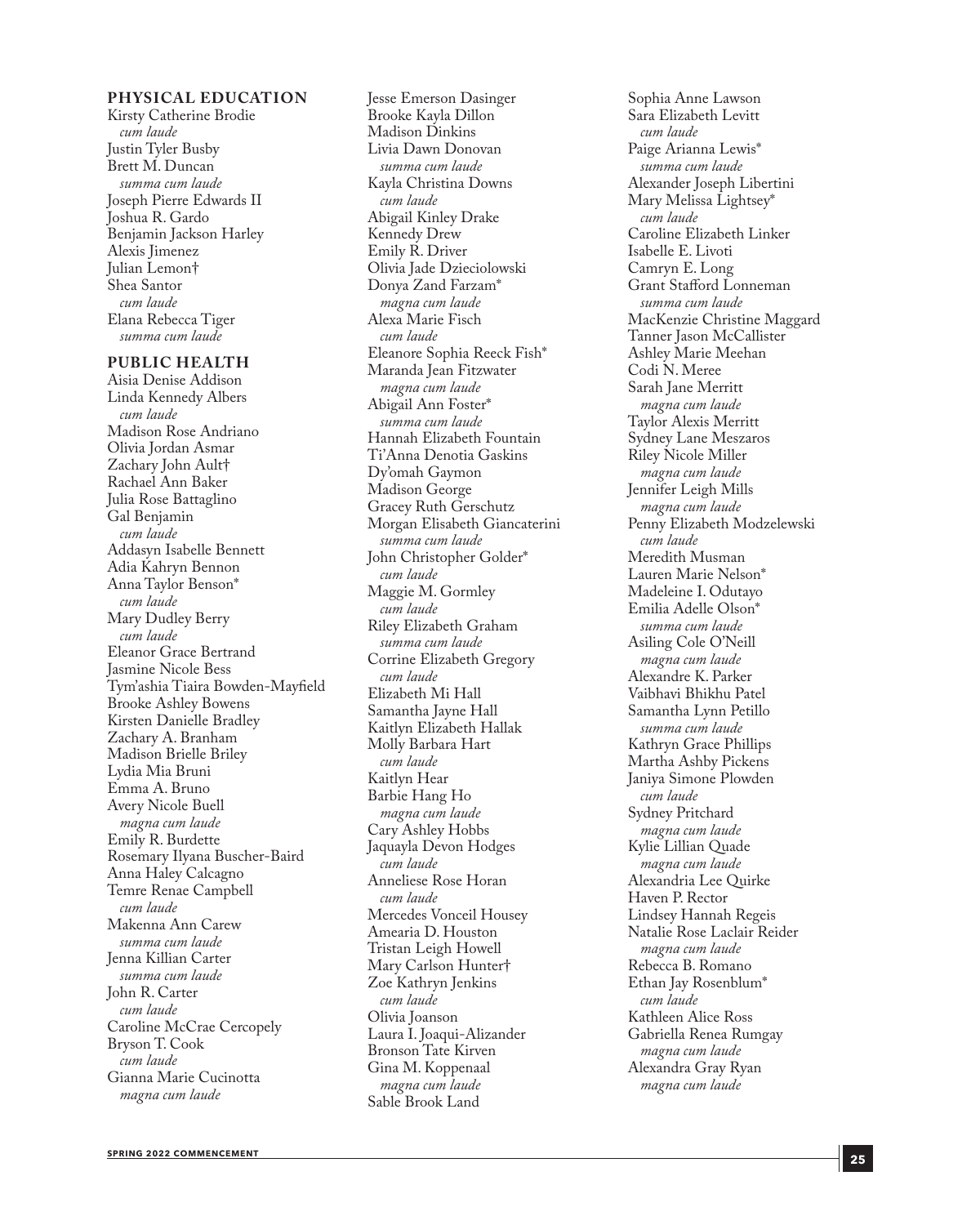#### **PH YSICAL EDUCATION**

Kirsty Catherine Brodie *cum laude* Justin Tyler Busby Brett M. Duncan *summa cum laude* Joseph Pierre Edwards II Joshua R. Gardo Benjamin Jackson Harley Alexis Jimenez Julian Lemon† Shea Santor *cum laude* Elana Rebecca Tiger *summa cum laude*

#### **PUBLIC HEALTH**

Aisia Denise Addison Linda Kennedy Albers *cum laude* Madison Rose Andriano Olivia Jordan Asmar Zachary John Ault† Rachael Ann Baker Julia Rose Battaglino Gal Benjamin *cum laude* Addasyn Isabelle Bennett Adia Kahryn Bennon Anna Taylor Benson\* *cum laude* Mary Dudley Berry *cum laude* Eleanor Grace Bertrand Jasmine Nicole Bess Tym'ashia Tiaira Bowden-Mayfield Brooke Ashley Bowens Kirsten Danielle Bradley Zachary A. Branham Madison Brielle Briley Lydia Mia Bruni Emma A. Bruno Avery Nicole Buell *magna cum laude* Emily R. Burdette Rosemary Ilyana Buscher-Baird Anna Haley Calcagno Temre Renae Campbell *cum laude* Makenna Ann Carew *summa cum laude* Jenna Killian Carter *summa cum laude* John R. Carter *cum laude* Caroline McCrae Cercopely Bryson T. Cook *cum laude* Gianna Marie Cucinotta *magna cum laude*

Jesse Emerson Dasinger Brooke Kayla Dillon Madison Dinkins Livia Dawn Donovan *summa cum laude* Kayla Christina Downs *cum laude* Abigail Kinley Drake Kennedy Drew Emily R. Driver Olivia Jade Dzieciolowski Donya Zand Farzam\* *magna cum laude* Alexa Marie Fisch *cum laude* Eleanore Sophia Reeck Fish\* Maranda Jean Fitzwater *magna cum laude* Abigail Ann Foster\* *summa cum laude* Hannah Elizabeth Fountain Ti'Anna Denotia Gaskins Dy'omah Gaymon Madison George Gracey Ruth Gerschutz Morgan Elisabeth Giancaterini *summa cum laude* John Christopher Golder\* *cum laude* Maggie M. Gormley *cum laude* Riley Elizabeth Graham *summa cum laude* Corrine Elizabeth Gregory *cum laude* Elizabeth Mi Hall Samantha Jayne Hall Kaitlyn Elizabeth Hallak Molly Barbara Hart *cum laude* Kaitlyn Hear Barbie Hang Ho *magna cum laude* Cary Ashley Hobbs Jaquayla Devon Hodges *cum laude* Anneliese Rose Horan *cum laude* Mercedes Vonceil Housey Amearia D. Houston Tristan Leigh Howell Mary Carlson Hunter† Zoe Kathryn Jenkins *cum laude* Olivia Joanson Laura I. Joaqui-Alizander Bronson Tate Kirven Gina M. Koppenaal *magna cum laude* Sable Brook Land

Sophia Anne Lawson Sara Elizabeth Levitt *cum laude* Paige Arianna Lewis\* *summa cum laude* Alexander Joseph Libertini Mary Melissa Lightsey\* *cum laude* Caroline Elizabeth Linker Isabelle E. Livoti Camryn E. Long Grant Stafford Lonneman *summa cum laude* MacKenzie Christine Maggard Tanner Jason McCallister Ashley Marie Meehan Codi N. Meree Sarah Jane Merritt *magna cum laude* Taylor Alexis Merritt Sydney Lane Meszaros Riley Nicole Miller *magna cum laude* Jennifer Leigh Mills *magna cum laude* Penny Elizabeth Modzelewski *cum laude* Meredith Musman Lauren Marie Nelson\* Madeleine I. Odutayo Emilia Adelle Olson\* *summa cum laude* Asiling Cole O'Neill *magna cum laude* Alexandre K. Parker Vaibhavi Bhikhu Patel Samantha Lynn Petillo *summa cum laude* Kathryn Grace Phillips Martha Ashby Pickens Janiya Simone Plowden *cum laude* Sydney Pritchard *magna cum laude* Kylie Lillian Quade *magna cum laude* Alexandria Lee Quirke Haven P. Rector Lindsey Hannah Regeis Natalie Rose Laclair Reider *magna cum laude* Rebecca B. Romano Ethan Jay Rosenblum\* *cum laude* Kathleen Alice Ross Gabriella Renea Rumgay *magna cum laude* Alexandra Gray Ryan *magna cum laude*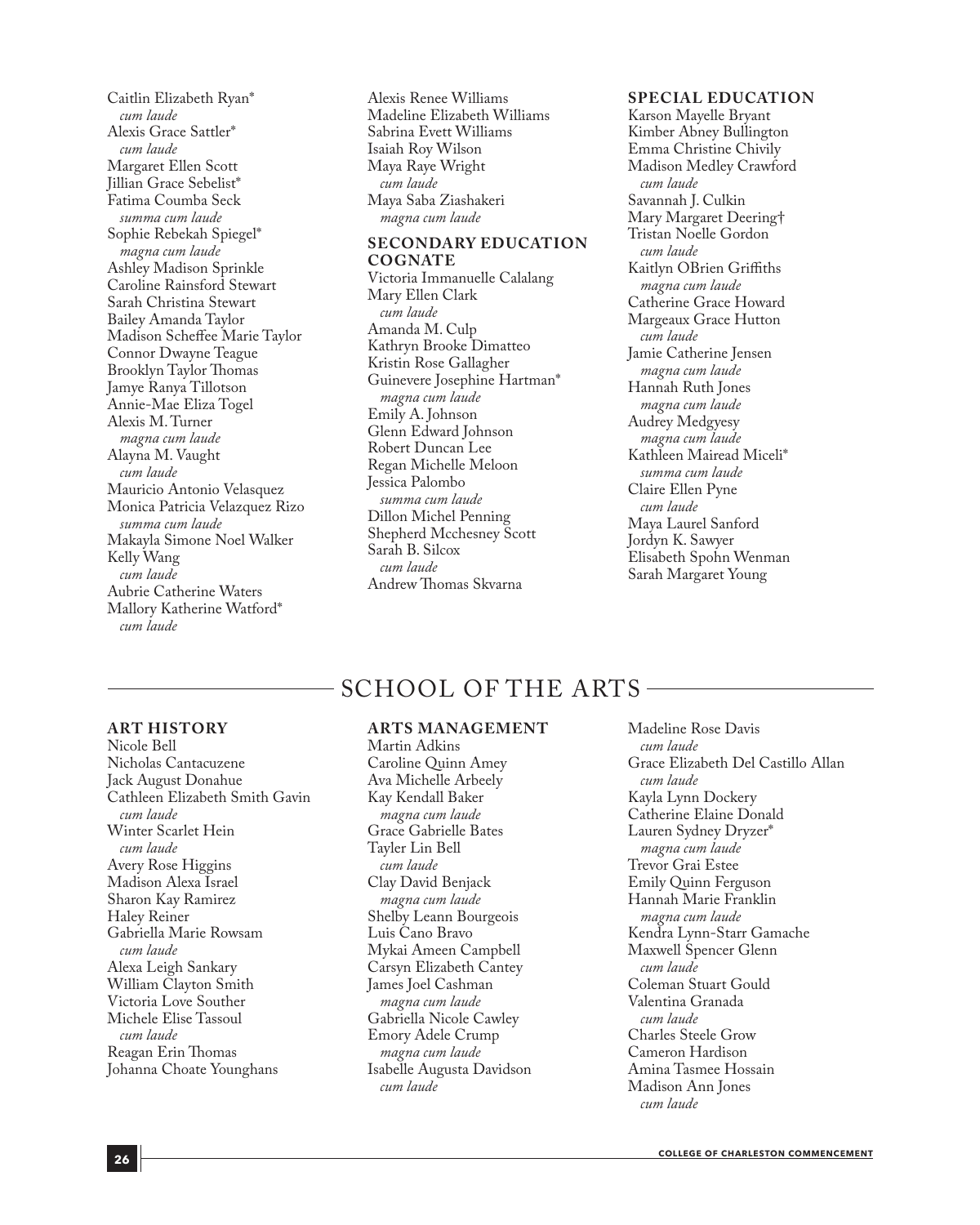Caitlin Elizabeth Ryan\* *cum laude* Alexis Grace Sattler\* *cum laude* Margaret Ellen Scott Jillian Grace Sebelist\* Fatima Coumba Seck *summa cum laude* Sophie Rebekah Spiegel\* *magna cum laude* Ashley Madison Sprinkle Caroline Rainsford Stewart Sarah Christina Stewart Bailey Amanda Taylor Madison Scheffee Marie Taylor Connor Dwayne Teague Brooklyn Taylor Thomas Jamye Ranya Tillotson Annie-Mae Eliza Togel Alexis M. Turner *magna cum laude* Alayna M. Vaught *cum laude* Mauricio Antonio Velasquez Monica Patricia Velazquez Rizo *summa cum laude* Makayla Simone Noel Walker Kelly Wang *cum laude* Aubrie Catherine Waters Mallory Katherine Watford\* *cum laude*

Alexis Renee Williams Madeline Elizabeth Williams Sabrina Evett Williams Isaiah Roy Wilson Maya Raye Wright *cum laude* Maya Saba Ziashakeri *magna cum laude*

#### **SECONDARY EDUCATION COGNATE**

Victoria Immanuelle Calalang Mary Ellen Clark *cum laude* Amanda M. Culp Kathryn Brooke Dimatteo Kristin Rose Gallagher Guinevere Josephine Hartman\* *magna cum laude* Emily A. Johnson Glenn Edward Johnson Robert Duncan Lee Regan Michelle Meloon Jessica Palombo *summa cum laude* Dillon Michel Penning Shepherd Mcchesney Scott Sarah B. Silcox *cum laude* Andrew Thomas Skvarna

#### **SPECIAL EDUCATION**

Karson Mayelle Bryant Kimber Abney Bullington Emma Christine Chivily Madison Medley Crawford *cum laude* Savannah J. Culkin Mary Margaret Deering† Tristan Noelle Gordon *cum laude* Kaitlyn OBrien Griffiths *magna cum laude* Catherine Grace Howard Margeaux Grace Hutton *cum laude* Jamie Catherine Jensen *magna cum laude* Hannah Ruth Jones *magna cum laude* Audrey Medgyesy *magna cum laude* Kathleen Mairead Miceli\* *summa cum laude* Claire Ellen Pyne *cum laude* Maya Laurel Sanford Jordyn K. Sawyer Elisabeth Spohn Wenman Sarah Margaret Young

### SCHOOL OF THE ARTS

#### **ART HISTORY**

Nicole Bell Nicholas Cantacuzene Jack August Donahue Cathleen Elizabeth Smith Gavin *cum laude* Winter Scarlet Hein *cum laude* Avery Rose Higgins Madison Alexa Israel Sharon Kay Ramirez Haley Reiner Gabriella Marie Rowsam *cum laude* Alexa Leigh Sankary William Clayton Smith Victoria Love Souther Michele Elise Tassoul *cum laude* Reagan Erin Thomas Johanna Choate Younghans

#### **ARTS MANAGEMENT**

Martin Adkins Caroline Quinn Amey Ava Michelle Arbeely Kay Kendall Baker *magna cum laude* Grace Gabrielle Bates Tayler Lin Bell *cum laude* Clay David Benjack *magna cum laude* Shelby Leann Bourgeois Luis Cano Bravo Mykai Ameen Campbell Carsyn Elizabeth Cantey James Joel Cashman *magna cum laude* Gabriella Nicole Cawley Emory Adele Crump *magna cum laude* Isabelle Augusta Davidson *cum laude*

Madeline Rose Davis *cum laude* Grace Elizabeth Del Castillo Allan *cum laude* Kayla Lynn Dockery Catherine Elaine Donald Lauren Sydney Dryzer\* *magna cum laude* Trevor Grai Estee Emily Quinn Ferguson Hannah Marie Franklin *magna cum laude* Kendra Lynn-Starr Gamache Maxwell Spencer Glenn *cum laude* Coleman Stuart Gould Valentina Granada *cum laude* Charles Steele Grow Cameron Hardison Amina Tasmee Hossain Madison Ann Jones *cum laude*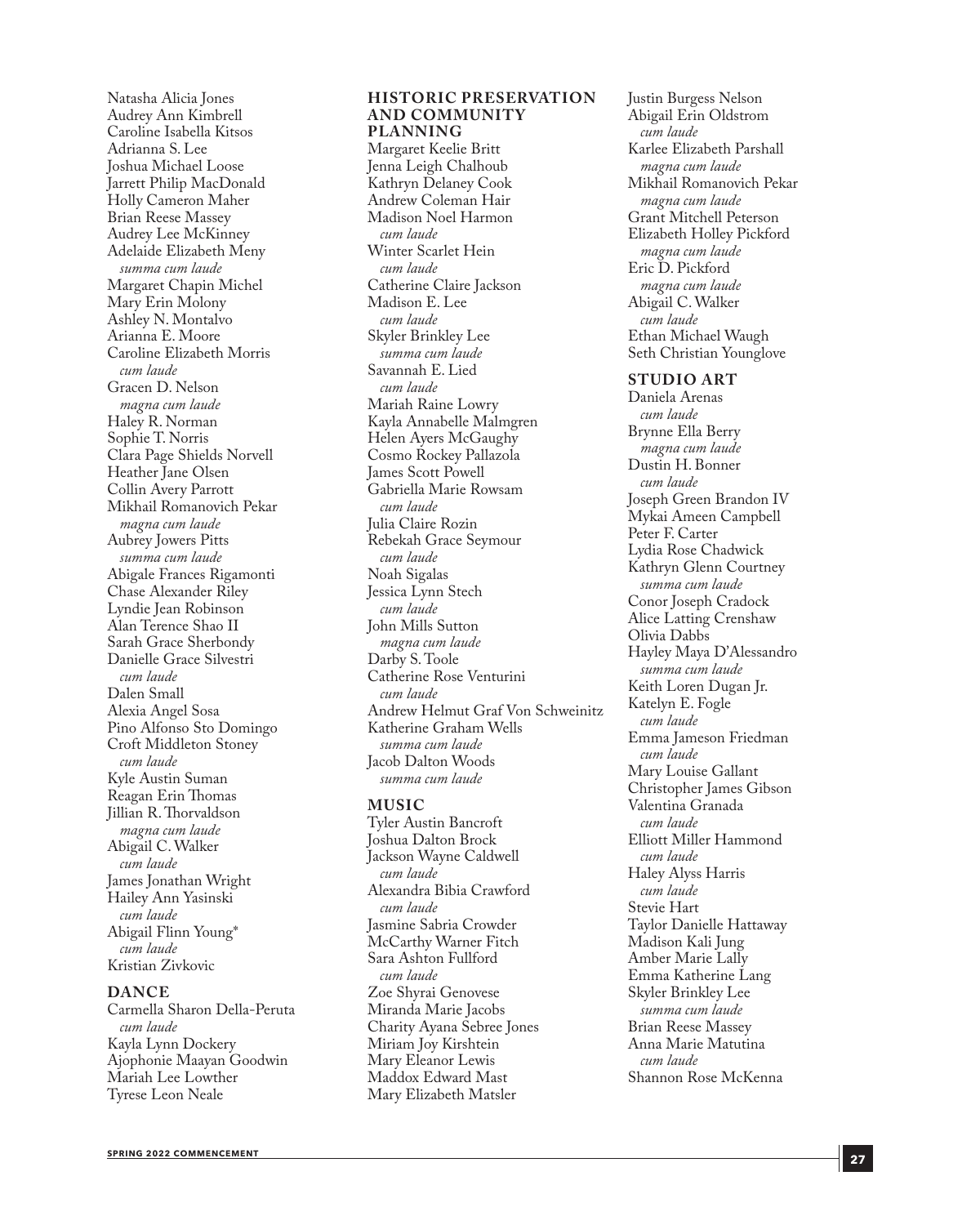Natasha Alicia Jones Audrey Ann Kimbrell Caroline Isabella Kitsos Adrianna S. Lee Joshua Michael Loose Jarrett Philip MacDonald Holly Cameron Maher Brian Reese Massey Audrey Lee McKinney Adelaide Elizabeth Meny *summa cum laude* Margaret Chapin Michel Mary Erin Molony Ashley N. Montalvo Arianna E. Moore Caroline Elizabeth Morris *cum laude* Gracen D. Nelson *magna cum laude* Haley R. Norman Sophie T. Norris Clara Page Shields Norvell Heather Jane Olsen Collin Avery Parrott Mikhail Romanovich Pekar *magna cum laude* Aubrey Jowers Pitts *summa cum laude* Abigale Frances Rigamonti Chase Alexander Riley Lyndie Jean Robinson Alan Terence Shao II Sarah Grace Sherbondy Danielle Grace Silvestri *cum laude* Dalen Small Alexia Angel Sosa Pino Alfonso Sto Domingo Croft Middleton Stoney *cum laude* Kyle Austin Suman Reagan Erin Thomas Jillian R. Thorvaldson *magna cum laude* Abigail C. Walker *cum laude* James Jonathan Wright Hailey Ann Yasinski *cum laude* Abigail Flinn Young\* *cum laude* Kristian Zivkovic

#### **DANCE**

Carmella Sharon Della-Peruta *cum laude* Kayla Lynn Dockery Ajophonie Maayan Goodwin Mariah Lee Lowther Tyrese Leon Neale

#### **HISTORIC PRESERVATION AND COMMUNITY PLANNING**

Margaret Keelie Britt Jenna Leigh Chalhoub Kathryn Delaney Cook Andrew Coleman Hair Madison Noel Harmon *cum laude* Winter Scarlet Hein *cum laude* Catherine Claire Jackson Madison E. Lee *cum laude* Skyler Brinkley Lee *summa cum laude* Savannah E. Lied *cum laude* Mariah Raine Lowry Kayla Annabelle Malmgren Helen Ayers McGaughy Cosmo Rockey Pallazola James Scott Powell Gabriella Marie Rowsam *cum laude* Julia Claire Rozin Rebekah Grace Seymour *cum laude* Noah Sigalas Jessica Lynn Stech *cum laude* John Mills Sutton *magna cum laude* Darby S. Toole Catherine Rose Venturini *cum laude* Andrew Helmut Graf Von Schweinitz Katherine Graham Wells *summa cum laude* Jacob Dalton Woods *summa cum laude*

#### **MUSIC**

Tyler Austin Bancroft Joshua Dalton Brock Jackson Wayne Caldwell *cum laude* Alexandra Bibia Crawford *cum laude* Jasmine Sabria Crowder McCarthy Warner Fitch Sara Ashton Fullford *cum laude* Zoe Shyrai Genovese Miranda Marie Jacobs Charity Ayana Sebree Jones Miriam Joy Kirshtein Mary Eleanor Lewis Maddox Edward Mast Mary Elizabeth Matsler

Justin Burgess Nelson Abigail Erin Oldstrom *cum laude* Karlee Elizabeth Parshall *magna cum laude* Mikhail Romanovich Pekar *magna cum laude* Grant Mitchell Peterson Elizabeth Holley Pickford *magna cum laude* Eric D. Pickford *magna cum laude* Abigail C. Walker *cum laude* Ethan Michael Waugh Seth Christian Younglove

#### **STUDIO ART**

Daniela Arenas *cum laude* Brynne Ella Berry *magna cum laude* Dustin H. Bonner *cum laude* Joseph Green Brandon IV Mykai Ameen Campbell Peter F. Carter Lydia Rose Chadwick Kathryn Glenn Courtney *summa cum laude* Conor Joseph Cradock Alice Latting Crenshaw Olivia Dabbs Hayley Maya D'Alessandro *summa cum laude* Keith Loren Dugan Jr. Katelyn E. Fogle *cum laude* Emma Jameson Friedman *cum laude* Mary Louise Gallant Christopher James Gibson Valentina Granada *cum laude* Elliott Miller Hammond *cum laude* Haley Alyss Harris *cum laude* Stevie Hart Taylor Danielle Hattaway Madison Kali Jung Amber Marie Lally Emma Katherine Lang Skyler Brinkley Lee *summa cum laude* Brian Reese Massey Anna Marie Matutina *cum laude* Shannon Rose McKenna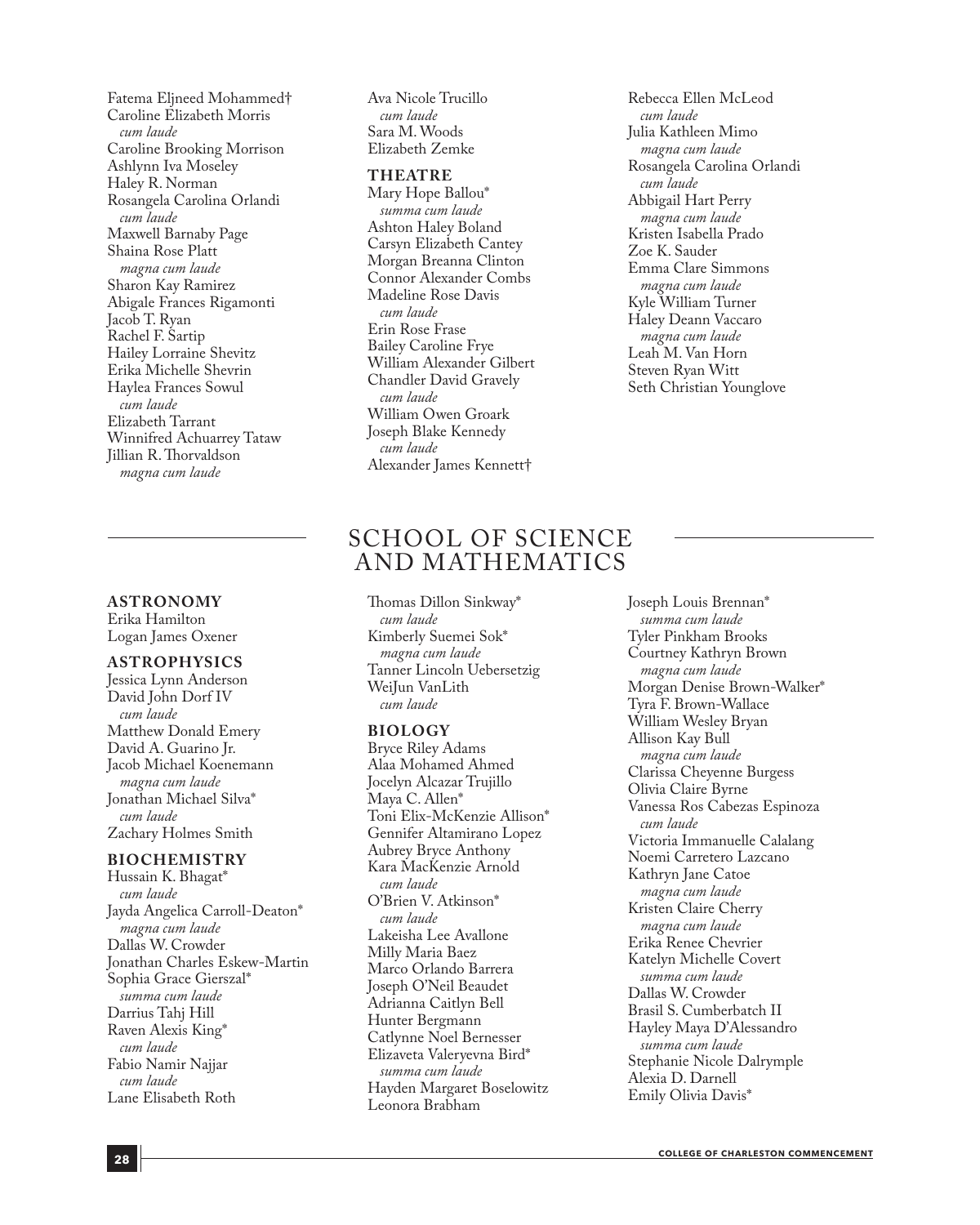Fatema Eljneed Mohammed† Caroline Elizabeth Morris *cum laude* Caroline Brooking Morrison Ashlynn Iva Moseley Haley R. Norman Rosangela Carolina Orlandi *cum laude* Maxwell Barnaby Page Shaina Rose Platt *magna cum laude* Sharon Kay Ramirez Abigale Frances Rigamonti Jacob T. Ryan Rachel F. Sartip Hailey Lorraine Shevitz Erika Michelle Shevrin Haylea Frances Sowul *cum laude* Elizabeth Tarrant Winnifred Achuarrey Tataw Jillian R. Thorvaldson *magna cum laude*

#### **ASTRONOMY**

Erika Hamilton Logan James Oxener

#### **ASTROPHYSICS**

Jessica Lynn Anderson David John Dorf IV *cum laude* Matthew Donald Emery David A. Guarino Jr. Jacob Michael Koenemann *magna cum laude* Jonathan Michael Silva\* *cum laude* Zachary Holmes Smith

#### **BIOCHEMISTRY**

Hussain K. Bhagat\* *cum laude* Jayda Angelica Carroll-Deaton\* *magna cum laude* Dallas W. Crowder Jonathan Charles Eskew-Martin Sophia Grace Gierszal\* *summa cum laude* Darrius Tahj Hill Raven Alexis King\* *cum laude* Fabio Namir Najjar *cum laude* Lane Elisabeth Roth

Ava Nicole Trucillo *cum laude* Sara M. Woods Elizabeth Zemke

#### **THEATRE**

Mary Hope Ballou\* *summa cum laude* Ashton Haley Boland Carsyn Elizabeth Cantey Morgan Breanna Clinton Connor Alexander Combs Madeline Rose Davis *cum laude* Erin Rose Frase Bailey Caroline Frye William Alexander Gilbert Chandler David Gravely *cum laude* William Owen Groark Joseph Blake Kennedy *cum laude* Alexander James Kennett†

Rebecca Ellen McLeod *cum laude* Julia Kathleen Mimo *magna cum laude* Rosangela Carolina Orlandi *cum laude* Abbigail Hart Perry *magna cum laude* Kristen Isabella Prado Zoe K. Sauder Emma Clare Simmons *magna cum laude* Kyle William Turner Haley Deann Vaccaro *magna cum laude* Leah M. Van Horn Steven Ryan Witt Seth Christian Younglove

### SCHOOL OF SCIENCE AND MATHEMATICS

Thomas Dillon Sinkway\* *cum laude* Kimberly Suemei Sok\* *magna cum laude* Tanner Lincoln Uebersetzig WeiJun VanLith *cum laude*

#### **BIOLOGY**

Bryce Riley Adams Alaa Mohamed Ahmed Jocelyn Alcazar Trujillo Maya C. Allen\* Toni Elix-McKenzie Allison\* Gennifer Altamirano Lopez Aubrey Bryce Anthony Kara MacKenzie Arnold *cum laude* O'Brien V. Atkinson\* *cum laude* Lakeisha Lee Avallone Milly Maria Baez Marco Orlando Barrera Joseph O'Neil Beaudet Adrianna Caitlyn Bell Hunter Bergmann Catlynne Noel Bernesser Elizaveta Valeryevna Bird\* *summa cum laude* Hayden Margaret Boselowitz Leonora Brabham

Joseph Louis Brennan\* *summa cum laude* Tyler Pinkham Brooks Courtney Kathryn Brown *magna cum laude* Morgan Denise Brown-Walker\* Tyra F. Brown-Wallace William Wesley Bryan Allison Kay Bull *magna cum laude* Clarissa Cheyenne Burgess Olivia Claire Byrne Vanessa Ros Cabezas Espinoza *cum laude* Victoria Immanuelle Calalang Noemi Carretero Lazcano Kathryn Jane Catoe *magna cum laude* Kristen Claire Cherry *magna cum laude* Erika Renee Chevrier Katelyn Michelle Covert *summa cum laude* Dallas W. Crowder Brasil S. Cumberbatch II Hayley Maya D'Alessandro *summa cum laude* Stephanie Nicole Dalrymple Alexia D. Darnell Emily Olivia Davis\*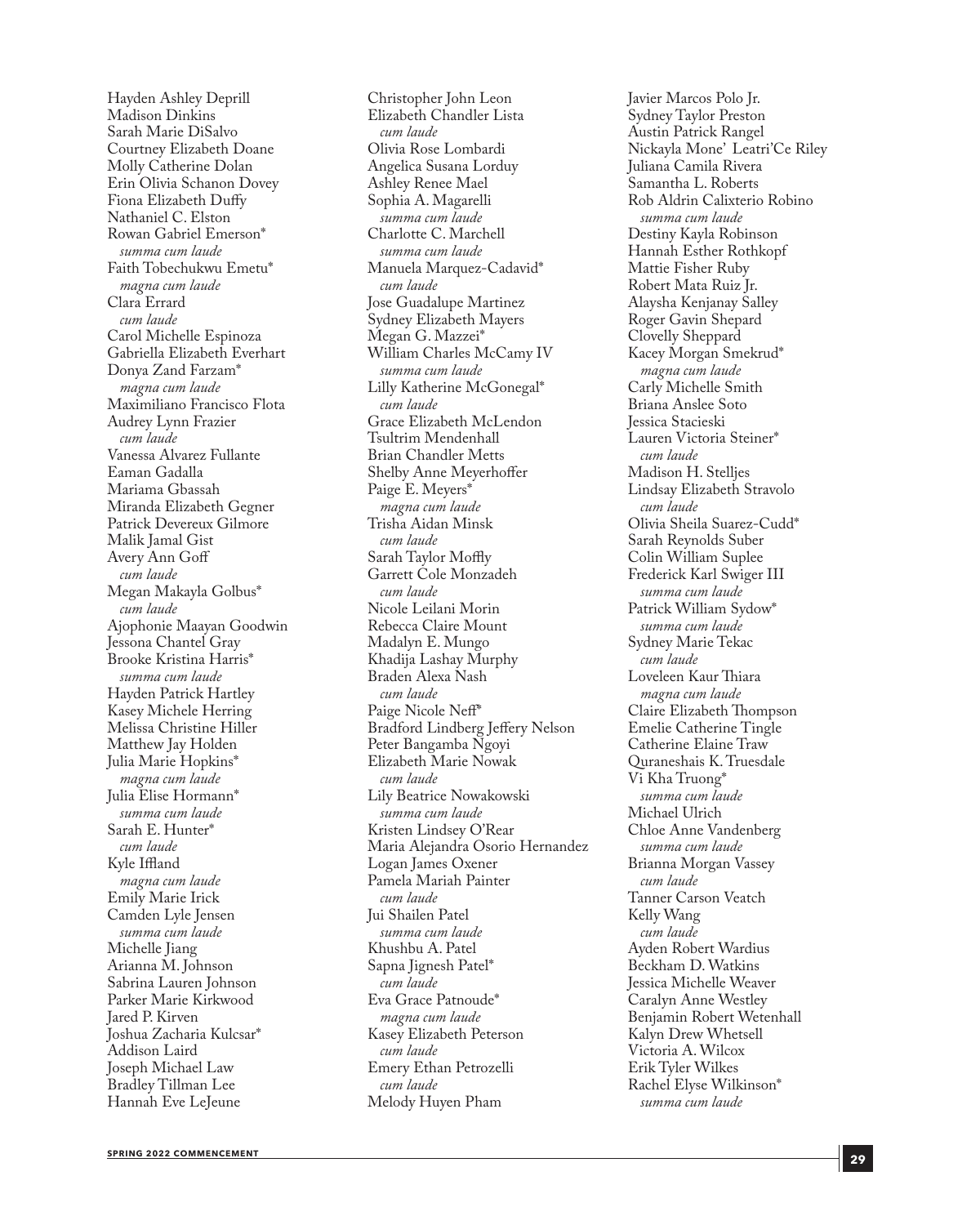Hayden Ashley Deprill Madison Dinkins Sarah Marie DiSalvo Courtney Elizabeth Doane Molly Catherine Dolan Erin Olivia Schanon Dovey Fiona Elizabeth Duffy Nathaniel C. Elston Rowan Gabriel Emerson\* *summa cum laude* Faith Tobechukwu Emetu\* *magna cum laude* Clara Errard *cum laude* Carol Michelle Espinoza Gabriella Elizabeth Everhart Donya Zand Farzam\* *magna cum laude* Maximiliano Francisco Flota Audrey Lynn Frazier *cum laude* Vanessa Alvarez Fullante Eaman Gadalla Mariama Gbassah Miranda Elizabeth Gegner Patrick Devereux Gilmore Malik Jamal Gist Avery Ann Goff *cum laude* Megan Makayla Golbus\* *cum laude* Ajophonie Maayan Goodwin Jessona Chantel Gray Brooke Kristina Harris\* *summa cum laude* Hayden Patrick Hartley Kasey Michele Herring Melissa Christine Hiller Matthew Jay Holden Julia Marie Hopkins\* *magna cum laude* Julia Elise Hormann\* *summa cum laude* Sarah E. Hunter\* *cum laude* Kyle Iffland *magna cum laude* Emily Marie Irick Camden Lyle Jensen *summa cum laude* Michelle Jiang Arianna M. Johnson Sabrina Lauren Johnson Parker Marie Kirkwood Jared P. Kirven Joshua Zacharia Kulcsar\* Addison Laird Joseph Michael Law Bradley Tillman Lee Hannah Eve LeJeune

Christopher John Leon Elizabeth Chandler Lista *cum laude* Olivia Rose Lombardi Angelica Susana Lorduy Ashley Renee Mael Sophia A. Magarelli *summa cum laude* Charlotte C. Marchell *summa cum laude* Manuela Marquez-Cadavid\* *cum laude* Jose Guadalupe Martinez Sydney Elizabeth Mayers Megan G. Mazzei\* William Charles McCamy IV *summa cum laude* Lilly Katherine McGonegal\* *cum laude* Grace Elizabeth McLendon Tsultrim Mendenhall Brian Chandler Metts Shelby Anne Meyerhoffer Paige E. Meyers\* *magna cum laude* Trisha Aidan Minsk *cum laude* Sarah Taylor Moffly Garrett Cole Monzadeh *cum laude* Nicole Leilani Morin Rebecca Claire Mount Madalyn E. Mungo Khadija Lashay Murphy Braden Alexa Nash *cum laude* Paige Nicole Neff\* Bradford Lindberg Jeffery Nelson Peter Bangamba Ngoyi Elizabeth Marie Nowak *cum laude* Lily Beatrice Nowakowski *summa cum laude* Kristen Lindsey O'Rear Maria Alejandra Osorio Hernandez Logan James Oxener Pamela Mariah Painter *cum laude* Jui Shailen Patel *summa cum laude* Khushbu A. Patel Sapna Jignesh Patel\* *cum laude* Eva Grace Patnoude\* *magna cum laude* Kasey Elizabeth Peterson *cum laude* Emery Ethan Petrozelli *cum laude* Melody Huyen Pham

Javier Marcos Polo Jr. Sydney Taylor Preston Austin Patrick Rangel Nickayla Mone' Leatri'Ce Riley Juliana Camila Rivera Samantha L. Roberts Rob Aldrin Calixterio Robino *summa cum laude* Destiny Kayla Robinson Hannah Esther Rothkopf Mattie Fisher Ruby Robert Mata Ruiz Jr. Alaysha Kenjanay Salley Roger Gavin Shepard Clovelly Sheppard Kacey Morgan Smekrud\* *magna cum laude* Carly Michelle Smith Briana Anslee Soto Jessica Stacieski Lauren Victoria Steiner\* *cum laude* Madison H. Stelljes Lindsay Elizabeth Stravolo *cum laude* Olivia Sheila Suarez-Cudd\* Sarah Reynolds Suber Colin William Suplee Frederick Karl Swiger III *summa cum laude* Patrick William Sydow\* *summa cum laude* Sydney Marie Tekac *cum laude* Loveleen Kaur Thiara *magna cum laude* Claire Elizabeth Thompson Emelie Catherine Tingle Catherine Elaine Traw Quraneshais K. Truesdale Vi Kha Truong\* *summa cum laude* Michael Ulrich Chloe Anne Vandenberg *summa cum laude* Brianna Morgan Vassey *cum laude* Tanner Carson Veatch Kelly Wang *cum laude* Ayden Robert Wardius Beckham D. Watkins Jessica Michelle Weaver Caralyn Anne Westley Benjamin Robert Wetenhall Kalyn Drew Whetsell Victoria A. Wilcox Erik Tyler Wilkes Rachel Elyse Wilkinson\* *summa cum laude*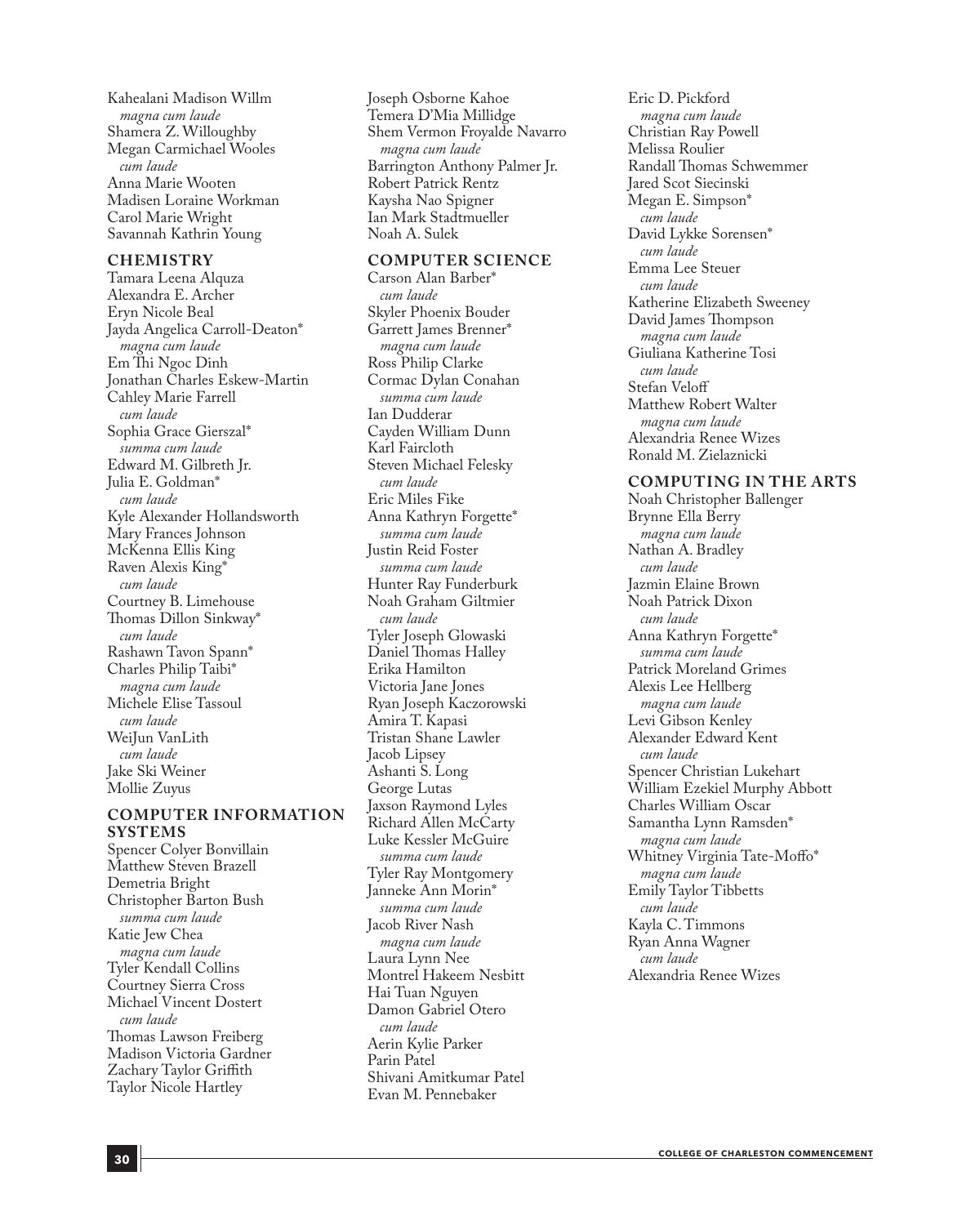Kahealani Madison Willm *magna cum laude* Shamera Z. Willoughby Megan Carmichael Wooles *cum laude* Anna Marie Wooten Madisen Loraine Workman Carol Marie Wright Savannah Kathrin Young

#### **CHEMISTRY**

Tamara Leena Alquza Alexandra E. Archer Eryn Nicole Beal Jayda Angelica Carroll-Deaton\* *magna cum laude* Em Thi Ngoc Dinh Jonathan Charles Eskew-Martin Cahley Marie Farrell *cum laude* Sophia Grace Gierszal\* *summa cum laude* Edward M. Gilbreth Jr. Julia E. Goldman\* *cum laude* Kyle Alexander Hollandsworth Mary Frances Johnson McKenna Ellis King Raven Alexis King\* *cum laude* Courtney B. Limehouse Thomas Dillon Sinkway\* *cum laude* Rashawn Tavon Spann\* Charles Philip Taibi\* *magna cum laude* Michele Elise Tassoul *cum laude* WeiJun VanLith *cum laude* Jake Ski Weiner Mollie Zuyus

#### **COMPUTER INFORMATION SYSTEMS**

Spencer Colyer Bonvillain Matthew Steven Brazell Demetria Bright Christopher Barton Bush *summa cum laude* Katie Jew Chea *magna cum laude* Tyler Kendall Collins Courtney Sierra Cross Michael Vincent Dostert *cum laude* Thomas Lawson Freiberg Madison Victoria Gardner Zachary Taylor Griffith Taylor Nicole Hartley

Joseph Osborne Kahoe Temera D'Mia Millidge Shem Vermon Froyalde Navarro *magna cum laude* Barrington Anthony Palmer Jr. Robert Patrick Rentz Kaysha Nao Spigner Ian Mark Stadtmueller Noah A. Sulek

#### **COMPUTER SCIENCE**

Carson Alan Barber\* *cum laude* Skyler Phoenix Bouder Garrett James Brenner\* *magna cum laude* Ross Philip Clarke Cormac Dylan Conahan *summa cum laude* Ian Dudderar Cayden William Dunn Karl Faircloth Steven Michael Felesky *cum laude* Eric Miles Fike Anna Kathryn Forgette\* *summa cum laude* Justin Reid Foster *summa cum laude* Hunter Ray Funderburk Noah Graham Giltmier *cum laude* Tyler Joseph Glowaski Daniel Thomas Halley Erika Hamilton Victoria Jane Jones Ryan Joseph Kaczorowski Amira T. Kapasi Tristan Shane Lawler Jacob Lipsey Ashanti S. Long George Lutas Jaxson Raymond Lyles Richard Allen McCarty Luke Kessler McGuire *summa cum laude* Tyler Ray Montgomery Janneke Ann Morin\* *summa cum laude* Jacob River Nash *magna cum laude* Laura Lynn Nee Montrel Hakeem Nesbitt Hai Tuan Nguyen Damon Gabriel Otero *cum laude* Aerin Kylie Parker Parin Patel Shivani Amitkumar Patel Evan M. Pennebaker

Eric D. Pickford *magna cum laude* Christian Ray Powell Melissa Roulier Randall Thomas Schwemmer Jared Scot Siecinski Megan E. Simpson\* *cum laude* David Lykke Sorensen\* *cum laude* Emma Lee Steuer *cum laude* Katherine Elizabeth Sweeney David James Thompson *magna cum laude* Giuliana Katherine Tosi *cum laude* Stefan Veloff Matthew Robert Walter *magna cum laude* Alexandria Renee Wizes Ronald M. Zielaznicki

#### **COMPUTING IN THE ARTS**

Noah Christopher Ballenger Brynne Ella Berry *magna cum laude* Nathan A. Bradley *cum laude* Jazmin Elaine Brown Noah Patrick Dixon *cum laude* Anna Kathryn Forgette\* *summa cum laude* Patrick Moreland Grimes Alexis Lee Hellberg *magna cum laude* Levi Gibson Kenley Alexander Edward Kent *cum laude* Spencer Christian Lukehart William Ezekiel Murphy Abbott Charles William Oscar Samantha Lynn Ramsden\* *magna cum laude* Whitney Virginia Tate-Moffo\* *magna cum laude* Emily Taylor Tibbetts *cum laude* Kayla C. Timmons Ryan Anna Wagner *cum laude* Alexandria Renee Wizes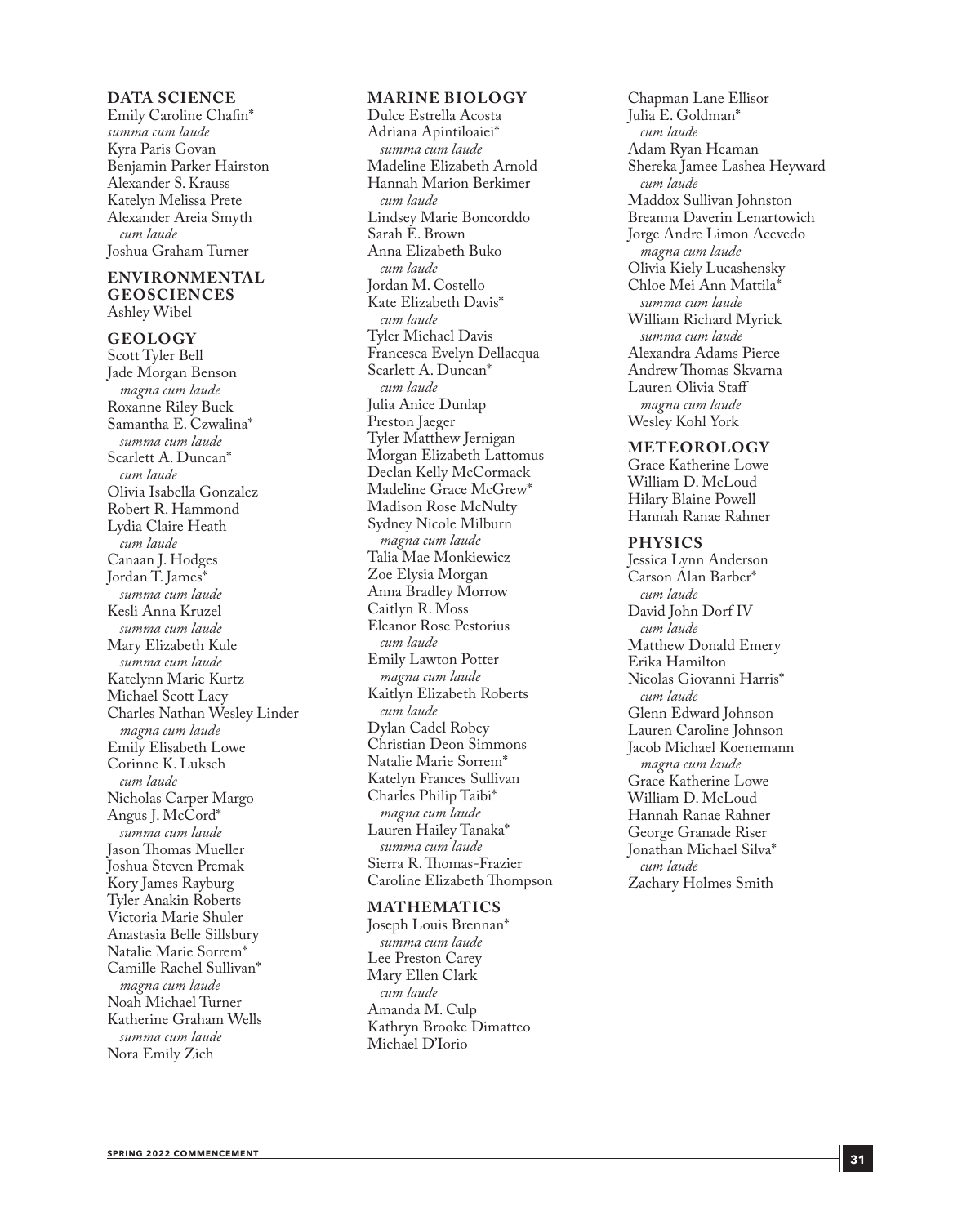#### **DATA SCIENCE**

Emily Caroline Chafin\* *summa cum laude* Kyra Paris Govan Benjamin Parker Hairston Alexander S. Krauss Katelyn Melissa Prete Alexander Areia Smyth *cum laude* Joshua Graham Turner

#### **ENVIRONMENTAL GEOSCIENCES** Ashley Wibel

**GEOLOGY**

Scott Tyler Bell Jade Morgan Benson *magna cum laude* Roxanne Riley Buck Samantha E. Czwalina\* *summa cum laude* Scarlett A. Duncan\* *cum laude* Olivia Isabella Gonzalez Robert R. Hammond Lydia Claire Heath *cum laude* Canaan J. Hodges Jordan T. James\* *summa cum laude* Kesli Anna Kruzel *summa cum laude* Mary Elizabeth Kule *summa cum laude* Katelynn Marie Kurtz Michael Scott Lacy Charles Nathan Wesley Linder *magna cum laude* Emily Elisabeth Lowe Corinne K. Luksch *cum laude* Nicholas Carper Margo Angus J. McCord\* *summa cum laude* Jason Thomas Mueller Joshua Steven Premak Kory James Rayburg Tyler Anakin Roberts Victoria Marie Shuler Anastasia Belle Sillsbury Natalie Marie Sorrem\* Camille Rachel Sullivan\* *magna cum laude* Noah Michael Turner Katherine Graham Wells *summa cum laude* Nora Emily Zich

#### **MARINE BIOLOGY**

Dulce Estrella Acosta Adriana Apintiloaiei\* *summa cum laude* Madeline Elizabeth Arnold Hannah Marion Berkimer *cum laude* Lindsey Marie Boncorddo Sarah E. Brown Anna Elizabeth Buko *cum laude* Jordan M. Costello Kate Elizabeth Davis\* *cum laude* Tyler Michael Davis Francesca Evelyn Dellacqua Scarlett A. Duncan\* *cum laude* Julia Anice Dunlap Preston Jaeger Tyler Matthew Jernigan Morgan Elizabeth Lattomus Declan Kelly McCormack Madeline Grace McGrew\* Madison Rose McNulty Sydney Nicole Milburn *magna cum laude* Talia Mae Monkiewicz Zoe Elysia Morgan Anna Bradley Morrow Caitlyn R. Moss Eleanor Rose Pestorius *cum laude* Emily Lawton Potter *magna cum laude* Kaitlyn Elizabeth Roberts *cum laude* Dylan Cadel Robey Christian Deon Simmons Natalie Marie Sorrem\* Katelyn Frances Sullivan Charles Philip Taibi\* *magna cum laude* Lauren Hailey Tanaka\* *summa cum laude* Sierra R. Thomas-Frazier Caroline Elizabeth Thompson

#### **MATHEMATICS**

Joseph Louis Brennan\* *summa cum laude* Lee Preston Carey Mary Ellen Clark *cum laude* Amanda M. Culp Kathryn Brooke Dimatteo Michael D'Iorio

Chapman Lane Ellisor Julia E. Goldman\* *cum laude* Adam Ryan Heaman Shereka Jamee Lashea Heyward *cum laude* Maddox Sullivan Johnston Breanna Daverin Lenartowich Jorge Andre Limon Acevedo *magna cum laude* Olivia Kiely Lucashensky Chloe Mei Ann Mattila\* *summa cum laude* William Richard Myrick *summa cum laude* Alexandra Adams Pierce Andrew Thomas Skvarna Lauren Olivia Staff *magna cum laude* Wesley Kohl York

#### **METEOROLOGY**

Grace Katherine Lowe William D. McLoud Hilary Blaine Powell Hannah Ranae Rahner

#### **PHYSICS**

Jessica Lynn Anderson Carson Alan Barber\* *cum laude* David John Dorf IV *cum laude* Matthew Donald Emery Erika Hamilton Nicolas Giovanni Harris\* *cum laude* Glenn Edward Johnson Lauren Caroline Johnson Jacob Michael Koenemann *magna cum laude* Grace Katherine Lowe William D. McLoud Hannah Ranae Rahner George Granade Riser Jonathan Michael Silva\* *cum laude* Zachary Holmes Smith